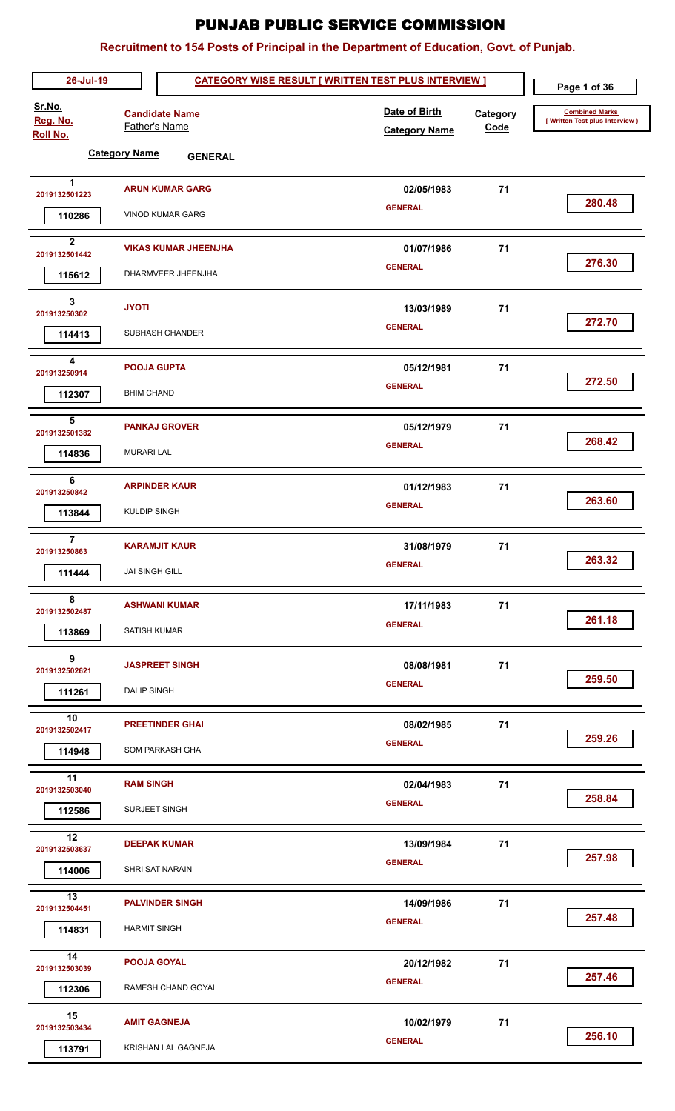| 26-Jul-19                             | Page 1 of 36                                  |                                       |                         |                                                          |
|---------------------------------------|-----------------------------------------------|---------------------------------------|-------------------------|----------------------------------------------------------|
| Sr.No.<br>Reg. No.<br><b>Roll No.</b> | <b>Candidate Name</b><br><b>Father's Name</b> | Date of Birth<br><b>Category Name</b> | <b>Category</b><br>Code | <b>Combined Marks</b><br>[ Written Test plus Interview ) |
|                                       | <b>Category Name</b><br><b>GENERAL</b>        |                                       |                         |                                                          |
| $\blacktriangleleft$<br>2019132501223 | <b>ARUN KUMAR GARG</b>                        | 02/05/1983                            | 71                      | 280.48                                                   |
| 110286                                | <b>VINOD KUMAR GARG</b>                       | <b>GENERAL</b>                        |                         |                                                          |
| $\mathbf{2}$<br>2019132501442         | <b>VIKAS KUMAR JHEENJHA</b>                   | 01/07/1986                            | 71                      | 276.30                                                   |
| 115612                                | DHARMVEER JHEENJHA                            | <b>GENERAL</b>                        |                         |                                                          |
| 3<br>201913250302                     | <b>JYOTI</b>                                  | 13/03/1989                            | 71                      | 272.70                                                   |
| 114413                                | SUBHASH CHANDER                               | <b>GENERAL</b>                        |                         |                                                          |
| 4<br>201913250914                     | <b>POOJA GUPTA</b>                            | 05/12/1981                            | 71                      | 272.50                                                   |
| 112307                                | <b>BHIM CHAND</b>                             | <b>GENERAL</b>                        |                         |                                                          |
| 5<br>2019132501382                    | <b>PANKAJ GROVER</b>                          | 05/12/1979                            | 71                      | 268.42                                                   |
| 114836                                | <b>MURARI LAL</b>                             | <b>GENERAL</b>                        |                         |                                                          |
| 6<br>201913250842                     | <b>ARPINDER KAUR</b>                          | 01/12/1983                            | 71                      | 263.60                                                   |
| 113844                                | <b>KULDIP SINGH</b>                           | <b>GENERAL</b>                        |                         |                                                          |
| $\overline{7}$<br>201913250863        | <b>KARAMJIT KAUR</b>                          | 31/08/1979                            | 71                      | 263.32                                                   |
| 111444                                | <b>JAI SINGH GILL</b>                         | <b>GENERAL</b>                        |                         |                                                          |
| 8<br>2019132502487                    | <b>ASHWANI KUMAR</b>                          | 17/11/1983                            | 71                      | 261.18                                                   |
| 113869                                | <b>SATISH KUMAR</b>                           | <b>GENERAL</b>                        |                         |                                                          |
| 9<br>2019132502621                    | <b>JASPREET SINGH</b>                         | 08/08/1981                            | 71                      | 259.50                                                   |
| 111261                                | <b>DALIP SINGH</b>                            | <b>GENERAL</b>                        |                         |                                                          |
| 10<br>2019132502417                   | <b>PREETINDER GHAI</b>                        | 08/02/1985                            | 71                      | 259.26                                                   |
| 114948                                | SOM PARKASH GHAI                              | <b>GENERAL</b>                        |                         |                                                          |
| 11<br>2019132503040                   | <b>RAM SINGH</b>                              | 02/04/1983                            | 71                      | 258.84                                                   |
| 112586                                | SURJEET SINGH                                 | <b>GENERAL</b>                        |                         |                                                          |
| 12<br>2019132503637                   | <b>DEEPAK KUMAR</b>                           | 13/09/1984                            | 71                      | 257.98                                                   |
| 114006                                | SHRI SAT NARAIN                               | <b>GENERAL</b>                        |                         |                                                          |
| 13<br>2019132504451                   | <b>PALVINDER SINGH</b>                        | 14/09/1986                            | 71                      | 257.48                                                   |
| 114831                                | <b>HARMIT SINGH</b>                           | <b>GENERAL</b>                        |                         |                                                          |
| 14<br>2019132503039                   | <b>POOJA GOYAL</b>                            | 20/12/1982                            | 71                      | 257.46                                                   |
| 112306                                | RAMESH CHAND GOYAL                            | <b>GENERAL</b>                        |                         |                                                          |
| 15<br>2019132503434                   | <b>AMIT GAGNEJA</b>                           | 10/02/1979                            | 71                      | 256.10                                                   |
| 113791                                | KRISHAN LAL GAGNEJA                           | <b>GENERAL</b>                        |                         |                                                          |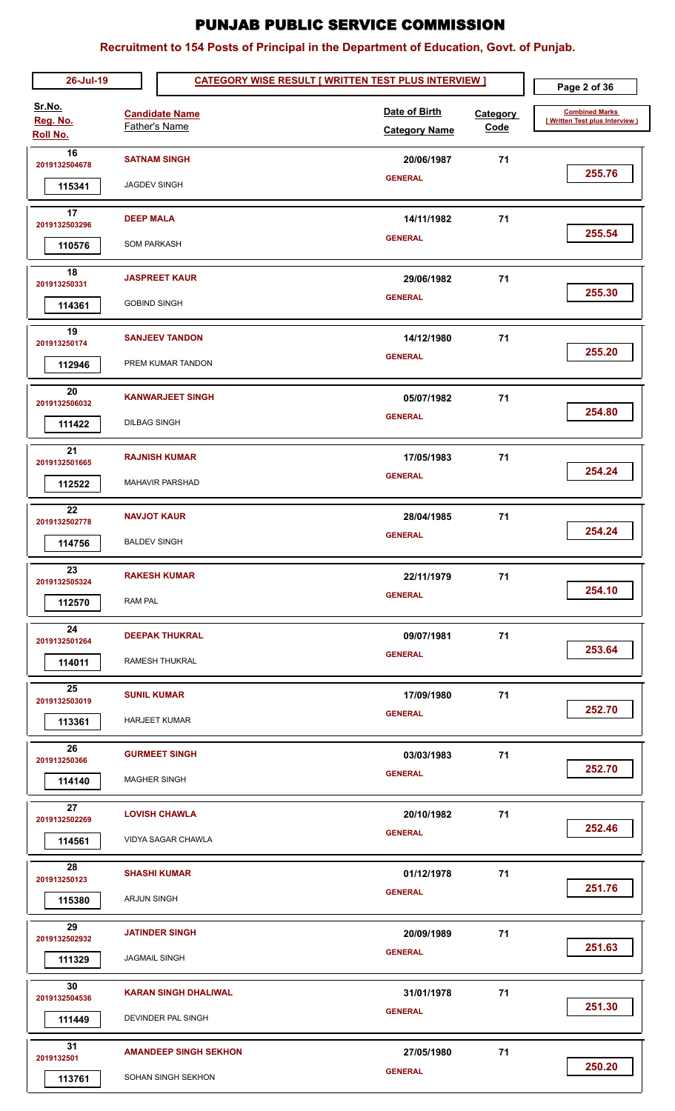| 26-Jul-19                      |                                        | <b>CATEGORY WISE RESULT [ WRITTEN TEST PLUS INTERVIEW ]</b> |  |                                       |                         | Page 2 of 36                                            |
|--------------------------------|----------------------------------------|-------------------------------------------------------------|--|---------------------------------------|-------------------------|---------------------------------------------------------|
| Sr.No.<br>Reg. No.<br>Roll No. |                                        | <b>Candidate Name</b><br>Father's Name                      |  | Date of Birth<br><b>Category Name</b> | <b>Category</b><br>Code | <b>Combined Marks</b><br>[Written Test plus Interview ) |
| 16<br>2019132504678<br>115341  | <b>JAGDEV SINGH</b>                    | <b>SATNAM SINGH</b>                                         |  | 20/06/1987<br><b>GENERAL</b>          | 71                      | 255.76                                                  |
| 17<br>2019132503296<br>110576  | <b>DEEP MALA</b><br><b>SOM PARKASH</b> |                                                             |  | 14/11/1982<br><b>GENERAL</b>          | 71                      | 255.54                                                  |
| 18<br>201913250331<br>114361   | <b>GOBIND SINGH</b>                    | <b>JASPREET KAUR</b>                                        |  | 29/06/1982<br><b>GENERAL</b>          | 71                      | 255.30                                                  |
| 19<br>201913250174<br>112946   |                                        | <b>SANJEEV TANDON</b><br>PREM KUMAR TANDON                  |  | 14/12/1980<br><b>GENERAL</b>          | 71                      | 255.20                                                  |
| 20<br>2019132506032<br>111422  | <b>DILBAG SINGH</b>                    | <b>KANWARJEET SINGH</b>                                     |  | 05/07/1982<br><b>GENERAL</b>          | 71                      | 254.80                                                  |
| 21<br>2019132501665<br>112522  |                                        | <b>RAJNISH KUMAR</b><br><b>MAHAVIR PARSHAD</b>              |  | 17/05/1983<br><b>GENERAL</b>          | 71                      | 254.24                                                  |
| 22<br>2019132502778<br>114756  | <b>BALDEV SINGH</b>                    | <b>NAVJOT KAUR</b>                                          |  | 28/04/1985<br><b>GENERAL</b>          | 71                      | 254.24                                                  |
| 23<br>2019132505324<br>112570  | RAM PAL                                | <b>RAKESH KUMAR</b>                                         |  | 22/11/1979<br><b>GENERAL</b>          | 71                      | 254.10                                                  |
| 24<br>2019132501264<br>114011  |                                        | <b>DEEPAK THUKRAL</b><br>RAMESH THUKRAL                     |  | 09/07/1981<br><b>GENERAL</b>          | 71                      | 253.64                                                  |
| 25<br>2019132503019<br>113361  |                                        | <b>SUNIL KUMAR</b><br><b>HARJEET KUMAR</b>                  |  | 17/09/1980<br><b>GENERAL</b>          | 71                      | 252.70                                                  |
| 26<br>201913250366<br>114140   |                                        | <b>GURMEET SINGH</b><br><b>MAGHER SINGH</b>                 |  | 03/03/1983<br><b>GENERAL</b>          | 71                      | 252.70                                                  |
| 27<br>2019132502269<br>114561  |                                        | <b>LOVISH CHAWLA</b><br>VIDYA SAGAR CHAWLA                  |  | 20/10/1982<br><b>GENERAL</b>          | 71                      | 252.46                                                  |
| 28<br>201913250123<br>115380   | <b>ARJUN SINGH</b>                     | <b>SHASHI KUMAR</b>                                         |  | 01/12/1978<br><b>GENERAL</b>          | 71                      | 251.76                                                  |
| 29<br>2019132502932<br>111329  | <b>JAGMAIL SINGH</b>                   | <b>JATINDER SINGH</b>                                       |  | 20/09/1989<br><b>GENERAL</b>          | 71                      | 251.63                                                  |
| 30<br>2019132504536<br>111449  |                                        | <b>KARAN SINGH DHALIWAL</b><br>DEVINDER PAL SINGH           |  | 31/01/1978<br><b>GENERAL</b>          | 71                      | 251.30                                                  |
| 31<br>2019132501<br>113761     |                                        | <b>AMANDEEP SINGH SEKHON</b><br>SOHAN SINGH SEKHON          |  | 27/05/1980<br><b>GENERAL</b>          | 71                      | 250.20                                                  |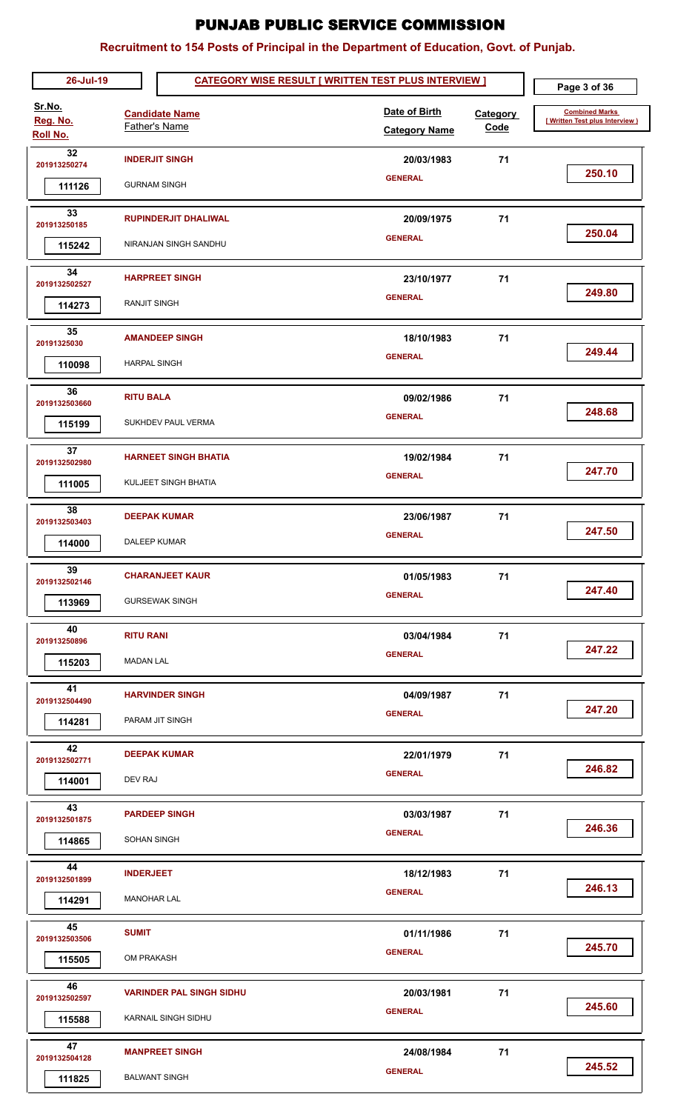| 26-Jul-19                      |                                        | <b>CATEGORY WISE RESULT [ WRITTEN TEST PLUS INTERVIEW ]</b>   |  |                                       |                  | Page 3 of 36                                             |
|--------------------------------|----------------------------------------|---------------------------------------------------------------|--|---------------------------------------|------------------|----------------------------------------------------------|
| Sr.No.<br>Reg. No.<br>Roll No. |                                        | <b>Candidate Name</b><br>Father's Name                        |  | Date of Birth<br><b>Category Name</b> | Category<br>Code | <b>Combined Marks</b><br>[ Written Test plus Interview ] |
| 32<br>201913250274<br>111126   | <b>GURNAM SINGH</b>                    | <b>INDERJIT SINGH</b>                                         |  | 20/03/1983<br><b>GENERAL</b>          | 71               | 250.10                                                   |
| 33<br>201913250185<br>115242   |                                        | <b>RUPINDERJIT DHALIWAL</b><br>NIRANJAN SINGH SANDHU          |  | 20/09/1975<br><b>GENERAL</b>          | 71               | 250.04                                                   |
| 34<br>2019132502527<br>114273  | <b>RANJIT SINGH</b>                    | <b>HARPREET SINGH</b>                                         |  | 23/10/1977<br><b>GENERAL</b>          | 71               | 249.80                                                   |
| 35<br>20191325030<br>110098    | <b>HARPAL SINGH</b>                    | <b>AMANDEEP SINGH</b>                                         |  | 18/10/1983<br><b>GENERAL</b>          | 71               | 249.44                                                   |
| 36<br>2019132503660<br>115199  | <b>RITU BALA</b>                       | SUKHDEV PAUL VERMA                                            |  | 09/02/1986<br><b>GENERAL</b>          | 71               | 248.68                                                   |
| 37<br>2019132502980<br>111005  |                                        | <b>HARNEET SINGH BHATIA</b><br>KULJEET SINGH BHATIA           |  | 19/02/1984<br><b>GENERAL</b>          | 71               | 247.70                                                   |
| 38<br>2019132503403<br>114000  | <b>DALEEP KUMAR</b>                    | <b>DEEPAK KUMAR</b>                                           |  | 23/06/1987<br><b>GENERAL</b>          | 71               | 247.50                                                   |
| 39<br>2019132502146<br>113969  |                                        | <b>CHARANJEET KAUR</b><br><b>GURSEWAK SINGH</b>               |  | 01/05/1983<br><b>GENERAL</b>          | 71               | 247.40                                                   |
| 40<br>201913250896<br>115203   | <b>RITU RANI</b><br><b>MADAN LAL</b>   |                                                               |  | 03/04/1984<br><b>GENERAL</b>          | 71               | 247.22                                                   |
| 41<br>2019132504490<br>114281  |                                        | <b>HARVINDER SINGH</b><br>PARAM JIT SINGH                     |  | 04/09/1987<br><b>GENERAL</b>          | 71               | 247.20                                                   |
| 42<br>2019132502771<br>114001  | DEV RAJ                                | <b>DEEPAK KUMAR</b>                                           |  | 22/01/1979<br><b>GENERAL</b>          | 71               | 246.82                                                   |
| 43<br>2019132501875<br>114865  | <b>SOHAN SINGH</b>                     | <b>PARDEEP SINGH</b>                                          |  | 03/03/1987<br><b>GENERAL</b>          | 71               | 246.36                                                   |
| 44<br>2019132501899<br>114291  | <b>INDERJEET</b><br><b>MANOHAR LAL</b> |                                                               |  | 18/12/1983<br><b>GENERAL</b>          | 71               | 246.13                                                   |
| 45<br>2019132503506<br>115505  | <b>SUMIT</b><br>OM PRAKASH             |                                                               |  | 01/11/1986<br><b>GENERAL</b>          | 71               | 245.70                                                   |
| 46<br>2019132502597<br>115588  |                                        | <b>VARINDER PAL SINGH SIDHU</b><br><b>KARNAIL SINGH SIDHU</b> |  | 20/03/1981<br><b>GENERAL</b>          | 71               | 245.60                                                   |
| 47<br>2019132504128<br>111825  |                                        | <b>MANPREET SINGH</b><br><b>BALWANT SINGH</b>                 |  | 24/08/1984<br><b>GENERAL</b>          | 71               | 245.52                                                   |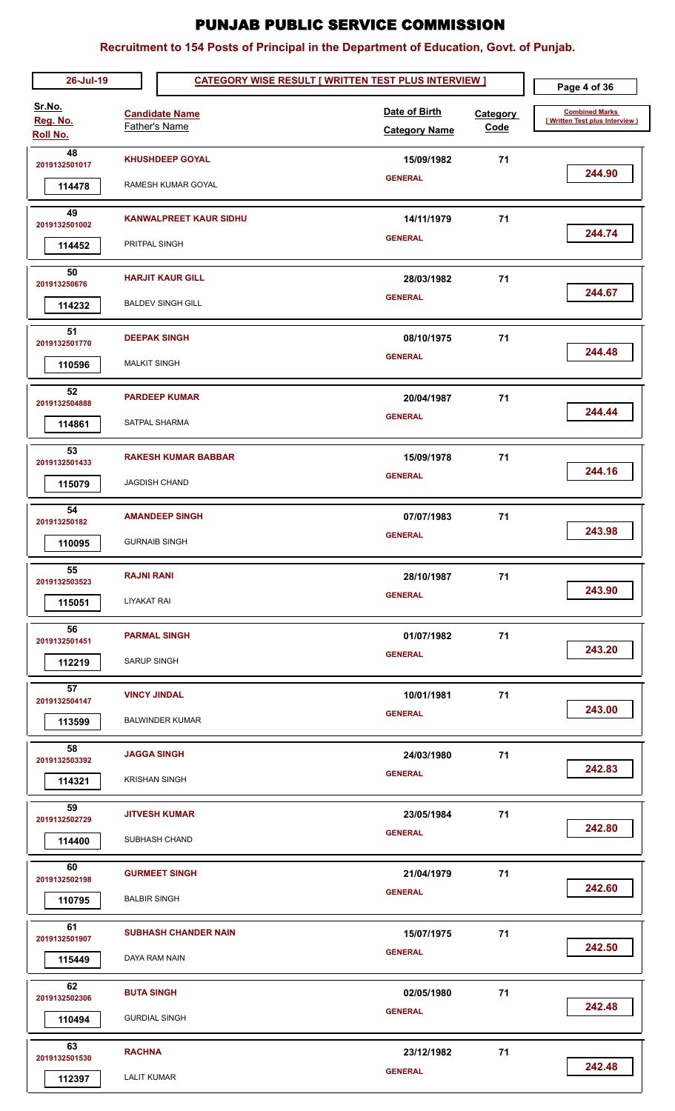| 26-Jul-19                      |                                     |                                                     | <b>CATEGORY WISE RESULT [ WRITTEN TEST PLUS INTERVIEW ]</b> |                                |                                                         |  |
|--------------------------------|-------------------------------------|-----------------------------------------------------|-------------------------------------------------------------|--------------------------------|---------------------------------------------------------|--|
| Sr.No.<br>Reg. No.<br>Roll No. |                                     | <b>Candidate Name</b><br><b>Father's Name</b>       | Date of Birth<br><b>Category Name</b>                       | <b>Category</b><br><b>Code</b> | <b>Combined Marks</b><br>[Written Test plus Interview ) |  |
| 48<br>2019132501017<br>114478  |                                     | <b>KHUSHDEEP GOYAL</b><br>RAMESH KUMAR GOYAL        | 15/09/1982<br><b>GENERAL</b>                                | 71                             | 244.90                                                  |  |
| 49<br>2019132501002<br>114452  | PRITPAL SINGH                       | <b>KANWALPREET KAUR SIDHU</b>                       | 14/11/1979<br><b>GENERAL</b>                                | 71                             | 244.74                                                  |  |
| 50<br>201913250676<br>114232   |                                     | <b>HARJIT KAUR GILL</b><br><b>BALDEV SINGH GILL</b> | 28/03/1982<br><b>GENERAL</b>                                | 71                             | 244.67                                                  |  |
| 51<br>2019132501770<br>110596  | <b>MALKIT SINGH</b>                 | <b>DEEPAK SINGH</b>                                 | 08/10/1975<br><b>GENERAL</b>                                | 71                             | 244.48                                                  |  |
| 52<br>2019132504888<br>114861  |                                     | <b>PARDEEP KUMAR</b><br>SATPAL SHARMA               | 20/04/1987<br><b>GENERAL</b>                                | 71                             | 244.44                                                  |  |
| 53<br>2019132501433<br>115079  |                                     | <b>RAKESH KUMAR BABBAR</b><br><b>JAGDISH CHAND</b>  | 15/09/1978<br><b>GENERAL</b>                                | 71                             | 244.16                                                  |  |
| 54<br>201913250182<br>110095   |                                     | <b>AMANDEEP SINGH</b><br><b>GURNAIB SINGH</b>       | 07/07/1983<br><b>GENERAL</b>                                | 71                             | 243.98                                                  |  |
| 55<br>2019132503523<br>115051  | <b>RAJNI RANI</b><br>LIYAKAT RAI    |                                                     | 28/10/1987<br><b>GENERAL</b>                                | 71                             | 243.90                                                  |  |
| 56<br>2019132501451<br>112219  | <b>SARUP SINGH</b>                  | <b>PARMAL SINGH</b>                                 | 01/07/1982<br><b>GENERAL</b>                                | 71                             | 243.20                                                  |  |
| 57<br>2019132504147<br>113599  | <b>VINCY JINDAL</b>                 | <b>BALWINDER KUMAR</b>                              | 10/01/1981<br><b>GENERAL</b>                                | 71                             | 243.00                                                  |  |
| 58<br>2019132503392<br>114321  | <b>JAGGA SINGH</b>                  | <b>KRISHAN SINGH</b>                                | 24/03/1980<br><b>GENERAL</b>                                | 71                             | 242.83                                                  |  |
| 59<br>2019132502729<br>114400  |                                     | <b>JITVESH KUMAR</b><br>SUBHASH CHAND               | 23/05/1984<br><b>GENERAL</b>                                | 71                             | 242.80                                                  |  |
| 60<br>2019132502198<br>110795  | <b>BALBIR SINGH</b>                 | <b>GURMEET SINGH</b>                                | 21/04/1979<br><b>GENERAL</b>                                | 71                             | 242.60                                                  |  |
| 61<br>2019132501907<br>115449  | DAYA RAM NAIN                       | <b>SUBHASH CHANDER NAIN</b>                         | 15/07/1975<br><b>GENERAL</b>                                | 71                             | 242.50                                                  |  |
| 62<br>2019132502306<br>110494  | <b>BUTA SINGH</b>                   | <b>GURDIAL SINGH</b>                                | 02/05/1980<br><b>GENERAL</b>                                | 71                             | 242.48                                                  |  |
| 63<br>2019132501530<br>112397  | <b>RACHNA</b><br><b>LALIT KUMAR</b> |                                                     | 23/12/1982<br><b>GENERAL</b>                                | 71                             | 242.48                                                  |  |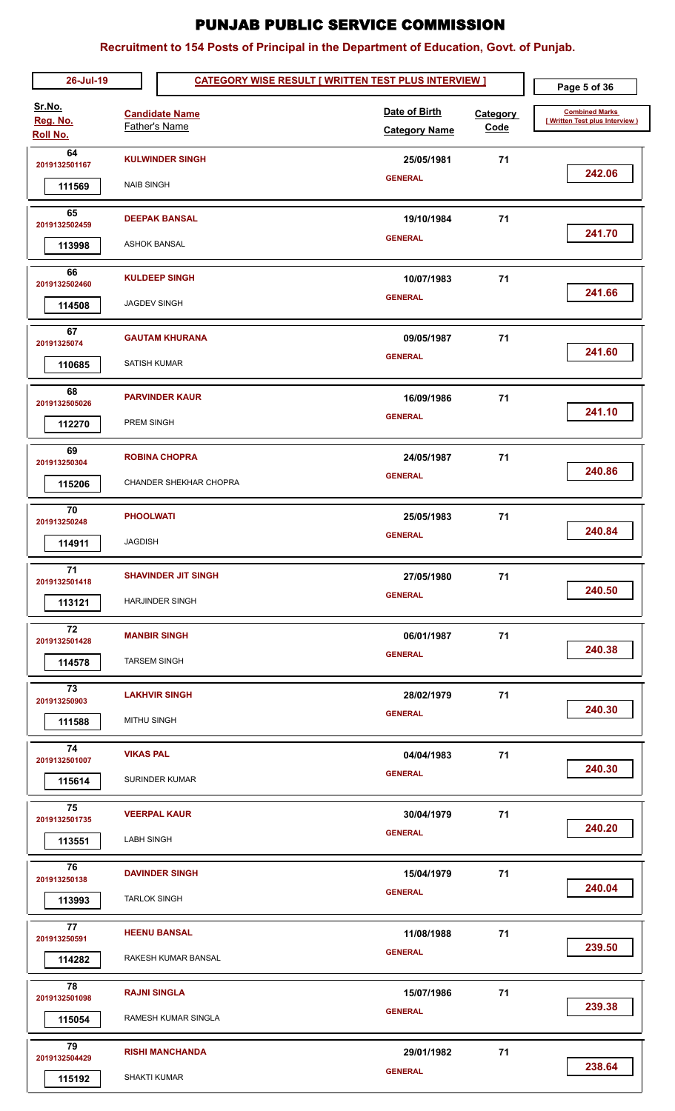| 26-Jul-19                             | <b>CATEGORY WISE RESULT [ WRITTEN TEST PLUS INTERVIEW ]</b> |                                                      |  |                                       |                         | Page 5 of 36                                            |
|---------------------------------------|-------------------------------------------------------------|------------------------------------------------------|--|---------------------------------------|-------------------------|---------------------------------------------------------|
| Sr.No.<br>Reg. No.<br><b>Roll No.</b> |                                                             | <b>Candidate Name</b><br>Father's Name               |  | Date of Birth<br><b>Category Name</b> | <b>Category</b><br>Code | <b>Combined Marks</b><br>[Written Test plus Interview ] |
| 64<br>2019132501167<br>111569         | <b>NAIB SINGH</b>                                           | <b>KULWINDER SINGH</b>                               |  | 25/05/1981<br><b>GENERAL</b>          | 71                      | 242.06                                                  |
| 65<br>2019132502459<br>113998         | <b>ASHOK BANSAL</b>                                         | <b>DEEPAK BANSAL</b>                                 |  | 19/10/1984<br><b>GENERAL</b>          | 71                      | 241.70                                                  |
| 66<br>2019132502460<br>114508         | <b>JAGDEV SINGH</b>                                         | <b>KULDEEP SINGH</b>                                 |  | 10/07/1983<br><b>GENERAL</b>          | 71                      | 241.66                                                  |
| 67<br>20191325074<br>110685           | SATISH KUMAR                                                | <b>GAUTAM KHURANA</b>                                |  | 09/05/1987<br><b>GENERAL</b>          | 71                      | 241.60                                                  |
| 68<br>2019132505026<br>112270         | PREM SINGH                                                  | <b>PARVINDER KAUR</b>                                |  | 16/09/1986<br><b>GENERAL</b>          | 71                      | 241.10                                                  |
| 69<br>201913250304<br>115206          |                                                             | <b>ROBINA CHOPRA</b><br>CHANDER SHEKHAR CHOPRA       |  | 24/05/1987<br><b>GENERAL</b>          | 71                      | 240.86                                                  |
| 70<br>201913250248<br>114911          | <b>PHOOLWATI</b><br><b>JAGDISH</b>                          |                                                      |  | 25/05/1983<br><b>GENERAL</b>          | 71                      | 240.84                                                  |
| 71<br>2019132501418<br>113121         |                                                             | <b>SHAVINDER JIT SINGH</b><br><b>HARJINDER SINGH</b> |  | 27/05/1980<br><b>GENERAL</b>          | 71                      | 240.50                                                  |
| 72<br>2019132501428<br>114578         | <b>TARSEM SINGH</b>                                         | <b>MANBIR SINGH</b>                                  |  | 06/01/1987<br><b>GENERAL</b>          | 71                      | 240.38                                                  |
| 73<br>201913250903<br>111588          | <b>MITHU SINGH</b>                                          | <b>LAKHVIR SINGH</b>                                 |  | 28/02/1979<br><b>GENERAL</b>          | 71                      | 240.30                                                  |
| 74<br>2019132501007<br>115614         | <b>VIKAS PAL</b>                                            | SURINDER KUMAR                                       |  | 04/04/1983<br><b>GENERAL</b>          | 71                      | 240.30                                                  |
| 75<br>2019132501735<br>113551         | <b>LABH SINGH</b>                                           | <b>VEERPAL KAUR</b>                                  |  | 30/04/1979<br><b>GENERAL</b>          | 71                      | 240.20                                                  |
| 76<br>201913250138<br>113993          | <b>TARLOK SINGH</b>                                         | <b>DAVINDER SINGH</b>                                |  | 15/04/1979<br><b>GENERAL</b>          | 71                      | 240.04                                                  |
| 77<br>201913250591<br>114282          |                                                             | <b>HEENU BANSAL</b><br>RAKESH KUMAR BANSAL           |  | 11/08/1988<br><b>GENERAL</b>          | 71                      | 239.50                                                  |
| 78<br>2019132501098<br>115054         | <b>RAJNI SINGLA</b>                                         | RAMESH KUMAR SINGLA                                  |  | 15/07/1986<br><b>GENERAL</b>          | 71                      | 239.38                                                  |
| 79<br>2019132504429<br>115192         | <b>SHAKTI KUMAR</b>                                         | <b>RISHI MANCHANDA</b>                               |  | 29/01/1982<br><b>GENERAL</b>          | 71                      | 238.64                                                  |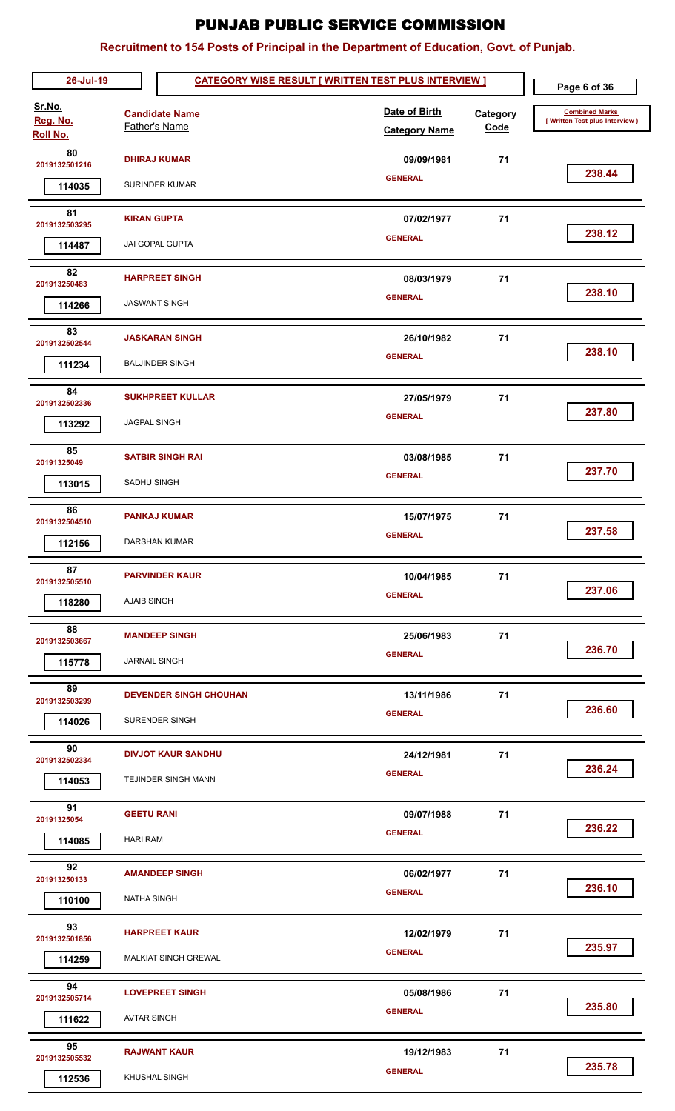| 26-Jul-19                      |                                               |                                                  | <b>CATEGORY WISE RESULT [ WRITTEN TEST PLUS INTERVIEW ]</b> |                         |                                                         |  |
|--------------------------------|-----------------------------------------------|--------------------------------------------------|-------------------------------------------------------------|-------------------------|---------------------------------------------------------|--|
| Sr.No.<br>Reg. No.<br>Roll No. | <b>Candidate Name</b><br><b>Father's Name</b> |                                                  | Date of Birth<br><b>Category Name</b>                       | <b>Category</b><br>Code | <b>Combined Marks</b><br>[Written Test plus Interview ] |  |
| 80<br>2019132501216            |                                               | <b>DHIRAJ KUMAR</b>                              | 09/09/1981<br><b>GENERAL</b>                                | 71                      | 238.44                                                  |  |
| 114035                         |                                               | SURINDER KUMAR                                   |                                                             |                         |                                                         |  |
| 81<br>2019132503295<br>114487  | <b>KIRAN GUPTA</b>                            | JAI GOPAL GUPTA                                  | 07/02/1977<br><b>GENERAL</b>                                | 71                      | 238.12                                                  |  |
| 82<br>201913250483<br>114266   |                                               | <b>HARPREET SINGH</b><br><b>JASWANT SINGH</b>    | 08/03/1979<br><b>GENERAL</b>                                | 71                      | 238.10                                                  |  |
| 83<br>2019132502544<br>111234  |                                               | <b>JASKARAN SINGH</b><br><b>BALJINDER SINGH</b>  | 26/10/1982<br><b>GENERAL</b>                                | 71                      | 238.10                                                  |  |
| 84<br>2019132502336<br>113292  | <b>JAGPAL SINGH</b>                           | <b>SUKHPREET KULLAR</b>                          | 27/05/1979<br><b>GENERAL</b>                                | 71                      | 237.80                                                  |  |
| 85<br>20191325049<br>113015    | SADHU SINGH                                   | <b>SATBIR SINGH RAI</b>                          | 03/08/1985<br><b>GENERAL</b>                                | 71                      | 237.70                                                  |  |
| 86<br>2019132504510<br>112156  |                                               | <b>PANKAJ KUMAR</b><br>DARSHAN KUMAR             | 15/07/1975<br><b>GENERAL</b>                                | 71                      | 237.58                                                  |  |
| 87<br>2019132505510<br>118280  | <b>AJAIB SINGH</b>                            | <b>PARVINDER KAUR</b>                            | 10/04/1985<br><b>GENERAL</b>                                | 71                      | 237.06                                                  |  |
| 88<br>2019132503667<br>115778  | <b>JARNAIL SINGH</b>                          | <b>MANDEEP SINGH</b>                             | 25/06/1983<br><b>GENERAL</b>                                | 71                      | 236.70                                                  |  |
| 89<br>2019132503299<br>114026  |                                               | <b>DEVENDER SINGH CHOUHAN</b><br>SURENDER SINGH  | 13/11/1986<br><b>GENERAL</b>                                | 71                      | 236.60                                                  |  |
| 90<br>2019132502334<br>114053  |                                               | <b>DIVJOT KAUR SANDHU</b><br>TEJINDER SINGH MANN | 24/12/1981<br><b>GENERAL</b>                                | 71                      | 236.24                                                  |  |
| 91<br>20191325054<br>114085    | <b>GEETU RANI</b><br><b>HARI RAM</b>          |                                                  | 09/07/1988<br><b>GENERAL</b>                                | 71                      | 236.22                                                  |  |
| 92<br>201913250133<br>110100   | <b>NATHA SINGH</b>                            | <b>AMANDEEP SINGH</b>                            | 06/02/1977<br><b>GENERAL</b>                                | 71                      | 236.10                                                  |  |
| 93<br>2019132501856<br>114259  |                                               | <b>HARPREET KAUR</b><br>MALKIAT SINGH GREWAL     | 12/02/1979<br><b>GENERAL</b>                                | 71                      | 235.97                                                  |  |
| 94<br>2019132505714<br>111622  | <b>AVTAR SINGH</b>                            | <b>LOVEPREET SINGH</b>                           | 05/08/1986<br><b>GENERAL</b>                                | 71                      | 235.80                                                  |  |
| 95<br>2019132505532<br>112536  |                                               | <b>RAJWANT KAUR</b><br>KHUSHAL SINGH             | 19/12/1983<br><b>GENERAL</b>                                | 71                      | 235.78                                                  |  |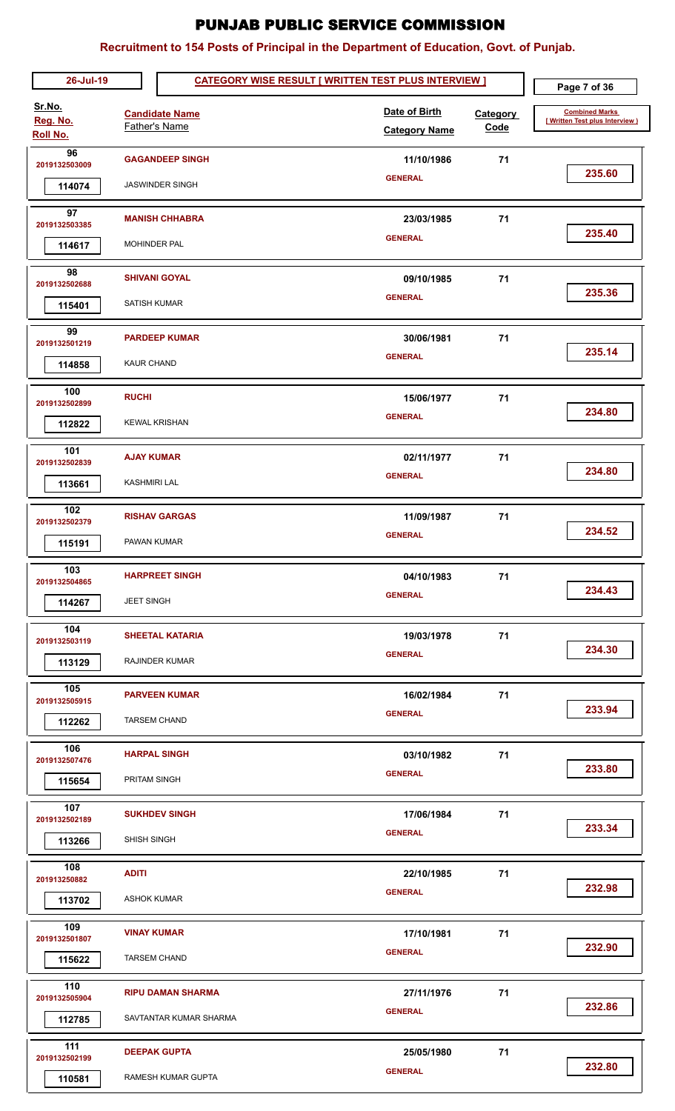| 26-Jul-19                      |                                          |                                                    | <b>CATEGORY WISE RESULT [ WRITTEN TEST PLUS INTERVIEW ]</b> |                                       | Page 7 of 36            |                                                         |
|--------------------------------|------------------------------------------|----------------------------------------------------|-------------------------------------------------------------|---------------------------------------|-------------------------|---------------------------------------------------------|
| Sr.No.<br>Reg. No.<br>Roll No. |                                          | <b>Candidate Name</b><br>Father's Name             |                                                             | Date of Birth<br><b>Category Name</b> | Category<br><b>Code</b> | <b>Combined Marks</b><br>[Written Test plus Interview ) |
| 96<br>2019132503009<br>114074  |                                          | <b>GAGANDEEP SINGH</b><br><b>JASWINDER SINGH</b>   |                                                             | 11/10/1986<br><b>GENERAL</b>          | 71                      | 235.60                                                  |
| 97<br>2019132503385<br>114617  | MOHINDER PAL                             | <b>MANISH CHHABRA</b>                              |                                                             | 23/03/1985<br><b>GENERAL</b>          | 71                      | 235.40                                                  |
| 98<br>2019132502688<br>115401  | <b>SATISH KUMAR</b>                      | <b>SHIVANI GOYAL</b>                               |                                                             | 09/10/1985<br><b>GENERAL</b>          | 71                      | 235.36                                                  |
| 99<br>2019132501219<br>114858  | <b>KAUR CHAND</b>                        | <b>PARDEEP KUMAR</b>                               |                                                             | 30/06/1981<br><b>GENERAL</b>          | 71                      | 235.14                                                  |
| 100<br>2019132502899<br>112822 | <b>RUCHI</b>                             | <b>KEWAL KRISHAN</b>                               |                                                             | 15/06/1977<br><b>GENERAL</b>          | 71                      | 234.80                                                  |
| 101<br>2019132502839<br>113661 | <b>AJAY KUMAR</b><br><b>KASHMIRI LAL</b> |                                                    |                                                             | 02/11/1977<br><b>GENERAL</b>          | 71                      | 234.80                                                  |
| 102<br>2019132502379<br>115191 | PAWAN KUMAR                              | <b>RISHAV GARGAS</b>                               |                                                             | 11/09/1987<br><b>GENERAL</b>          | 71                      | 234.52                                                  |
| 103<br>2019132504865<br>114267 | <b>JEET SINGH</b>                        | <b>HARPREET SINGH</b>                              |                                                             | 04/10/1983<br><b>GENERAL</b>          | 71                      | 234.43                                                  |
| 104<br>2019132503119<br>113129 |                                          | <b>SHEETAL KATARIA</b><br>RAJINDER KUMAR           |                                                             | 19/03/1978<br><b>GENERAL</b>          | 71                      | 234.30                                                  |
| 105<br>2019132505915<br>112262 |                                          | <b>PARVEEN KUMAR</b><br><b>TARSEM CHAND</b>        |                                                             | 16/02/1984<br><b>GENERAL</b>          | 71                      | 233.94                                                  |
| 106<br>2019132507476<br>115654 | PRITAM SINGH                             | <b>HARPAL SINGH</b>                                |                                                             | 03/10/1982<br><b>GENERAL</b>          | 71                      | 233.80                                                  |
| 107<br>2019132502189<br>113266 | SHISH SINGH                              | <b>SUKHDEV SINGH</b>                               |                                                             | 17/06/1984<br><b>GENERAL</b>          | 71                      | 233.34                                                  |
| 108<br>201913250882<br>113702  | <b>ADITI</b><br><b>ASHOK KUMAR</b>       |                                                    |                                                             | 22/10/1985<br><b>GENERAL</b>          | 71                      | 232.98                                                  |
| 109<br>2019132501807<br>115622 | <b>VINAY KUMAR</b>                       | <b>TARSEM CHAND</b>                                |                                                             | 17/10/1981<br><b>GENERAL</b>          | 71                      | 232.90                                                  |
| 110<br>2019132505904<br>112785 |                                          | <b>RIPU DAMAN SHARMA</b><br>SAVTANTAR KUMAR SHARMA |                                                             | 27/11/1976<br><b>GENERAL</b>          | 71                      | 232.86                                                  |
| 111<br>2019132502199<br>110581 |                                          | <b>DEEPAK GUPTA</b><br>RAMESH KUMAR GUPTA          |                                                             | 25/05/1980<br><b>GENERAL</b>          | 71                      | 232.80                                                  |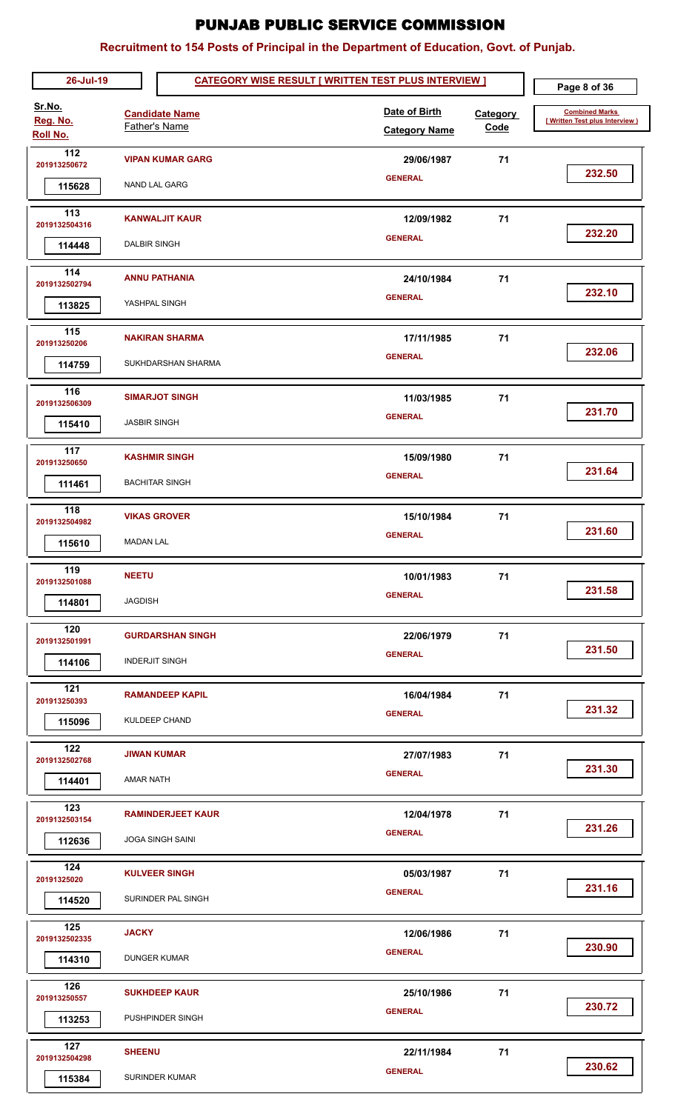| 26-Jul-19                      | <b>CATEGORY WISE RESULT [ WRITTEN TEST PLUS INTERVIEW ]</b> |                                                     |  |                                       |                  | Page 8 of 36                                            |
|--------------------------------|-------------------------------------------------------------|-----------------------------------------------------|--|---------------------------------------|------------------|---------------------------------------------------------|
| Sr.No.<br>Reg. No.<br>Roll No. |                                                             | <b>Candidate Name</b><br>Father's Name              |  | Date of Birth<br><b>Category Name</b> | Category<br>Code | <b>Combined Marks</b><br>[Written Test plus Interview ] |
| 112<br>201913250672<br>115628  |                                                             | <b>VIPAN KUMAR GARG</b><br><b>NAND LAL GARG</b>     |  | 29/06/1987<br><b>GENERAL</b>          | 71               | 232.50                                                  |
| 113<br>2019132504316<br>114448 | <b>DALBIR SINGH</b>                                         | <b>KANWALJIT KAUR</b>                               |  | 12/09/1982<br><b>GENERAL</b>          | 71               | 232.20                                                  |
| 114<br>2019132502794<br>113825 |                                                             | <b>ANNU PATHANIA</b><br>YASHPAL SINGH               |  | 24/10/1984<br><b>GENERAL</b>          | 71               | 232.10                                                  |
| 115<br>201913250206<br>114759  |                                                             | <b>NAKIRAN SHARMA</b><br>SUKHDARSHAN SHARMA         |  | 17/11/1985<br><b>GENERAL</b>          | 71               | 232.06                                                  |
| 116<br>2019132506309<br>115410 | <b>JASBIR SINGH</b>                                         | <b>SIMARJOT SINGH</b>                               |  | 11/03/1985<br><b>GENERAL</b>          | 71               | 231.70                                                  |
| 117<br>201913250650<br>111461  |                                                             | <b>KASHMIR SINGH</b><br><b>BACHITAR SINGH</b>       |  | 15/09/1980<br><b>GENERAL</b>          | 71               | 231.64                                                  |
| 118<br>2019132504982<br>115610 | <b>MADAN LAL</b>                                            | <b>VIKAS GROVER</b>                                 |  | 15/10/1984<br><b>GENERAL</b>          | 71               | 231.60                                                  |
| 119<br>2019132501088<br>114801 | <b>NEETU</b><br><b>JAGDISH</b>                              |                                                     |  | 10/01/1983<br><b>GENERAL</b>          | 71               | 231.58                                                  |
| 120<br>2019132501991<br>114106 |                                                             | <b>GURDARSHAN SINGH</b><br><b>INDERJIT SINGH</b>    |  | 22/06/1979<br><b>GENERAL</b>          | 71               | 231.50                                                  |
| 121<br>201913250393<br>115096  |                                                             | <b>RAMANDEEP KAPIL</b><br>KULDEEP CHAND             |  | 16/04/1984<br><b>GENERAL</b>          | 71               | 231.32                                                  |
| 122<br>2019132502768<br>114401 | <b>AMAR NATH</b>                                            | <b>JIWAN KUMAR</b>                                  |  | 27/07/1983<br><b>GENERAL</b>          | 71               | 231.30                                                  |
| 123<br>2019132503154<br>112636 |                                                             | <b>RAMINDERJEET KAUR</b><br><b>JOGA SINGH SAINI</b> |  | 12/04/1978<br><b>GENERAL</b>          | 71               | 231.26                                                  |
| 124<br>20191325020<br>114520   |                                                             | <b>KULVEER SINGH</b><br>SURINDER PAL SINGH          |  | 05/03/1987<br><b>GENERAL</b>          | 71               | 231.16                                                  |
| 125<br>2019132502335<br>114310 | <b>JACKY</b>                                                | <b>DUNGER KUMAR</b>                                 |  | 12/06/1986<br><b>GENERAL</b>          | 71               | 230.90                                                  |
| 126<br>201913250557<br>113253  |                                                             | <b>SUKHDEEP KAUR</b><br>PUSHPINDER SINGH            |  | 25/10/1986<br><b>GENERAL</b>          | 71               | 230.72                                                  |
| 127<br>2019132504298<br>115384 | <b>SHEENU</b>                                               | SURINDER KUMAR                                      |  | 22/11/1984<br><b>GENERAL</b>          | 71               | 230.62                                                  |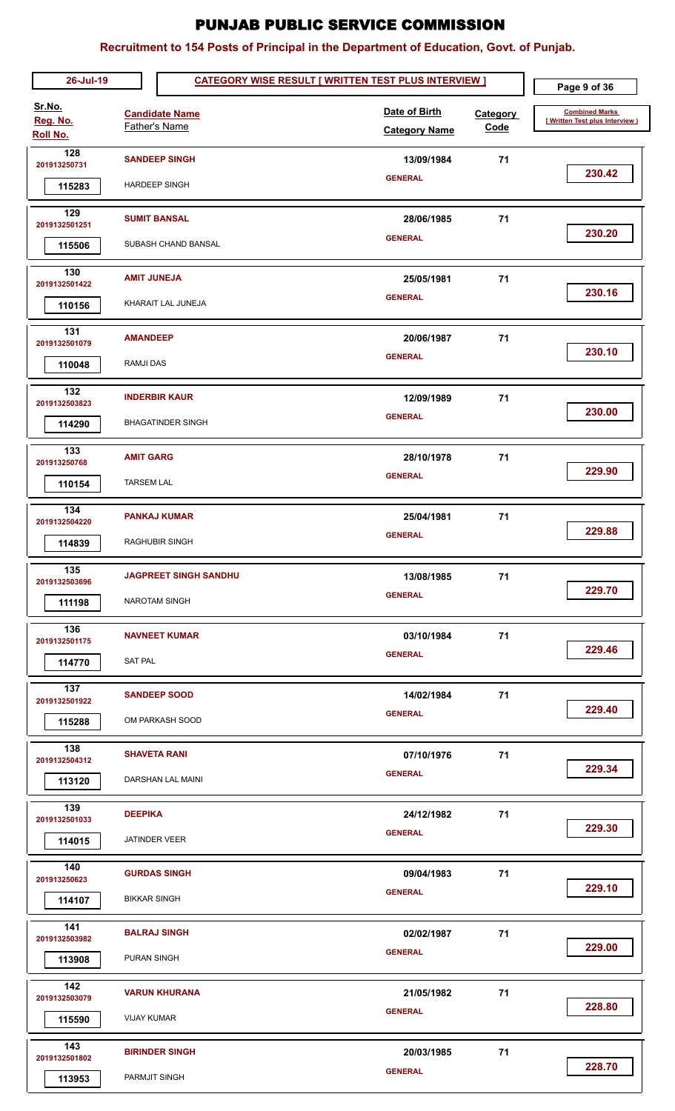| 26-Jul-19                                   |                                       | <b>CATEGORY WISE RESULT [ WRITTEN TEST PLUS INTERVIEW ]</b> |  |                                       |                  | Page 9 of 36                                             |
|---------------------------------------------|---------------------------------------|-------------------------------------------------------------|--|---------------------------------------|------------------|----------------------------------------------------------|
| Sr.No.<br>Reg. No.<br>Roll No.              |                                       | <b>Candidate Name</b><br>Father's Name                      |  | Date of Birth<br><b>Category Name</b> | Category<br>Code | <b>Combined Marks</b><br>[ Written Test plus Interview ] |
| 128<br>201913250731<br>115283               |                                       | <b>SANDEEP SINGH</b><br><b>HARDEEP SINGH</b>                |  | 13/09/1984<br><b>GENERAL</b>          | 71               | 230.42                                                   |
| 129<br>2019132501251<br>115506              |                                       | <b>SUMIT BANSAL</b><br>SUBASH CHAND BANSAL                  |  | 28/06/1985<br><b>GENERAL</b>          | 71               | 230.20                                                   |
| 130<br>2019132501422<br>110156              | <b>AMIT JUNEJA</b>                    | KHARAIT LAL JUNEJA                                          |  | 25/05/1981<br><b>GENERAL</b>          | 71               | 230.16                                                   |
| 131<br>2019132501079<br>110048              | <b>AMANDEEP</b><br><b>RAMJI DAS</b>   |                                                             |  | 20/06/1987<br><b>GENERAL</b>          | 71               | 230.10                                                   |
| 132<br>2019132503823<br>114290              |                                       | <b>INDERBIR KAUR</b><br><b>BHAGATINDER SINGH</b>            |  | 12/09/1989<br><b>GENERAL</b>          | 71               | 230.00                                                   |
| 133<br>201913250768<br>110154               | <b>AMIT GARG</b><br><b>TARSEM LAL</b> |                                                             |  | 28/10/1978<br><b>GENERAL</b>          | 71               | 229.90                                                   |
| 134<br>2019132504220<br>114839              |                                       | <b>PANKAJ KUMAR</b><br>RAGHUBIR SINGH                       |  | 25/04/1981<br><b>GENERAL</b>          | 71               | 229.88                                                   |
| $\overline{135}$<br>2019132503696<br>111198 |                                       | <b>JAGPREET SINGH SANDHU</b><br><b>NAROTAM SINGH</b>        |  | 13/08/1985<br><b>GENERAL</b>          | 71               | 229.70                                                   |
| 136<br>2019132501175<br>114770              | <b>SAT PAL</b>                        | <b>NAVNEET KUMAR</b>                                        |  | 03/10/1984<br><b>GENERAL</b>          | 71               | 229.46                                                   |
| 137<br>2019132501922<br>115288              |                                       | <b>SANDEEP SOOD</b><br>OM PARKASH SOOD                      |  | 14/02/1984<br><b>GENERAL</b>          | 71               | 229.40                                                   |
| 138<br>2019132504312<br>113120              |                                       | <b>SHAVETA RANI</b><br>DARSHAN LAL MAINI                    |  | 07/10/1976<br><b>GENERAL</b>          | 71               | 229.34                                                   |
| 139<br>2019132501033<br>114015              | <b>DEEPIKA</b>                        | <b>JATINDER VEER</b>                                        |  | 24/12/1982<br><b>GENERAL</b>          | 71               | 229.30                                                   |
| 140<br>201913250623<br>114107               | <b>BIKKAR SINGH</b>                   | <b>GURDAS SINGH</b>                                         |  | 09/04/1983<br><b>GENERAL</b>          | 71               | 229.10                                                   |
| 141<br>2019132503982<br>113908              | PURAN SINGH                           | <b>BALRAJ SINGH</b>                                         |  | 02/02/1987<br><b>GENERAL</b>          | 71               | 229.00                                                   |
| 142<br>2019132503079<br>115590              | <b>VIJAY KUMAR</b>                    | <b>VARUN KHURANA</b>                                        |  | 21/05/1982<br><b>GENERAL</b>          | 71               | 228.80                                                   |
| 143<br>2019132501802<br>113953              | PARMJIT SINGH                         | <b>BIRINDER SINGH</b>                                       |  | 20/03/1985<br><b>GENERAL</b>          | 71               | 228.70                                                   |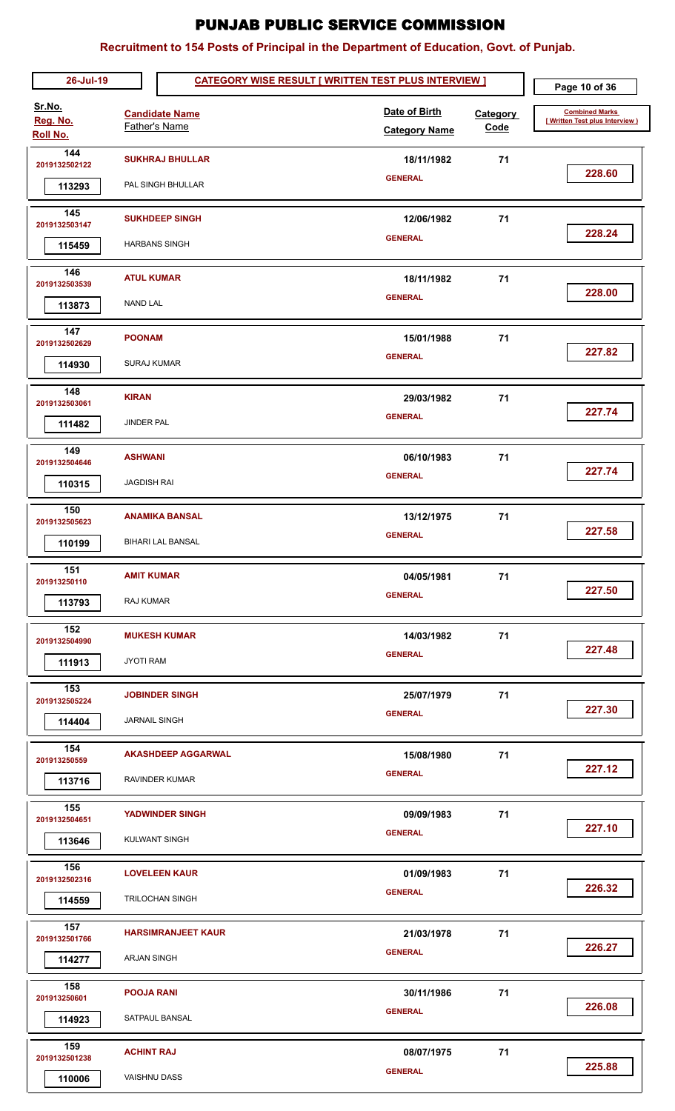| 26-Jul-19                                  |                                          |                                                   | <b>CATEGORY WISE RESULT [ WRITTEN TEST PLUS INTERVIEW ]</b> |                         |                                                         |  |
|--------------------------------------------|------------------------------------------|---------------------------------------------------|-------------------------------------------------------------|-------------------------|---------------------------------------------------------|--|
| Sr.No.<br>Reg. No.<br>Roll No.             |                                          | <b>Candidate Name</b><br>Father's Name            | Date of Birth<br><b>Category Name</b>                       | <b>Category</b><br>Code | <b>Combined Marks</b><br>[Written Test plus Interview ] |  |
| 144<br>2019132502122<br>113293             |                                          | <b>SUKHRAJ BHULLAR</b><br>PAL SINGH BHULLAR       | 18/11/1982<br><b>GENERAL</b>                                | 71                      | 228.60                                                  |  |
| 145<br>2019132503147<br>115459             |                                          | <b>SUKHDEEP SINGH</b><br><b>HARBANS SINGH</b>     | 12/06/1982<br><b>GENERAL</b>                                | 71                      | 228.24                                                  |  |
| 146<br>2019132503539<br>113873             | <b>ATUL KUMAR</b><br><b>NAND LAL</b>     |                                                   | 18/11/1982<br><b>GENERAL</b>                                | 71                      | 228.00                                                  |  |
| 147<br>2019132502629<br>114930             | <b>POONAM</b><br><b>SURAJ KUMAR</b>      |                                                   | 15/01/1988<br><b>GENERAL</b>                                | 71                      | 227.82                                                  |  |
| 148<br>2019132503061<br>111482             | <b>KIRAN</b><br><b>JINDER PAL</b>        |                                                   | 29/03/1982<br><b>GENERAL</b>                                | 71                      | 227.74                                                  |  |
| 149<br>2019132504646<br>110315             | <b>ASHWANI</b><br><b>JAGDISH RAI</b>     |                                                   | 06/10/1983<br><b>GENERAL</b>                                | 71                      | 227.74                                                  |  |
| 150<br>2019132505623<br>110199             |                                          | <b>ANAMIKA BANSAL</b><br><b>BIHARI LAL BANSAL</b> | 13/12/1975<br><b>GENERAL</b>                                | 71                      | 227.58                                                  |  |
| $\overline{151}$<br>201913250110<br>113793 | <b>AMIT KUMAR</b><br>RAJ KUMAR           |                                                   | 04/05/1981<br><b>GENERAL</b>                                | 71                      | 227.50                                                  |  |
| 152<br>2019132504990<br>111913             | <b>JYOTI RAM</b>                         | <b>MUKESH KUMAR</b>                               | 14/03/1982<br><b>GENERAL</b>                                | 71                      | 227.48                                                  |  |
| 153<br>2019132505224<br>114404             | <b>JARNAIL SINGH</b>                     | <b>JOBINDER SINGH</b>                             | 25/07/1979<br><b>GENERAL</b>                                | 71                      | 227.30                                                  |  |
| 154<br>201913250559<br>113716              |                                          | <b>AKASHDEEP AGGARWAL</b><br>RAVINDER KUMAR       | 15/08/1980<br><b>GENERAL</b>                                | 71                      | 227.12                                                  |  |
| 155<br>2019132504651<br>113646             |                                          | <b>YADWINDER SINGH</b><br><b>KULWANT SINGH</b>    | 09/09/1983<br><b>GENERAL</b>                                | 71                      | 227.10                                                  |  |
| 156<br>2019132502316<br>114559             |                                          | <b>LOVELEEN KAUR</b><br><b>TRILOCHAN SINGH</b>    | 01/09/1983<br><b>GENERAL</b>                                | 71                      | 226.32                                                  |  |
| 157<br>2019132501766<br>114277             | ARJAN SINGH                              | <b>HARSIMRANJEET KAUR</b>                         | 21/03/1978<br><b>GENERAL</b>                                | 71                      | 226.27                                                  |  |
| 158<br>201913250601<br>114923              | <b>POOJA RANI</b>                        | SATPAUL BANSAL                                    | 30/11/1986<br><b>GENERAL</b>                                | 71                      | 226.08                                                  |  |
| 159<br>2019132501238<br>110006             | <b>ACHINT RAJ</b><br><b>VAISHNU DASS</b> |                                                   | 08/07/1975<br><b>GENERAL</b>                                | 71                      | 225.88                                                  |  |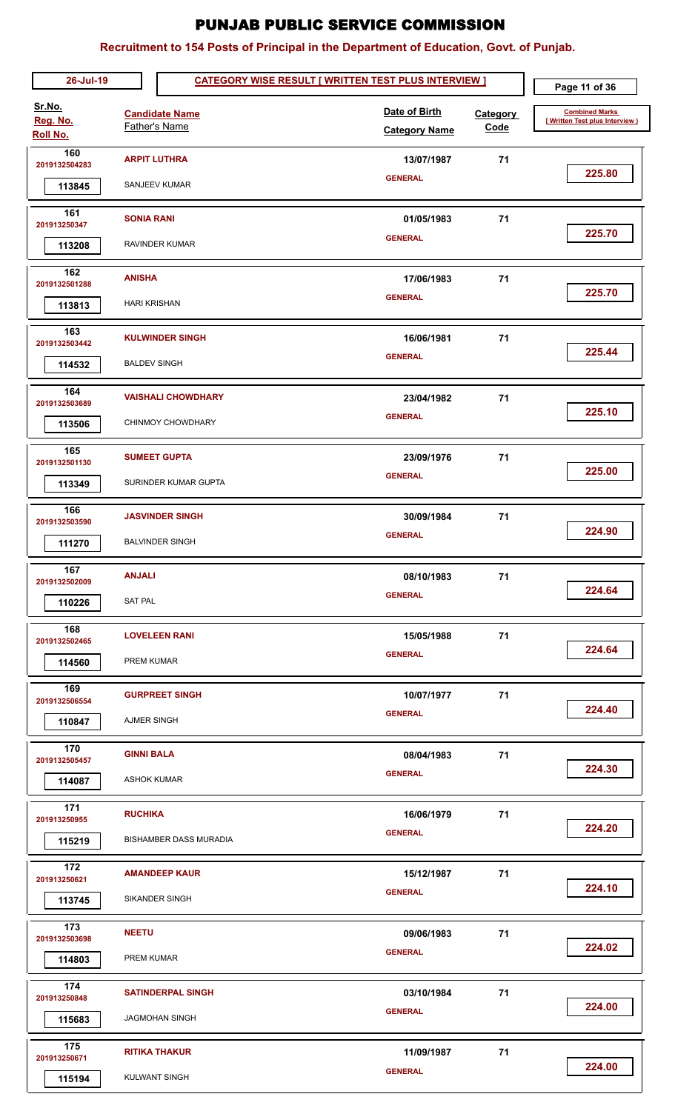| 26-Jul-19               |                     | <b>CATEGORY WISE RESULT [ WRITTEN TEST PLUS INTERVIEW ]</b> |  |                                       |                         | Page 11 of 36                                           |
|-------------------------|---------------------|-------------------------------------------------------------|--|---------------------------------------|-------------------------|---------------------------------------------------------|
| Sr.No.<br>Reg. No.      |                     | <b>Candidate Name</b><br>Father's Name                      |  | Date of Birth<br><b>Category Name</b> | <b>Category</b><br>Code | <b>Combined Marks</b><br>[Written Test plus Interview ] |
| Roll No.                |                     |                                                             |  |                                       |                         |                                                         |
| 160<br>2019132504283    |                     | <b>ARPIT LUTHRA</b>                                         |  | 13/07/1987<br><b>GENERAL</b>          | 71                      | 225.80                                                  |
| 113845                  |                     | SANJEEV KUMAR                                               |  |                                       |                         |                                                         |
| 161                     | <b>SONIA RANI</b>   |                                                             |  | 01/05/1983                            | 71                      |                                                         |
| 201913250347            |                     |                                                             |  | <b>GENERAL</b>                        |                         | 225.70                                                  |
| 113208                  |                     | RAVINDER KUMAR                                              |  |                                       |                         |                                                         |
| 162                     | <b>ANISHA</b>       |                                                             |  | 17/06/1983                            | 71                      |                                                         |
| 2019132501288<br>113813 | <b>HARI KRISHAN</b> |                                                             |  | <b>GENERAL</b>                        |                         | 225.70                                                  |
|                         |                     |                                                             |  |                                       |                         |                                                         |
| 163<br>2019132503442    |                     | <b>KULWINDER SINGH</b>                                      |  | 16/06/1981                            | 71                      |                                                         |
| 114532                  | <b>BALDEV SINGH</b> |                                                             |  | <b>GENERAL</b>                        |                         | 225.44                                                  |
| 164                     |                     | <b>VAISHALI CHOWDHARY</b>                                   |  | 23/04/1982                            | 71                      |                                                         |
| 2019132503689           |                     |                                                             |  | <b>GENERAL</b>                        |                         | 225.10                                                  |
| 113506                  |                     | CHINMOY CHOWDHARY                                           |  |                                       |                         |                                                         |
| 165                     |                     | <b>SUMEET GUPTA</b>                                         |  | 23/09/1976                            | 71                      |                                                         |
| 2019132501130           |                     |                                                             |  | <b>GENERAL</b>                        |                         | 225.00                                                  |
| 113349                  |                     | SURINDER KUMAR GUPTA                                        |  |                                       |                         |                                                         |
| 166<br>2019132503590    |                     | <b>JASVINDER SINGH</b>                                      |  | 30/09/1984                            | 71                      |                                                         |
| 111270                  |                     | <b>BALVINDER SINGH</b>                                      |  | <b>GENERAL</b>                        |                         | 224.90                                                  |
| 167                     |                     |                                                             |  |                                       |                         |                                                         |
| 2019132502009           | <b>ANJALI</b>       |                                                             |  | 08/10/1983                            | 71                      |                                                         |
| 110226                  | <b>SAT PAL</b>      |                                                             |  | <b>GENERAL</b>                        |                         | 224.64                                                  |
| 168                     |                     | <b>LOVELEEN RANI</b>                                        |  | 15/05/1988                            | 71                      |                                                         |
| 2019132502465           |                     |                                                             |  | <b>GENERAL</b>                        |                         | 224.64                                                  |
| 114560                  | PREM KUMAR          |                                                             |  |                                       |                         |                                                         |
| 169                     |                     | <b>GURPREET SINGH</b>                                       |  | 10/07/1977                            | 71                      |                                                         |
| 2019132506554           |                     |                                                             |  | <b>GENERAL</b>                        |                         | 224.40                                                  |
| 110847                  | <b>AJMER SINGH</b>  |                                                             |  |                                       |                         |                                                         |
| 170                     | <b>GINNI BALA</b>   |                                                             |  | 08/04/1983                            | 71                      |                                                         |
| 2019132505457           |                     |                                                             |  | <b>GENERAL</b>                        |                         | 224.30                                                  |
| 114087                  | <b>ASHOK KUMAR</b>  |                                                             |  |                                       |                         |                                                         |
| 171<br>201913250955     | <b>RUCHIKA</b>      |                                                             |  | 16/06/1979                            | 71                      |                                                         |
| 115219                  |                     | <b>BISHAMBER DASS MURADIA</b>                               |  | <b>GENERAL</b>                        |                         | 224.20                                                  |
|                         |                     |                                                             |  |                                       |                         |                                                         |
| 172<br>201913250621     |                     | <b>AMANDEEP KAUR</b>                                        |  | 15/12/1987                            | 71                      |                                                         |
| 113745                  |                     | SIKANDER SINGH                                              |  | <b>GENERAL</b>                        |                         | 224.10                                                  |
| 173                     |                     |                                                             |  |                                       |                         |                                                         |
| 2019132503698           | <b>NEETU</b>        |                                                             |  | 09/06/1983                            | 71                      | 224.02                                                  |
| 114803                  | PREM KUMAR          |                                                             |  | <b>GENERAL</b>                        |                         |                                                         |
| 174<br>201913250848     |                     | <b>SATINDERPAL SINGH</b>                                    |  | 03/10/1984                            | 71                      |                                                         |
| 115683                  |                     | <b>JAGMOHAN SINGH</b>                                       |  | <b>GENERAL</b>                        |                         | 224.00                                                  |
| 175                     |                     |                                                             |  |                                       |                         |                                                         |
| 201913250671            |                     | <b>RITIKA THAKUR</b>                                        |  | 11/09/1987                            | 71                      |                                                         |
| 115194                  |                     | <b>KULWANT SINGH</b>                                        |  | <b>GENERAL</b>                        |                         | 224.00                                                  |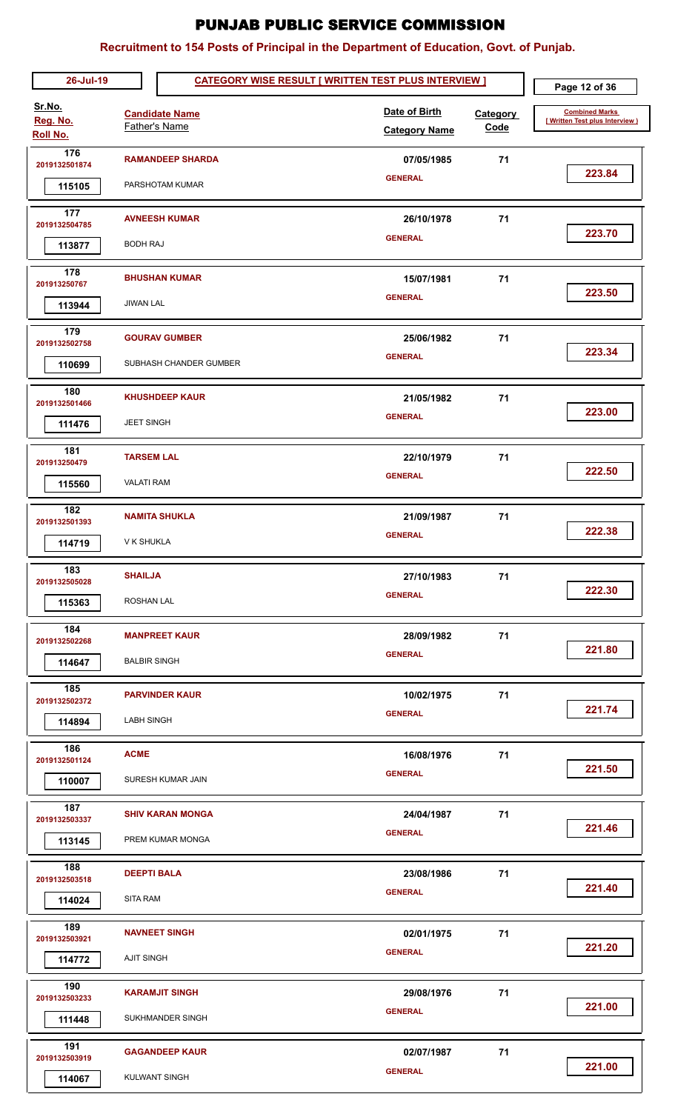| 26-Jul-19                      |                     | <b>CATEGORY WISE RESULT [ WRITTEN TEST PLUS INTERVIEW ]</b> |                                       | Page 12 of 36           |                                                         |
|--------------------------------|---------------------|-------------------------------------------------------------|---------------------------------------|-------------------------|---------------------------------------------------------|
| Sr.No.<br>Reg. No.<br>Roll No. |                     | <b>Candidate Name</b><br><b>Father's Name</b>               | Date of Birth<br><b>Category Name</b> | <b>Category</b><br>Code | <b>Combined Marks</b><br>[Written Test plus Interview ) |
| 176                            |                     | <b>RAMANDEEP SHARDA</b>                                     | 07/05/1985                            | 71                      |                                                         |
| 2019132501874                  |                     |                                                             | <b>GENERAL</b>                        |                         | 223.84                                                  |
| 115105                         |                     | PARSHOTAM KUMAR                                             |                                       |                         |                                                         |
| 177<br>2019132504785           |                     | <b>AVNEESH KUMAR</b>                                        | 26/10/1978                            | 71                      |                                                         |
| 113877                         | <b>BODH RAJ</b>     |                                                             | <b>GENERAL</b>                        |                         | 223.70                                                  |
|                                |                     |                                                             |                                       |                         |                                                         |
| 178<br>201913250767            |                     | <b>BHUSHAN KUMAR</b>                                        | 15/07/1981                            | 71                      | 223.50                                                  |
| 113944                         | <b>JIWAN LAL</b>    |                                                             | <b>GENERAL</b>                        |                         |                                                         |
| 179                            |                     | <b>GOURAV GUMBER</b>                                        | 25/06/1982                            | 71                      |                                                         |
| 2019132502758                  |                     |                                                             | <b>GENERAL</b>                        |                         | 223.34                                                  |
| 110699                         |                     | SUBHASH CHANDER GUMBER                                      |                                       |                         |                                                         |
| 180<br>2019132501466           |                     | <b>KHUSHDEEP KAUR</b>                                       | 21/05/1982                            | 71                      |                                                         |
| 111476                         | <b>JEET SINGH</b>   |                                                             | <b>GENERAL</b>                        |                         | 223.00                                                  |
|                                |                     |                                                             |                                       |                         |                                                         |
| 181<br>201913250479            | <b>TARSEM LAL</b>   |                                                             | 22/10/1979                            | 71                      |                                                         |
| 115560                         | <b>VALATI RAM</b>   |                                                             | <b>GENERAL</b>                        |                         | 222.50                                                  |
| 182                            |                     | <b>NAMITA SHUKLA</b>                                        | 21/09/1987                            | 71                      |                                                         |
| 2019132501393                  |                     |                                                             | <b>GENERAL</b>                        |                         | 222.38                                                  |
| 114719                         | V K SHUKLA          |                                                             |                                       |                         |                                                         |
| 183<br>2019132505028           | <b>SHAILJA</b>      |                                                             | 27/10/1983                            | 71                      |                                                         |
| 115363                         | ROSHAN LAL          |                                                             | <b>GENERAL</b>                        |                         | 222.30                                                  |
| 184                            |                     |                                                             |                                       |                         |                                                         |
| 2019132502268                  |                     | <b>MANPREET KAUR</b>                                        | 28/09/1982<br><b>GENERAL</b>          | 71                      | 221.80                                                  |
| 114647                         | <b>BALBIR SINGH</b> |                                                             |                                       |                         |                                                         |
| 185<br>2019132502372           |                     | <b>PARVINDER KAUR</b>                                       | 10/02/1975                            | 71                      |                                                         |
| 114894                         | <b>LABH SINGH</b>   |                                                             | <b>GENERAL</b>                        |                         | 221.74                                                  |
| 186                            |                     |                                                             |                                       |                         |                                                         |
| 2019132501124                  | <b>ACME</b>         |                                                             | 16/08/1976<br><b>GENERAL</b>          | 71                      | 221.50                                                  |
| 110007                         |                     | SURESH KUMAR JAIN                                           |                                       |                         |                                                         |
| 187<br>2019132503337           |                     | <b>SHIV KARAN MONGA</b>                                     | 24/04/1987                            | 71                      |                                                         |
| 113145                         |                     | PREM KUMAR MONGA                                            | <b>GENERAL</b>                        |                         | 221.46                                                  |
| 188                            |                     |                                                             |                                       |                         |                                                         |
| 2019132503518                  | <b>DEEPTI BALA</b>  |                                                             | 23/08/1986<br><b>GENERAL</b>          | 71                      | 221.40                                                  |
| 114024                         | <b>SITA RAM</b>     |                                                             |                                       |                         |                                                         |
| 189<br>2019132503921           |                     | <b>NAVNEET SINGH</b>                                        | 02/01/1975                            | 71                      |                                                         |
| 114772                         | <b>AJIT SINGH</b>   |                                                             | <b>GENERAL</b>                        |                         | 221.20                                                  |
| 190<br>2019132503233           |                     | <b>KARAMJIT SINGH</b>                                       | 29/08/1976                            | 71                      |                                                         |
| 111448                         |                     | SUKHMANDER SINGH                                            | <b>GENERAL</b>                        |                         | 221.00                                                  |
| 191                            |                     | <b>GAGANDEEP KAUR</b>                                       |                                       | 71                      |                                                         |
| 2019132503919                  |                     |                                                             | 02/07/1987<br><b>GENERAL</b>          |                         | 221.00                                                  |
| 114067                         |                     | <b>KULWANT SINGH</b>                                        |                                       |                         |                                                         |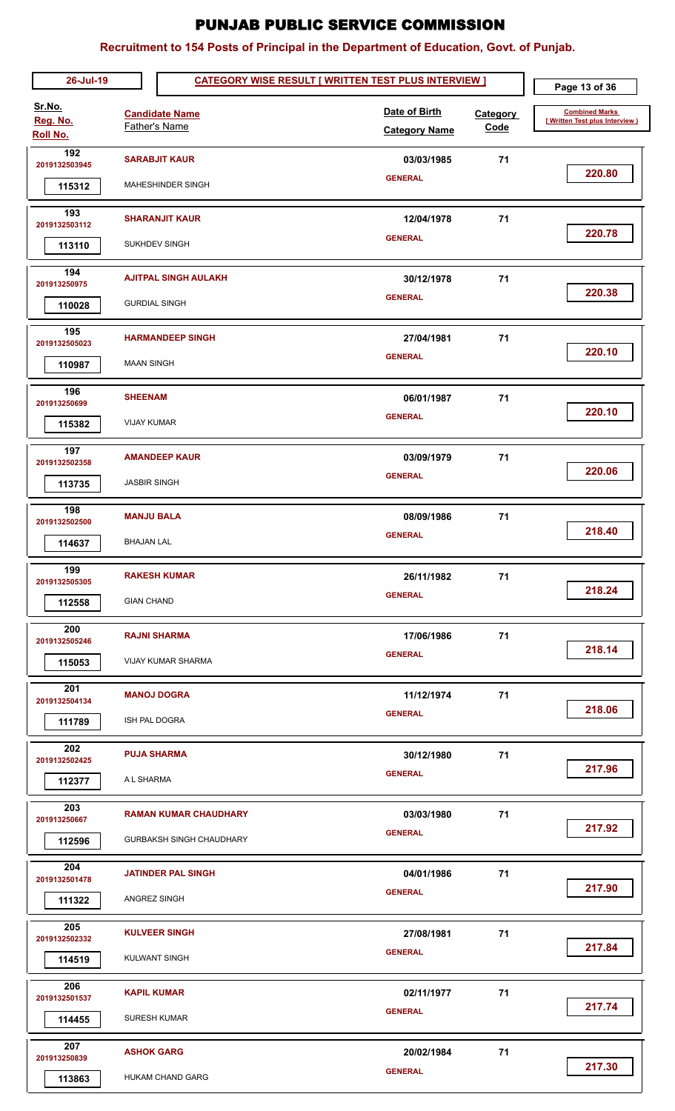| 26-Jul-19                             |                                        |                                                                 | <b>CATEGORY WISE RESULT [ WRITTEN TEST PLUS INTERVIEW ]</b> |                         | Page 13 of 36                                           |
|---------------------------------------|----------------------------------------|-----------------------------------------------------------------|-------------------------------------------------------------|-------------------------|---------------------------------------------------------|
| Sr.No.<br>Reg. No.<br><b>Roll No.</b> |                                        | <b>Candidate Name</b><br><b>Father's Name</b>                   | Date of Birth<br><b>Category Name</b>                       | Category<br><b>Code</b> | <b>Combined Marks</b><br>[Written Test plus Interview ) |
| 192<br>2019132503945<br>115312        |                                        | <b>SARABJIT KAUR</b><br>MAHESHINDER SINGH                       | 03/03/1985<br><b>GENERAL</b>                                | 71                      | 220.80                                                  |
| 193<br>2019132503112<br>113110        |                                        | <b>SHARANJIT KAUR</b><br><b>SUKHDEV SINGH</b>                   | 12/04/1978<br><b>GENERAL</b>                                | 71                      | 220.78                                                  |
| 194<br>201913250975<br>110028         |                                        | <b>AJITPAL SINGH AULAKH</b><br><b>GURDIAL SINGH</b>             | 30/12/1978<br><b>GENERAL</b>                                | 71                      | 220.38                                                  |
| 195<br>2019132505023<br>110987        | <b>MAAN SINGH</b>                      | <b>HARMANDEEP SINGH</b>                                         | 27/04/1981<br><b>GENERAL</b>                                | 71                      | 220.10                                                  |
| 196<br>201913250699<br>115382         | <b>SHEENAM</b><br><b>VIJAY KUMAR</b>   |                                                                 | 06/01/1987<br><b>GENERAL</b>                                | 71                      | 220.10                                                  |
| 197<br>2019132502358<br>113735        | <b>JASBIR SINGH</b>                    | <b>AMANDEEP KAUR</b>                                            | 03/09/1979<br><b>GENERAL</b>                                | 71                      | 220.06                                                  |
| 198<br>2019132502500<br>114637        | <b>MANJU BALA</b><br><b>BHAJAN LAL</b> |                                                                 | 08/09/1986<br><b>GENERAL</b>                                | 71                      | 218.40                                                  |
| 199<br>2019132505305<br>112558        | <b>GIAN CHAND</b>                      | <b>RAKESH KUMAR</b>                                             | 26/11/1982<br><b>GENERAL</b>                                | 71                      | 218.24                                                  |
| 200<br>2019132505246<br>115053        |                                        | <b>RAJNI SHARMA</b><br>VIJAY KUMAR SHARMA                       | 17/06/1986<br><b>GENERAL</b>                                | 71                      | 218.14                                                  |
| 201<br>2019132504134<br>111789        | <b>ISH PAL DOGRA</b>                   | <b>MANOJ DOGRA</b>                                              | 11/12/1974<br><b>GENERAL</b>                                | 71                      | 218.06                                                  |
| 202<br>2019132502425<br>112377        | A L SHARMA                             | <b>PUJA SHARMA</b>                                              | 30/12/1980<br><b>GENERAL</b>                                | 71                      | 217.96                                                  |
| 203<br>201913250667<br>112596         |                                        | <b>RAMAN KUMAR CHAUDHARY</b><br><b>GURBAKSH SINGH CHAUDHARY</b> | 03/03/1980<br><b>GENERAL</b>                                | 71                      | 217.92                                                  |
| 204<br>2019132501478<br>111322        | ANGREZ SINGH                           | <b>JATINDER PAL SINGH</b>                                       | 04/01/1986<br><b>GENERAL</b>                                | 71                      | 217.90                                                  |
| 205<br>2019132502332<br>114519        |                                        | <b>KULVEER SINGH</b><br><b>KULWANT SINGH</b>                    | 27/08/1981<br><b>GENERAL</b>                                | 71                      | 217.84                                                  |
| 206<br>2019132501537<br>114455        | <b>KAPIL KUMAR</b>                     | <b>SURESH KUMAR</b>                                             | 02/11/1977<br><b>GENERAL</b>                                | 71                      | 217.74                                                  |
| 207<br>201913250839<br>113863         | <b>ASHOK GARG</b>                      | <b>HUKAM CHAND GARG</b>                                         | 20/02/1984<br><b>GENERAL</b>                                | 71                      | 217.30                                                  |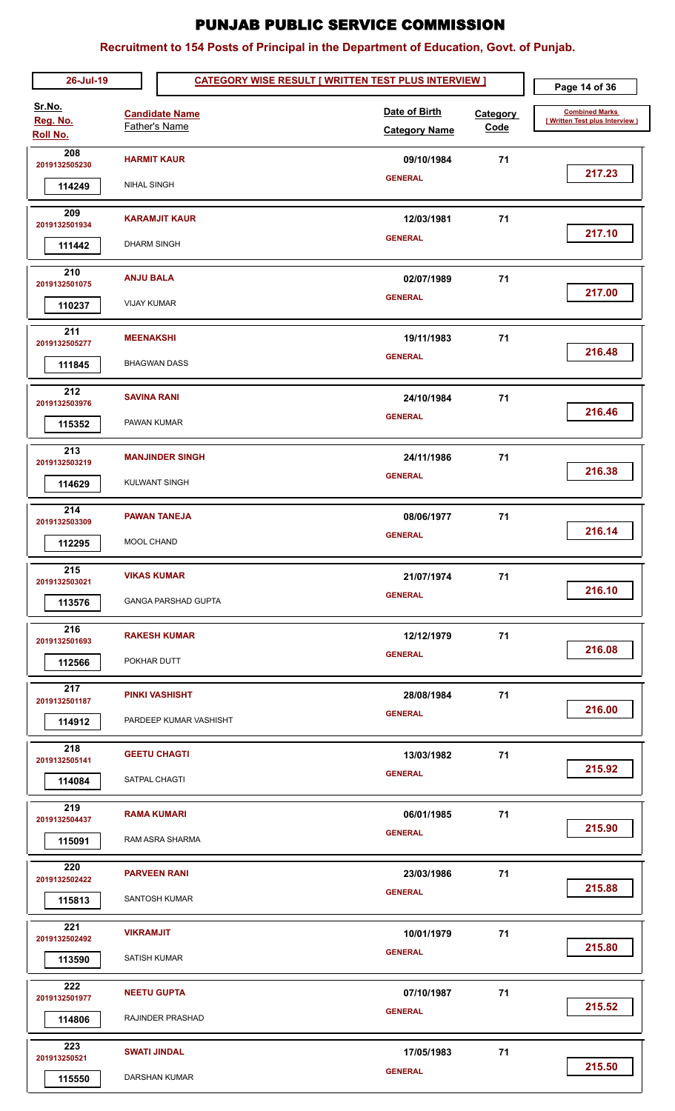| 26-Jul-19                             |                                          |                                                 | <b>CATEGORY WISE RESULT [ WRITTEN TEST PLUS INTERVIEW ]</b> |                  | Page 14 of 36                                           |
|---------------------------------------|------------------------------------------|-------------------------------------------------|-------------------------------------------------------------|------------------|---------------------------------------------------------|
| Sr.No.<br>Reg. No.<br><b>Roll No.</b> | <b>Father's Name</b>                     | <b>Candidate Name</b>                           | Date of Birth<br><b>Category Name</b>                       | Category<br>Code | <b>Combined Marks</b><br>[Written Test plus Interview ] |
| 208<br>2019132505230<br>114249        | <b>HARMIT KAUR</b><br><b>NIHAL SINGH</b> |                                                 | 09/10/1984<br><b>GENERAL</b>                                | 71               | 217.23                                                  |
| 209<br>2019132501934<br>111442        | <b>DHARM SINGH</b>                       | <b>KARAMJIT KAUR</b>                            | 12/03/1981<br><b>GENERAL</b>                                | 71               | 217.10                                                  |
| 210<br>2019132501075<br>110237        | <b>ANJU BALA</b><br><b>VIJAY KUMAR</b>   |                                                 | 02/07/1989<br><b>GENERAL</b>                                | 71               | 217.00                                                  |
| 211<br>2019132505277<br>111845        | <b>MEENAKSHI</b><br><b>BHAGWAN DASS</b>  |                                                 | 19/11/1983<br><b>GENERAL</b>                                | 71               | 216.48                                                  |
| 212<br>2019132503976<br>115352        | <b>SAVINA RANI</b><br>PAWAN KUMAR        |                                                 | 24/10/1984<br><b>GENERAL</b>                                | 71               | 216.46                                                  |
| 213<br>2019132503219<br>114629        | <b>KULWANT SINGH</b>                     | <b>MANJINDER SINGH</b>                          | 24/11/1986<br><b>GENERAL</b>                                | 71               | 216.38                                                  |
| 214<br>2019132503309<br>112295        | <b>MOOL CHAND</b>                        | <b>PAWAN TANEJA</b>                             | 08/06/1977<br><b>GENERAL</b>                                | 71               | 216.14                                                  |
| 215<br>2019132503021<br>113576        | <b>VIKAS KUMAR</b>                       | <b>GANGA PARSHAD GUPTA</b>                      | 21/07/1974<br><b>GENERAL</b>                                | 71               | 216.10                                                  |
| 216<br>2019132501693<br>112566        | POKHAR DUTT                              | <b>RAKESH KUMAR</b>                             | 12/12/1979<br><b>GENERAL</b>                                | 71               | 216.08                                                  |
| 217<br>2019132501187<br>114912        |                                          | <b>PINKI VASHISHT</b><br>PARDEEP KUMAR VASHISHT | 28/08/1984<br><b>GENERAL</b>                                | 71               | 216.00                                                  |
| 218<br>2019132505141<br>114084        | SATPAL CHAGTI                            | <b>GEETU CHAGTI</b>                             | 13/03/1982<br><b>GENERAL</b>                                | 71               | 215.92                                                  |
| 219<br>2019132504437<br>115091        | <b>RAMA KUMARI</b>                       | RAM ASRA SHARMA                                 | 06/01/1985<br><b>GENERAL</b>                                | 71               | 215.90                                                  |
| 220<br>2019132502422<br>115813        | <b>PARVEEN RANI</b>                      | SANTOSH KUMAR                                   | 23/03/1986<br><b>GENERAL</b>                                | 71               | 215.88                                                  |
| 221<br>2019132502492<br>113590        | <b>VIKRAMJIT</b><br>SATISH KUMAR         |                                                 | 10/01/1979<br><b>GENERAL</b>                                | 71               | 215.80                                                  |
| 222<br>2019132501977<br>114806        | <b>NEETU GUPTA</b>                       | RAJINDER PRASHAD                                | 07/10/1987<br><b>GENERAL</b>                                | 71               | 215.52                                                  |
| 223<br>201913250521<br>115550         | <b>SWATI JINDAL</b>                      | <b>DARSHAN KUMAR</b>                            | 17/05/1983<br><b>GENERAL</b>                                | 71               | 215.50                                                  |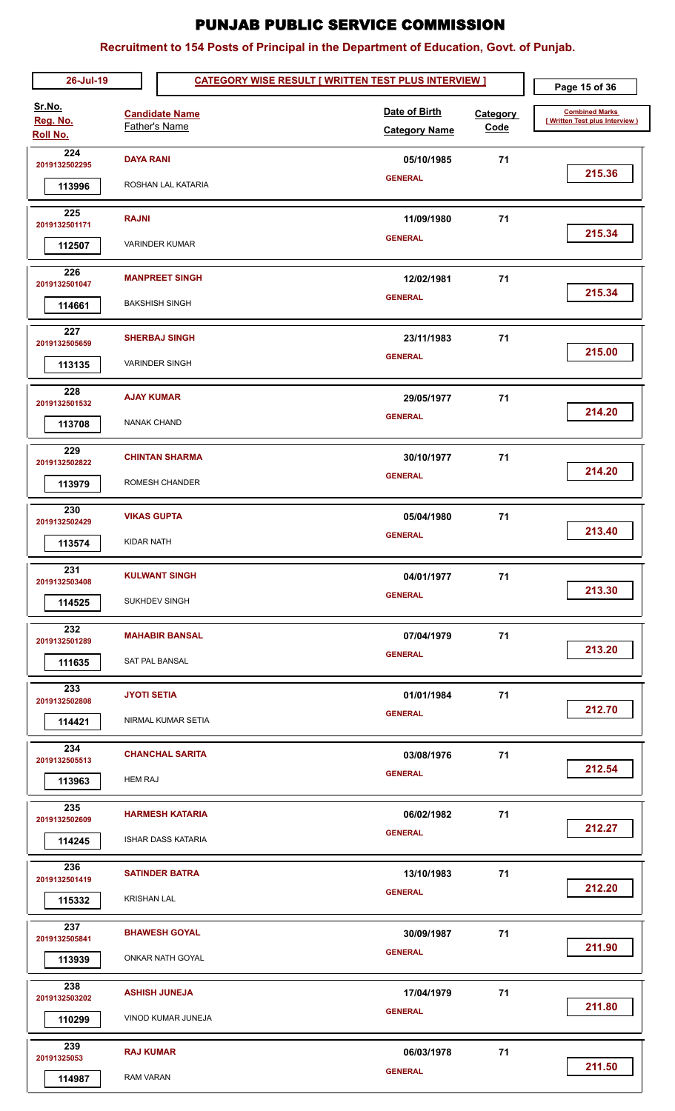| 26-Jul-19                      |                                         |                                                     | <b>CATEGORY WISE RESULT [ WRITTEN TEST PLUS INTERVIEW ]</b> |                                       |                  | Page 15 of 36                                           |
|--------------------------------|-----------------------------------------|-----------------------------------------------------|-------------------------------------------------------------|---------------------------------------|------------------|---------------------------------------------------------|
| Sr.No.<br>Reg. No.<br>Roll No. |                                         | <b>Candidate Name</b><br>Father's Name              |                                                             | Date of Birth<br><b>Category Name</b> | Category<br>Code | <b>Combined Marks</b><br>[Written Test plus Interview ] |
| 224<br>2019132502295<br>113996 | <b>DAYA RANI</b>                        | ROSHAN LAL KATARIA                                  |                                                             | 05/10/1985<br><b>GENERAL</b>          | 71               | 215.36                                                  |
| 225<br>2019132501171<br>112507 | <b>RAJNI</b>                            | <b>VARINDER KUMAR</b>                               |                                                             | 11/09/1980<br><b>GENERAL</b>          | 71               | 215.34                                                  |
| 226<br>2019132501047<br>114661 |                                         | <b>MANPREET SINGH</b><br><b>BAKSHISH SINGH</b>      |                                                             | 12/02/1981<br><b>GENERAL</b>          | 71               | 215.34                                                  |
| 227<br>2019132505659<br>113135 |                                         | <b>SHERBAJ SINGH</b><br><b>VARINDER SINGH</b>       |                                                             | 23/11/1983<br><b>GENERAL</b>          | 71               | 215.00                                                  |
| 228<br>2019132501532<br>113708 | <b>AJAY KUMAR</b><br><b>NANAK CHAND</b> |                                                     |                                                             | 29/05/1977<br><b>GENERAL</b>          | 71               | 214.20                                                  |
| 229<br>2019132502822<br>113979 |                                         | <b>CHINTAN SHARMA</b><br>ROMESH CHANDER             |                                                             | 30/10/1977<br><b>GENERAL</b>          | 71               | 214.20                                                  |
| 230<br>2019132502429<br>113574 | <b>VIKAS GUPTA</b><br><b>KIDAR NATH</b> |                                                     |                                                             | 05/04/1980<br><b>GENERAL</b>          | 71               | 213.40                                                  |
| 231<br>2019132503408<br>114525 |                                         | <b>KULWANT SINGH</b><br><b>SUKHDEV SINGH</b>        |                                                             | 04/01/1977<br><b>GENERAL</b>          | 71               | 213.30                                                  |
| 232<br>2019132501289<br>111635 |                                         | <b>MAHABIR BANSAL</b><br><b>SAT PAL BANSAL</b>      |                                                             | 07/04/1979<br><b>GENERAL</b>          | 71               | 213.20                                                  |
| 233<br>2019132502808<br>114421 | <b>JYOTI SETIA</b>                      | NIRMAL KUMAR SETIA                                  |                                                             | 01/01/1984<br><b>GENERAL</b>          | 71               | 212.70                                                  |
| 234<br>2019132505513<br>113963 | <b>HEM RAJ</b>                          | <b>CHANCHAL SARITA</b>                              |                                                             | 03/08/1976<br><b>GENERAL</b>          | 71               | 212.54                                                  |
| 235<br>2019132502609<br>114245 |                                         | <b>HARMESH KATARIA</b><br><b>ISHAR DASS KATARIA</b> |                                                             | 06/02/1982<br><b>GENERAL</b>          | 71               | 212.27                                                  |
| 236<br>2019132501419<br>115332 | <b>KRISHAN LAL</b>                      | <b>SATINDER BATRA</b>                               |                                                             | 13/10/1983<br><b>GENERAL</b>          | 71               | 212.20                                                  |
| 237<br>2019132505841<br>113939 |                                         | <b>BHAWESH GOYAL</b><br><b>ONKAR NATH GOYAL</b>     |                                                             | 30/09/1987<br><b>GENERAL</b>          | 71               | 211.90                                                  |
| 238<br>2019132503202<br>110299 |                                         | <b>ASHISH JUNEJA</b><br>VINOD KUMAR JUNEJA          |                                                             | 17/04/1979<br><b>GENERAL</b>          | 71               | 211.80                                                  |
| 239<br>20191325053<br>114987   | <b>RAJ KUMAR</b><br>RAM VARAN           |                                                     |                                                             | 06/03/1978<br><b>GENERAL</b>          | 71               | 211.50                                                  |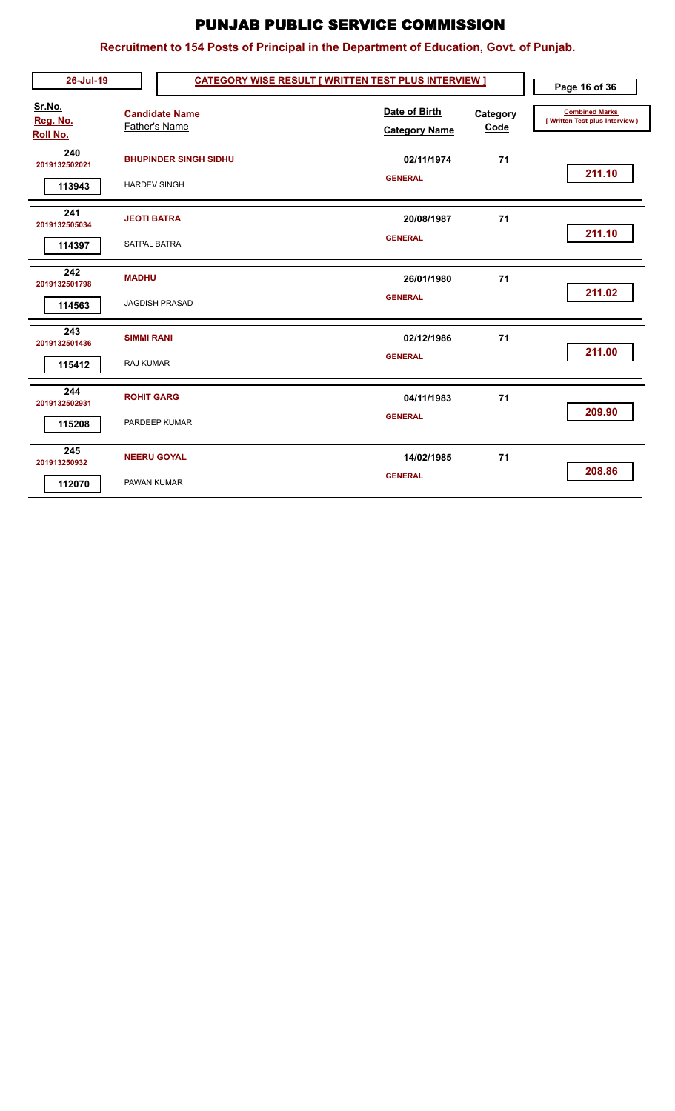| 26-Jul-19                      | <b>CATEGORY WISE RESULT [ WRITTEN TEST PLUS INTERVIEW ]</b> |                                       |                  | Page 16 of 36                                            |
|--------------------------------|-------------------------------------------------------------|---------------------------------------|------------------|----------------------------------------------------------|
| Sr.No.<br>Reg. No.<br>Roll No. | <b>Candidate Name</b><br>Father's Name                      | Date of Birth<br><b>Category Name</b> | Category<br>Code | <b>Combined Marks</b><br>[ Written Test plus Interview ) |
| 240<br>2019132502021<br>113943 | <b>BHUPINDER SINGH SIDHU</b><br><b>HARDEV SINGH</b>         | 02/11/1974<br><b>GENERAL</b>          | 71               | 211.10                                                   |
| 241<br>2019132505034           | <b>JEOTI BATRA</b>                                          | 20/08/1987                            | 71               |                                                          |
| 114397                         | <b>SATPAL BATRA</b>                                         | <b>GENERAL</b>                        |                  | 211.10                                                   |
| 242<br>2019132501798           | <b>MADHU</b>                                                | 26/01/1980                            | 71               |                                                          |
| 114563                         | <b>JAGDISH PRASAD</b>                                       | <b>GENERAL</b>                        |                  | 211.02                                                   |
| 243<br>2019132501436           | <b>SIMMI RANI</b>                                           | 02/12/1986                            | 71               |                                                          |
| 115412                         | RAJ KUMAR                                                   | <b>GENERAL</b>                        |                  | 211.00                                                   |
| 244<br>2019132502931           | <b>ROHIT GARG</b>                                           | 04/11/1983                            | 71               |                                                          |
| 115208                         | PARDEEP KUMAR                                               | <b>GENERAL</b>                        |                  | 209.90                                                   |
| 245<br>201913250932            | <b>NEERU GOYAL</b>                                          | 14/02/1985                            | 71               |                                                          |
| 112070                         | PAWAN KUMAR                                                 | <b>GENERAL</b>                        |                  | 208.86                                                   |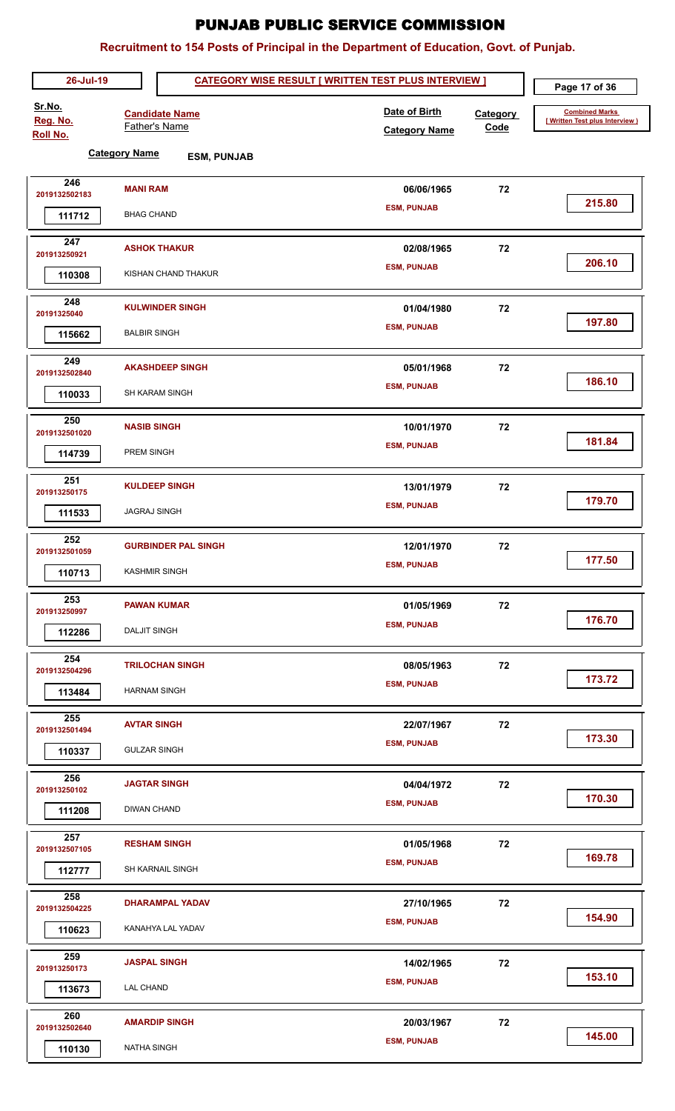| 26-Jul-19                             |                      |                                        |                            | <b>CATEGORY WISE RESULT [ WRITTEN TEST PLUS INTERVIEW ]</b> |                  | Page 17 of 36                                           |
|---------------------------------------|----------------------|----------------------------------------|----------------------------|-------------------------------------------------------------|------------------|---------------------------------------------------------|
| Sr.No.<br>Reg. No.<br><b>Roll No.</b> |                      | <b>Candidate Name</b><br>Father's Name |                            | Date of Birth<br><b>Category Name</b>                       | Category<br>Code | <b>Combined Marks</b><br>[Written Test plus Interview ) |
|                                       | <b>Category Name</b> |                                        | <b>ESM, PUNJAB</b>         |                                                             |                  |                                                         |
| 246<br>2019132502183                  | <b>MANI RAM</b>      |                                        |                            | 06/06/1965                                                  | 72               |                                                         |
| 111712                                | <b>BHAG CHAND</b>    |                                        |                            | <b>ESM, PUNJAB</b>                                          |                  | 215.80                                                  |
| 247<br>201913250921                   |                      | <b>ASHOK THAKUR</b>                    |                            | 02/08/1965                                                  | 72               |                                                         |
| 110308                                |                      | KISHAN CHAND THAKUR                    |                            | <b>ESM, PUNJAB</b>                                          |                  | 206.10                                                  |
| 248<br>20191325040                    |                      | <b>KULWINDER SINGH</b>                 |                            | 01/04/1980                                                  | 72               |                                                         |
| 115662                                | <b>BALBIR SINGH</b>  |                                        |                            | <b>ESM, PUNJAB</b>                                          |                  | 197.80                                                  |
| 249<br>2019132502840                  |                      | <b>AKASHDEEP SINGH</b>                 |                            | 05/01/1968                                                  | 72               |                                                         |
| 110033                                |                      | <b>SH KARAM SINGH</b>                  |                            | <b>ESM, PUNJAB</b>                                          |                  | 186.10                                                  |
| 250<br>2019132501020                  | <b>NASIB SINGH</b>   |                                        |                            | 10/01/1970                                                  | 72               |                                                         |
| 114739                                | PREM SINGH           |                                        |                            | <b>ESM, PUNJAB</b>                                          |                  | 181.84                                                  |
| 251<br>201913250175                   |                      | <b>KULDEEP SINGH</b>                   |                            | 13/01/1979                                                  | 72               |                                                         |
| 111533                                | <b>JAGRAJ SINGH</b>  |                                        |                            | <b>ESM, PUNJAB</b>                                          |                  | 179.70                                                  |
| 252<br>2019132501059                  |                      |                                        | <b>GURBINDER PAL SINGH</b> | 12/01/1970                                                  | 72               |                                                         |
| 110713                                |                      | <b>KASHMIR SINGH</b>                   |                            | <b>ESM, PUNJAB</b>                                          |                  | 177.50                                                  |
| 253<br>201913250997                   |                      | <b>PAWAN KUMAR</b>                     |                            | 01/05/1969                                                  | 72               |                                                         |
| 112286                                | <b>DALJIT SINGH</b>  |                                        |                            | <b>ESM, PUNJAB</b>                                          |                  | 176.70                                                  |
| 254<br>2019132504296                  |                      | <b>TRILOCHAN SINGH</b>                 |                            | 08/05/1963                                                  | 72               |                                                         |
| 113484                                | <b>HARNAM SINGH</b>  |                                        |                            | <b>ESM, PUNJAB</b>                                          |                  | 173.72                                                  |
| 255<br>2019132501494                  | <b>AVTAR SINGH</b>   |                                        |                            | 22/07/1967                                                  | 72               |                                                         |
| 110337                                | <b>GULZAR SINGH</b>  |                                        |                            | <b>ESM, PUNJAB</b>                                          |                  | 173.30                                                  |
| 256<br>201913250102                   |                      | <b>JAGTAR SINGH</b>                    |                            | 04/04/1972                                                  | 72               |                                                         |
| 111208                                | <b>DIWAN CHAND</b>   |                                        |                            | <b>ESM, PUNJAB</b>                                          |                  | 170.30                                                  |
| 257<br>2019132507105                  |                      | <b>RESHAM SINGH</b>                    |                            | 01/05/1968                                                  | 72               |                                                         |
| 112777                                |                      | SH KARNAIL SINGH                       |                            | <b>ESM, PUNJAB</b>                                          |                  | 169.78                                                  |
| 258<br>2019132504225                  |                      | <b>DHARAMPAL YADAV</b>                 |                            | 27/10/1965                                                  | 72               | 154.90                                                  |
| 110623                                |                      | KANAHYA LAL YADAV                      |                            | <b>ESM, PUNJAB</b>                                          |                  |                                                         |
| 259<br>201913250173                   |                      | <b>JASPAL SINGH</b>                    |                            | 14/02/1965                                                  | 72               | 153.10                                                  |
| 113673                                | <b>LAL CHAND</b>     |                                        |                            | <b>ESM, PUNJAB</b>                                          |                  |                                                         |
| 260<br>2019132502640                  |                      | <b>AMARDIP SINGH</b>                   |                            | 20/03/1967                                                  | 72               |                                                         |
| 110130                                | <b>NATHA SINGH</b>   |                                        |                            | <b>ESM, PUNJAB</b>                                          |                  | 145.00                                                  |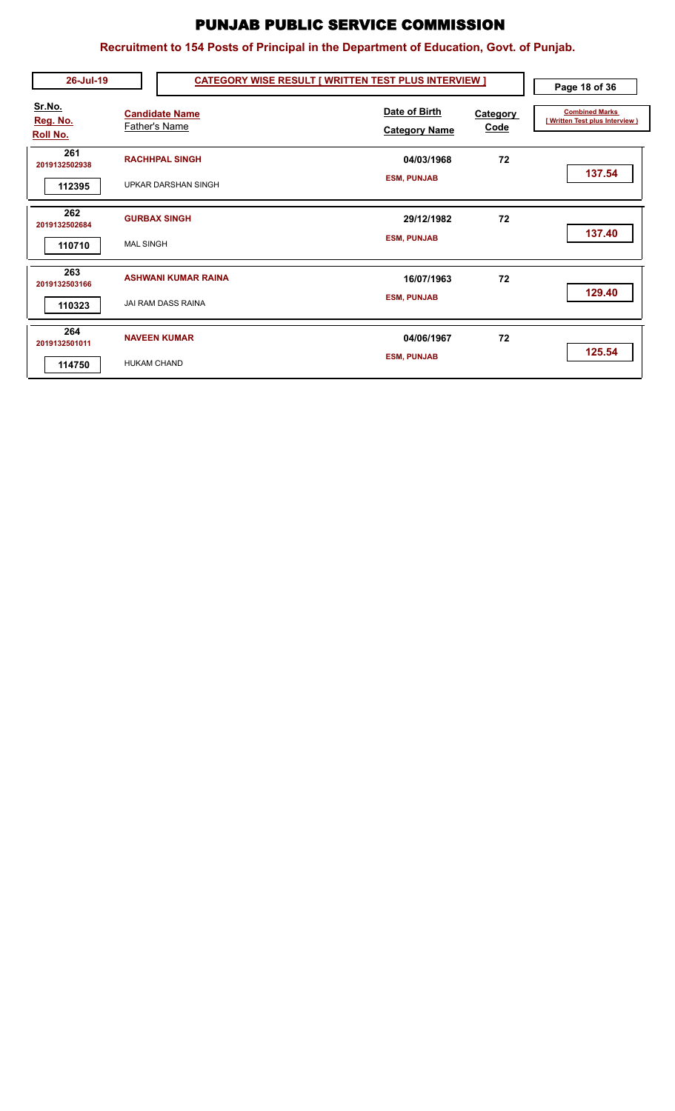| 26-Jul-19                             |                    |                                                         | <b>CATEGORY WISE RESULT [ WRITTEN TEST PLUS INTERVIEW ]</b> |                         | Page 18 of 36                                            |
|---------------------------------------|--------------------|---------------------------------------------------------|-------------------------------------------------------------|-------------------------|----------------------------------------------------------|
| Sr.No.<br>Reg. No.<br><b>Roll No.</b> |                    | <b>Candidate Name</b><br>Father's Name                  | Date of Birth<br><b>Category Name</b>                       | <b>Category</b><br>Code | <b>Combined Marks</b><br>[ Written Test plus Interview ) |
| 261<br>2019132502938<br>112395        |                    | <b>RACHHPAL SINGH</b><br><b>UPKAR DARSHAN SINGH</b>     | 04/03/1968<br><b>ESM, PUNJAB</b>                            | 72                      | 137.54                                                   |
| 262<br>2019132502684<br>110710        | <b>MAL SINGH</b>   | <b>GURBAX SINGH</b>                                     | 29/12/1982<br><b>ESM, PUNJAB</b>                            | 72                      | 137.40                                                   |
| 263<br>2019132503166<br>110323        |                    | <b>ASHWANI KUMAR RAINA</b><br><b>JAI RAM DASS RAINA</b> | 16/07/1963<br><b>ESM, PUNJAB</b>                            | 72                      | 129.40                                                   |
| 264<br>2019132501011<br>114750        | <b>HUKAM CHAND</b> | <b>NAVEEN KUMAR</b>                                     | 04/06/1967<br><b>ESM, PUNJAB</b>                            | 72                      | 125.54                                                   |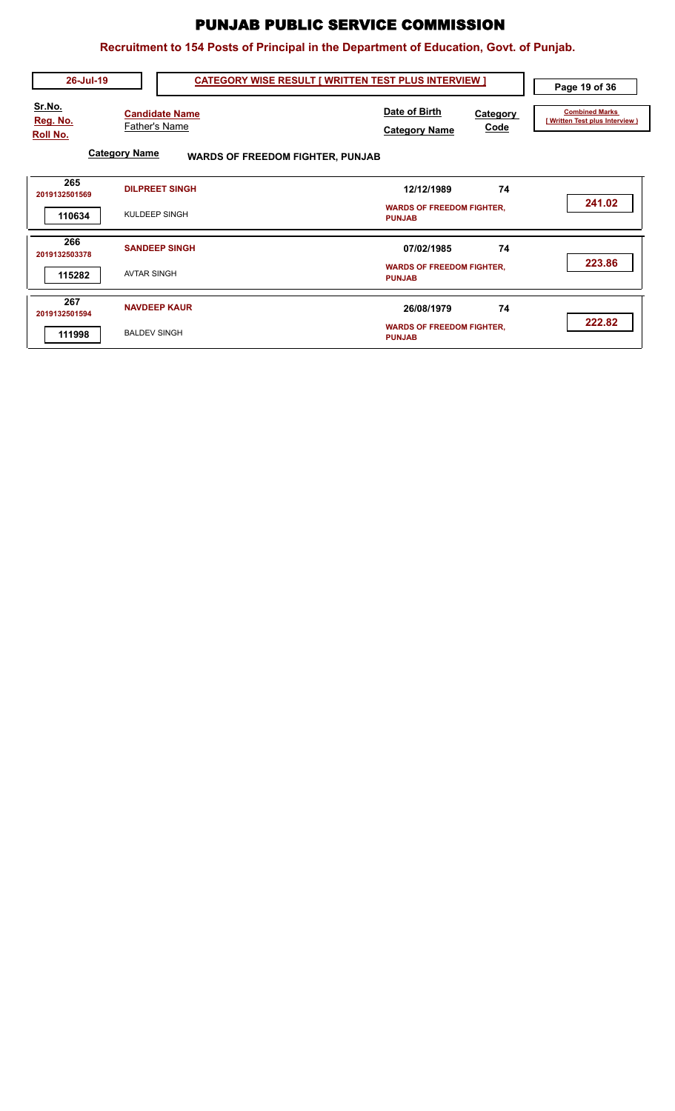| 26-Jul-19                      | <b>CATEGORY WISE RESULT [ WRITTEN TEST PLUS INTERVIEW ]</b>     |                                                                  | Page 19 of 36                                            |
|--------------------------------|-----------------------------------------------------------------|------------------------------------------------------------------|----------------------------------------------------------|
| Sr.No.<br>Reg. No.<br>Roll No. | <b>Candidate Name</b><br><b>Father's Name</b>                   | Date of Birth<br>Category<br><b>Code</b><br><b>Category Name</b> | <b>Combined Marks</b><br>[ Written Test plus Interview ) |
|                                | <b>Category Name</b><br><b>WARDS OF FREEDOM FIGHTER, PUNJAB</b> |                                                                  |                                                          |
| 265<br>2019132501569           | <b>DILPREET SINGH</b>                                           | 12/12/1989<br>74                                                 |                                                          |
| 110634                         | KULDEEP SINGH                                                   | <b>WARDS OF FREEDOM FIGHTER,</b><br><b>PUNJAB</b>                | 241.02                                                   |
| 266<br>2019132503378           | <b>SANDEEP SINGH</b>                                            | 74<br>07/02/1985                                                 |                                                          |
| 115282                         | <b>AVTAR SINGH</b>                                              | <b>WARDS OF FREEDOM FIGHTER,</b><br><b>PUNJAB</b>                | 223.86                                                   |
| 267<br>2019132501594           | <b>NAVDEEP KAUR</b>                                             | 74<br>26/08/1979                                                 |                                                          |
| 111998                         | <b>BALDEV SINGH</b>                                             | <b>WARDS OF FREEDOM FIGHTER,</b><br><b>PUNJAB</b>                | 222.82                                                   |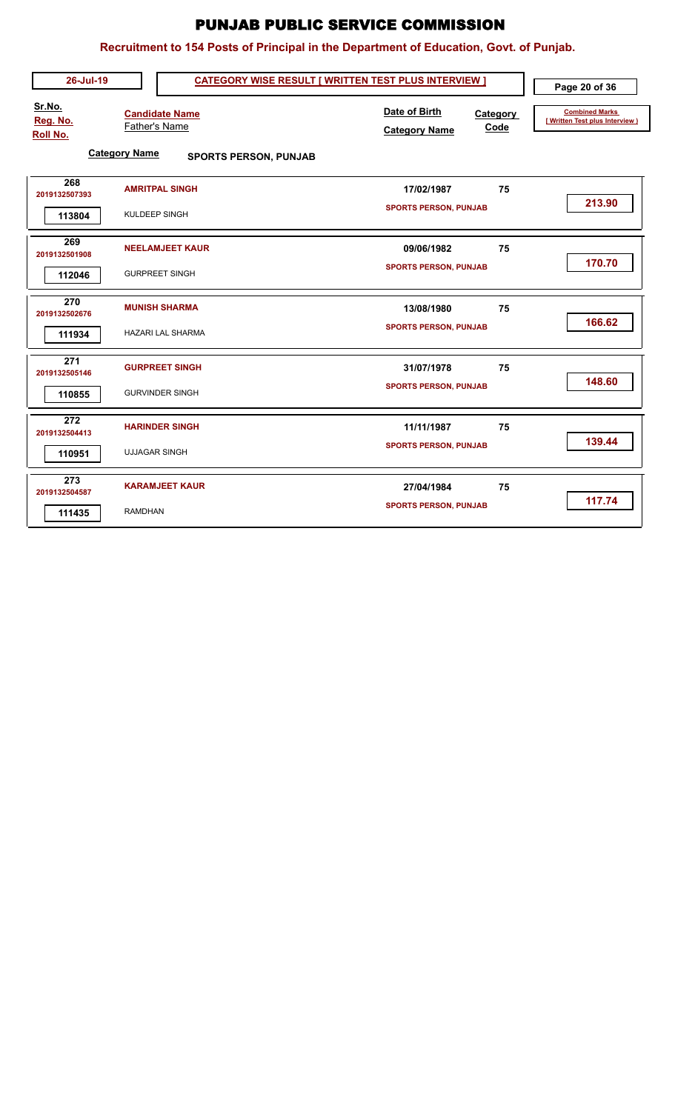| 26-Jul-19                      | <b>CATEGORY WISE RESULT [ WRITTEN TEST PLUS INTERVIEW ]</b> |                                                           | Page 20 of 36                                            |
|--------------------------------|-------------------------------------------------------------|-----------------------------------------------------------|----------------------------------------------------------|
| Sr.No.<br>Reg. No.<br>Roll No. | <b>Candidate Name</b><br><b>Father's Name</b>               | Date of Birth<br>Category<br>Code<br><b>Category Name</b> | <b>Combined Marks</b><br>[ Written Test plus Interview ) |
|                                | <b>Category Name</b><br><b>SPORTS PERSON, PUNJAB</b>        |                                                           |                                                          |
| 268<br>2019132507393           | <b>AMRITPAL SINGH</b>                                       | 75<br>17/02/1987                                          |                                                          |
| 113804                         | KULDEEP SINGH                                               | <b>SPORTS PERSON, PUNJAB</b>                              | 213.90                                                   |
| 269<br>2019132501908           | <b>NEELAMJEET KAUR</b>                                      | 75<br>09/06/1982                                          |                                                          |
| 112046                         | <b>GURPREET SINGH</b>                                       | <b>SPORTS PERSON, PUNJAB</b>                              | 170.70                                                   |
| 270<br>2019132502676           | <b>MUNISH SHARMA</b>                                        | 13/08/1980<br>75                                          |                                                          |
| 111934                         | <b>HAZARI LAL SHARMA</b>                                    | <b>SPORTS PERSON, PUNJAB</b>                              | 166.62                                                   |
| 271<br>2019132505146           | <b>GURPREET SINGH</b>                                       | 75<br>31/07/1978                                          |                                                          |
| 110855                         | <b>GURVINDER SINGH</b>                                      | <b>SPORTS PERSON, PUNJAB</b>                              | 148.60                                                   |
| 272<br>2019132504413           | <b>HARINDER SINGH</b>                                       | 75<br>11/11/1987                                          |                                                          |
| 110951                         | <b>UJJAGAR SINGH</b>                                        | <b>SPORTS PERSON, PUNJAB</b>                              | 139.44                                                   |
| 273<br>2019132504587           | <b>KARAMJEET KAUR</b>                                       | 75<br>27/04/1984                                          |                                                          |
| 111435                         | <b>RAMDHAN</b>                                              | <b>SPORTS PERSON, PUNJAB</b>                              | 117.74                                                   |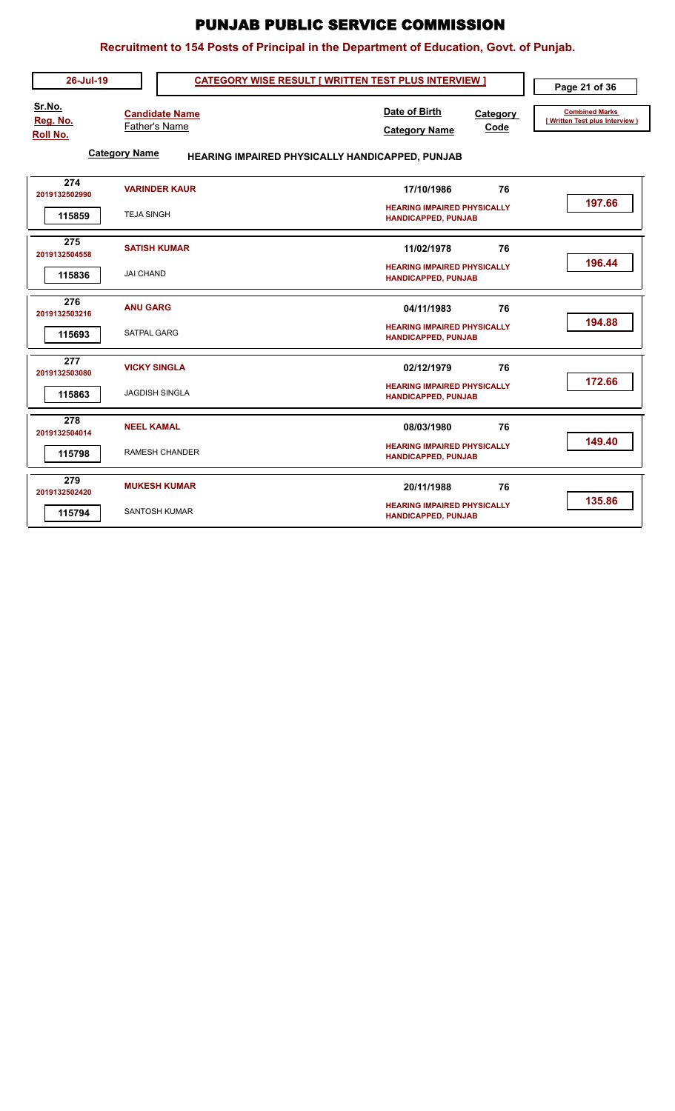|                                       |                                                                | Recruitment to 154 Posts of Principal in the Department of Education, Govt. of Punjab.                       |                                                          |
|---------------------------------------|----------------------------------------------------------------|--------------------------------------------------------------------------------------------------------------|----------------------------------------------------------|
| 26-Jul-19                             |                                                                | <b>CATEGORY WISE RESULT [ WRITTEN TEST PLUS INTERVIEW ]</b>                                                  | Page 21 of 36                                            |
| Sr.No.<br>Reg. No.<br><b>Roll No.</b> | <b>Candidate Name</b><br>Father's Name<br><b>Category Name</b> | Date of Birth<br>Category<br>Code<br><b>Category Name</b><br>HEARING IMPAIRED PHYSICALLY HANDICAPPED, PUNJAB | <b>Combined Marks</b><br>[ Written Test plus Interview ) |
| 274<br>2019132502990<br>115859        | <b>VARINDER KAUR</b><br><b>TEJA SINGH</b>                      | 76<br>17/10/1986<br><b>HEARING IMPAIRED PHYSICALLY</b><br><b>HANDICAPPED, PUNJAB</b>                         | 197.66                                                   |
| 275<br>2019132504558<br>115836        | <b>SATISH KUMAR</b><br><b>JAI CHAND</b>                        | 76<br>11/02/1978<br><b>HEARING IMPAIRED PHYSICALLY</b><br><b>HANDICAPPED, PUNJAB</b>                         | 196.44                                                   |
| 276<br>2019132503216<br>115693        | <b>ANU GARG</b><br><b>SATPAL GARG</b>                          | 76<br>04/11/1983<br><b>HEARING IMPAIRED PHYSICALLY</b><br><b>HANDICAPPED, PUNJAB</b>                         | 194.88                                                   |
| 277<br>2019132503080<br>115863        | <b>VICKY SINGLA</b><br><b>JAGDISH SINGLA</b>                   | 02/12/1979<br>76<br><b>HEARING IMPAIRED PHYSICALLY</b><br><b>HANDICAPPED, PUNJAB</b>                         | 172.66                                                   |
| 278<br>2019132504014<br>115798        | <b>NEEL KAMAL</b><br>RAMESH CHANDER                            | 76<br>08/03/1980<br><b>HEARING IMPAIRED PHYSICALLY</b><br><b>HANDICAPPED, PUNJAB</b>                         | 149.40                                                   |
| 279<br>2019132502420<br>115794        | <b>MUKESH KUMAR</b><br><b>SANTOSH KUMAR</b>                    | 76<br>20/11/1988<br><b>HEARING IMPAIRED PHYSICALLY</b><br><b>HANDICAPPED, PUNJAB</b>                         | 135.86                                                   |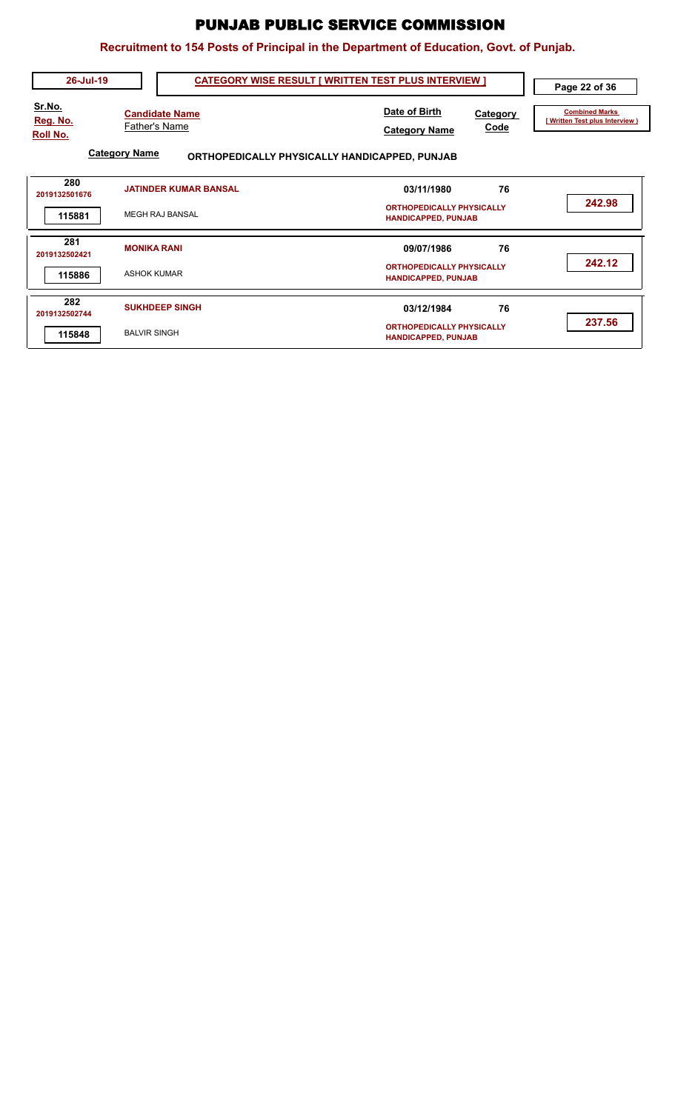| 26-Jul-19                                           | <b>CATEGORY WISE RESULT [ WRITTEN TEST PLUS INTERVIEW ]</b>                                                            |                                                                                    | Page 22 of 36                                           |
|-----------------------------------------------------|------------------------------------------------------------------------------------------------------------------------|------------------------------------------------------------------------------------|---------------------------------------------------------|
| <u>Sr.No.</u><br><u>Reg. No.</u><br><b>Roll No.</b> | <b>Candidate Name</b><br><b>Father's Name</b><br><b>Category Name</b><br>ORTHOPEDICALLY PHYSICALLY HANDICAPPED, PUNJAB | Date of Birth<br>Category<br>Code<br><b>Category Name</b>                          | <b>Combined Marks</b><br>[Written Test plus Interview ) |
| 280<br>2019132501676<br>115881                      | <b>JATINDER KUMAR BANSAL</b><br><b>MEGH RAJ BANSAL</b>                                                                 | 76<br>03/11/1980<br><b>ORTHOPEDICALLY PHYSICALLY</b><br><b>HANDICAPPED, PUNJAB</b> | 242.98                                                  |
| 281<br>2019132502421<br>115886                      | <b>MONIKA RANI</b><br><b>ASHOK KUMAR</b>                                                                               | 76<br>09/07/1986<br><b>ORTHOPEDICALLY PHYSICALLY</b><br><b>HANDICAPPED, PUNJAB</b> | 242.12                                                  |
| 282<br>2019132502744<br>115848                      | <b>SUKHDEEP SINGH</b><br><b>BALVIR SINGH</b>                                                                           | 76<br>03/12/1984<br><b>ORTHOPEDICALLY PHYSICALLY</b><br><b>HANDICAPPED, PUNJAB</b> | 237.56                                                  |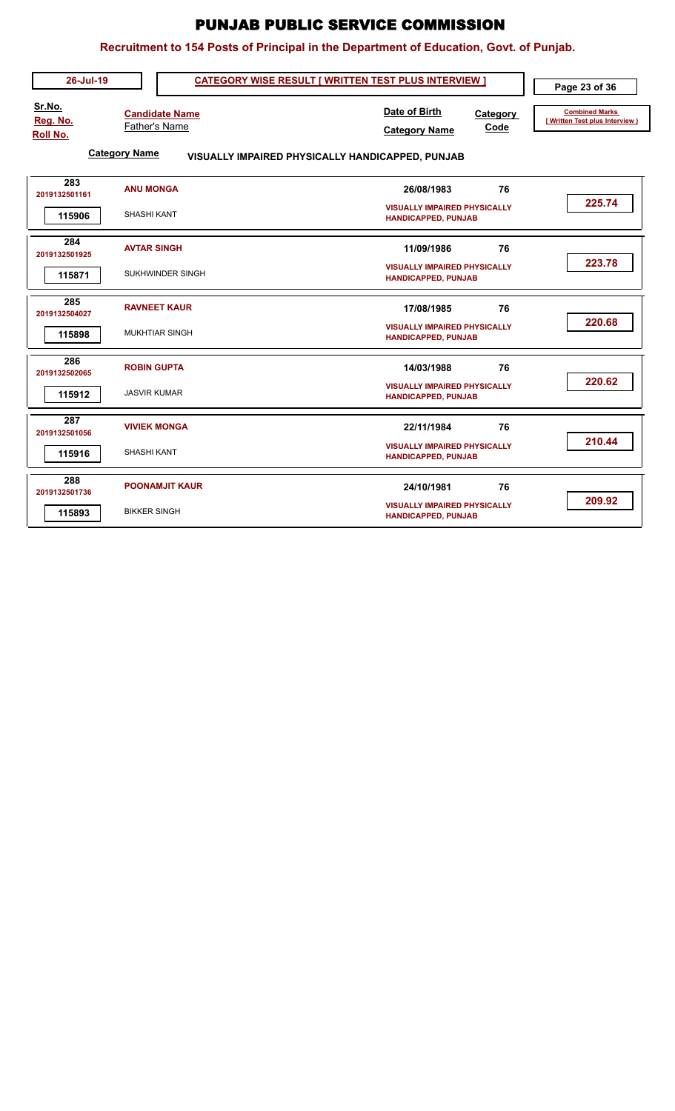| 26-Jul-19                             | <b>CATEGORY WISE RESULT [ WRITTEN TEST PLUS INTERVIEW ]</b>              |                                                                   | Page 23 of 36                                            |
|---------------------------------------|--------------------------------------------------------------------------|-------------------------------------------------------------------|----------------------------------------------------------|
| Sr.No.<br>Reg. No.<br><b>Roll No.</b> | <b>Candidate Name</b><br>Father's Name                                   | Date of Birth<br>Category<br>Code<br><b>Category Name</b>         | <b>Combined Marks</b><br>[ Written Test plus Interview ) |
|                                       | <b>Category Name</b><br>VISUALLY IMPAIRED PHYSICALLY HANDICAPPED, PUNJAB |                                                                   |                                                          |
| 283<br>2019132501161                  | <b>ANU MONGA</b>                                                         | 26/08/1983<br>76                                                  |                                                          |
| 115906                                | <b>SHASHI KANT</b>                                                       | <b>VISUALLY IMPAIRED PHYSICALLY</b><br><b>HANDICAPPED, PUNJAB</b> | 225.74                                                   |
| 284<br>2019132501925                  | <b>AVTAR SINGH</b>                                                       | 11/09/1986<br>76                                                  |                                                          |
| 115871                                | SUKHWINDER SINGH                                                         | <b>VISUALLY IMPAIRED PHYSICALLY</b><br><b>HANDICAPPED, PUNJAB</b> | 223.78                                                   |
| 285<br>2019132504027                  | <b>RAVNEET KAUR</b>                                                      | 76<br>17/08/1985                                                  |                                                          |
| 115898                                | <b>MUKHTIAR SINGH</b>                                                    | <b>VISUALLY IMPAIRED PHYSICALLY</b><br><b>HANDICAPPED, PUNJAB</b> | 220.68                                                   |
| 286<br>2019132502065                  | <b>ROBIN GUPTA</b>                                                       | 76<br>14/03/1988                                                  |                                                          |
| 115912                                | <b>JASVIR KUMAR</b>                                                      | <b>VISUALLY IMPAIRED PHYSICALLY</b><br><b>HANDICAPPED, PUNJAB</b> | 220.62                                                   |
| 287<br>2019132501056                  | <b>VIVIEK MONGA</b>                                                      | 22/11/1984<br>76                                                  |                                                          |
| 115916                                | SHASHI KANT                                                              | <b>VISUALLY IMPAIRED PHYSICALLY</b><br><b>HANDICAPPED, PUNJAB</b> | 210.44                                                   |
| 288<br>2019132501736                  | <b>POONAMJIT KAUR</b>                                                    | 24/10/1981<br>76                                                  |                                                          |
| 115893                                | <b>BIKKER SINGH</b>                                                      | <b>VISUALLY IMPAIRED PHYSICALLY</b><br>HANDICAPPED, PUNJAB        | 209.92                                                   |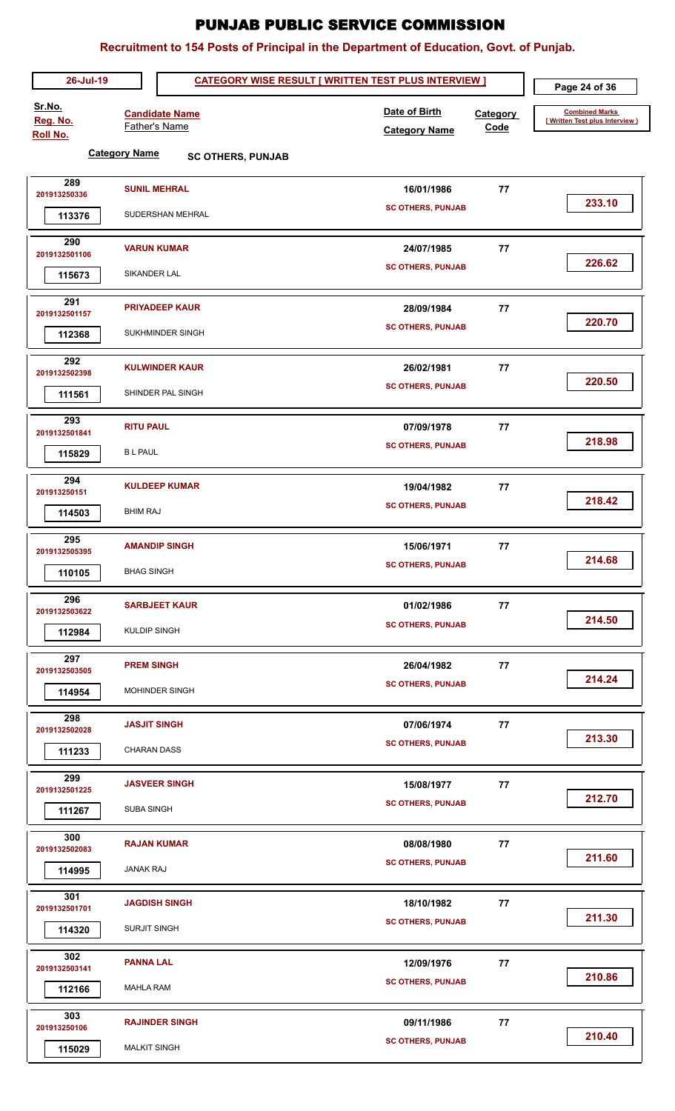| 26-Jul-19               |                                               | <b>CATEGORY WISE RESULT [ WRITTEN TEST PLUS INTERVIEW ]</b> |                  | Page 24 of 36                                            |
|-------------------------|-----------------------------------------------|-------------------------------------------------------------|------------------|----------------------------------------------------------|
| Sr.No.<br>Reg. No.      | <b>Candidate Name</b><br><b>Father's Name</b> | Date of Birth<br><b>Category Name</b>                       | Category<br>Code | <b>Combined Marks</b><br>[ Written Test plus Interview ) |
| <b>Roll No.</b>         | <b>Category Name</b>                          |                                                             |                  |                                                          |
|                         | <b>SC OTHERS, PUNJAB</b>                      |                                                             |                  |                                                          |
| 289<br>201913250336     | <b>SUNIL MEHRAL</b>                           | 16/01/1986                                                  | 77               |                                                          |
| 113376                  | SUDERSHAN MEHRAL                              | <b>SC OTHERS, PUNJAB</b>                                    |                  | 233.10                                                   |
| 290<br>2019132501106    | <b>VARUN KUMAR</b>                            | 24/07/1985                                                  | 77               |                                                          |
| 115673                  | SIKANDER LAL                                  | <b>SC OTHERS, PUNJAB</b>                                    |                  | 226.62                                                   |
| 291                     | <b>PRIYADEEP KAUR</b>                         | 28/09/1984                                                  | 77               |                                                          |
| 2019132501157<br>112368 | SUKHMINDER SINGH                              | <b>SC OTHERS, PUNJAB</b>                                    |                  | 220.70                                                   |
| 292                     | <b>KULWINDER KAUR</b>                         |                                                             |                  |                                                          |
| 2019132502398           |                                               | 26/02/1981<br><b>SC OTHERS, PUNJAB</b>                      | 77               | 220.50                                                   |
| 111561                  | SHINDER PAL SINGH                             |                                                             |                  |                                                          |
| 293<br>2019132501841    | <b>RITU PAUL</b>                              | 07/09/1978                                                  | 77               |                                                          |
| 115829                  | <b>BL PAUL</b>                                | <b>SC OTHERS, PUNJAB</b>                                    |                  | 218.98                                                   |
| 294                     | <b>KULDEEP KUMAR</b>                          |                                                             |                  |                                                          |
| 201913250151            |                                               | 19/04/1982<br><b>SC OTHERS, PUNJAB</b>                      | 77               | 218.42                                                   |
| 114503                  | <b>BHIM RAJ</b>                               |                                                             |                  |                                                          |
| 295<br>2019132505395    | <b>AMANDIP SINGH</b>                          | 15/06/1971                                                  | 77               |                                                          |
| 110105                  | <b>BHAG SINGH</b>                             | <b>SC OTHERS, PUNJAB</b>                                    |                  | 214.68                                                   |
|                         |                                               |                                                             |                  |                                                          |
| 296<br>2019132503622    | <b>SARBJEET KAUR</b>                          | 01/02/1986                                                  | 77               |                                                          |
| 112984                  | <b>KULDIP SINGH</b>                           | <b>SC OTHERS, PUNJAB</b>                                    |                  | 214.50                                                   |
| 297<br>2019132503505    | <b>PREM SINGH</b>                             | 26/04/1982                                                  | 77               |                                                          |
| 114954                  | MOHINDER SINGH                                | <b>SC OTHERS, PUNJAB</b>                                    |                  | 214.24                                                   |
|                         |                                               |                                                             |                  |                                                          |
| 298<br>2019132502028    | <b>JASJIT SINGH</b>                           | 07/06/1974                                                  | 77               |                                                          |
| 111233                  | <b>CHARAN DASS</b>                            | <b>SC OTHERS, PUNJAB</b>                                    |                  | 213.30                                                   |
| 299<br>2019132501225    | <b>JASVEER SINGH</b>                          | 15/08/1977                                                  | 77               |                                                          |
| 111267                  | <b>SUBA SINGH</b>                             | <b>SC OTHERS, PUNJAB</b>                                    |                  | 212.70                                                   |
| 300<br>2019132502083    | <b>RAJAN KUMAR</b>                            | 08/08/1980                                                  | 77               |                                                          |
| 114995                  | <b>JANAK RAJ</b>                              | <b>SC OTHERS, PUNJAB</b>                                    |                  | 211.60                                                   |
| 301                     | <b>JAGDISH SINGH</b>                          | 18/10/1982                                                  | 77               |                                                          |
| 2019132501701           |                                               | <b>SC OTHERS, PUNJAB</b>                                    |                  | 211.30                                                   |
| 114320                  | SURJIT SINGH                                  |                                                             |                  |                                                          |
| 302<br>2019132503141    | <b>PANNA LAL</b>                              | 12/09/1976                                                  | 77               |                                                          |
| 112166                  | <b>MAHLA RAM</b>                              | <b>SC OTHERS, PUNJAB</b>                                    |                  | 210.86                                                   |
| 303                     | <b>RAJINDER SINGH</b>                         | 09/11/1986                                                  | 77               |                                                          |
| 201913250106            |                                               | <b>SC OTHERS, PUNJAB</b>                                    |                  | 210.40                                                   |
| 115029                  | <b>MALKIT SINGH</b>                           |                                                             |                  |                                                          |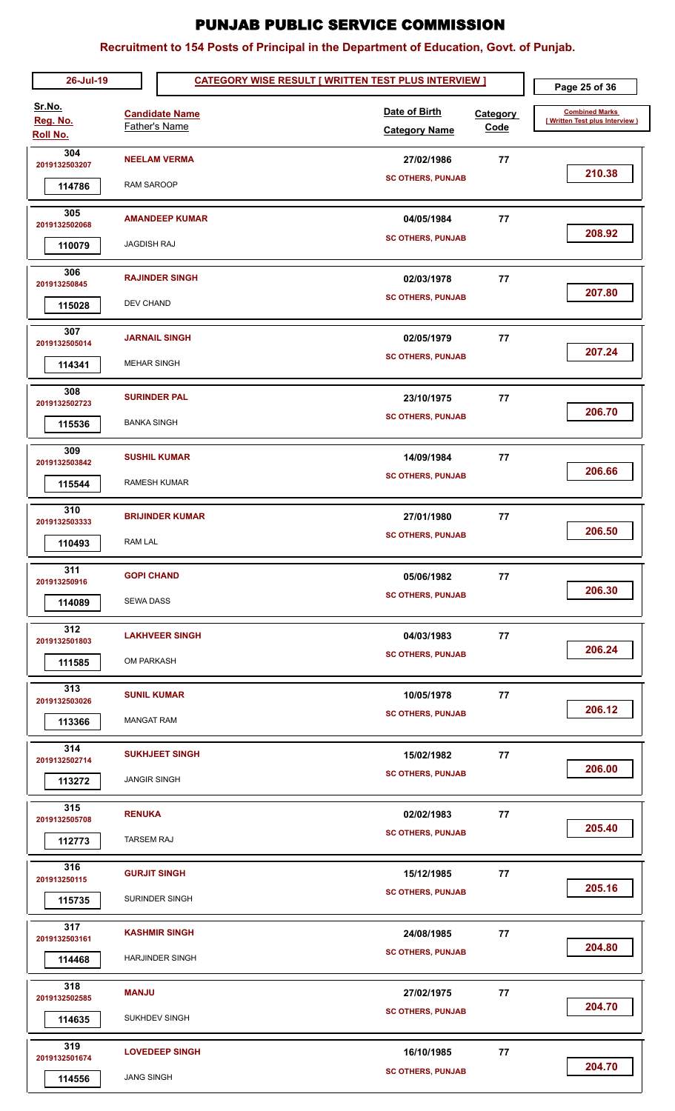| 26-Jul-19                      |                                           |                                                | <b>CATEGORY WISE RESULT [ WRITTEN TEST PLUS INTERVIEW ]</b> |                                        |                         | Page 25 of 36                                           |
|--------------------------------|-------------------------------------------|------------------------------------------------|-------------------------------------------------------------|----------------------------------------|-------------------------|---------------------------------------------------------|
| Sr.No.<br>Reg. No.<br>Roll No. | <b>Father's Name</b>                      | <b>Candidate Name</b>                          |                                                             | Date of Birth<br><b>Category Name</b>  | <b>Category</b><br>Code | <b>Combined Marks</b><br>[Written Test plus Interview ] |
| 304<br>2019132503207<br>114786 | <b>RAM SAROOP</b>                         | <b>NEELAM VERMA</b>                            |                                                             | 27/02/1986<br><b>SC OTHERS, PUNJAB</b> | 77                      | 210.38                                                  |
| 305<br>2019132502068<br>110079 | <b>JAGDISH RAJ</b>                        | <b>AMANDEEP KUMAR</b>                          |                                                             | 04/05/1984<br><b>SC OTHERS, PUNJAB</b> | 77                      | 208.92                                                  |
| 306<br>201913250845<br>115028  | <b>DEV CHAND</b>                          | <b>RAJINDER SINGH</b>                          |                                                             | 02/03/1978<br><b>SC OTHERS, PUNJAB</b> | 77                      | 207.80                                                  |
| 307<br>2019132505014<br>114341 | <b>MEHAR SINGH</b>                        | <b>JARNAIL SINGH</b>                           |                                                             | 02/05/1979<br><b>SC OTHERS, PUNJAB</b> | 77                      | 207.24                                                  |
| 308<br>2019132502723<br>115536 | <b>SURINDER PAL</b><br><b>BANKA SINGH</b> |                                                |                                                             | 23/10/1975<br><b>SC OTHERS, PUNJAB</b> | 77                      | 206.70                                                  |
| 309<br>2019132503842<br>115544 | <b>RAMESH KUMAR</b>                       | <b>SUSHIL KUMAR</b>                            |                                                             | 14/09/1984<br><b>SC OTHERS, PUNJAB</b> | 77                      | 206.66                                                  |
| 310<br>2019132503333<br>110493 | <b>RAM LAL</b>                            | <b>BRIJINDER KUMAR</b>                         |                                                             | 27/01/1980<br><b>SC OTHERS, PUNJAB</b> | 77                      | 206.50                                                  |
| 311<br>201913250916<br>114089  | <b>GOPI CHAND</b><br><b>SEWA DASS</b>     |                                                |                                                             | 05/06/1982<br><b>SC OTHERS, PUNJAB</b> | 77                      | 206.30                                                  |
| 312<br>2019132501803<br>111585 | <b>OM PARKASH</b>                         | <b>LAKHVEER SINGH</b>                          |                                                             | 04/03/1983<br><b>SC OTHERS, PUNJAB</b> | 77                      | 206.24                                                  |
| 313<br>2019132503026<br>113366 | <b>SUNIL KUMAR</b><br><b>MANGAT RAM</b>   |                                                |                                                             | 10/05/1978<br><b>SC OTHERS, PUNJAB</b> | 77                      | 206.12                                                  |
| 314<br>2019132502714<br>113272 | <b>JANGIR SINGH</b>                       | <b>SUKHJEET SINGH</b>                          |                                                             | 15/02/1982<br><b>SC OTHERS, PUNJAB</b> | 77                      | 206.00                                                  |
| 315<br>2019132505708<br>112773 | <b>RENUKA</b><br><b>TARSEM RAJ</b>        |                                                |                                                             | 02/02/1983<br><b>SC OTHERS, PUNJAB</b> | 77                      | 205.40                                                  |
| 316<br>201913250115<br>115735  | <b>GURJIT SINGH</b>                       | SURINDER SINGH                                 |                                                             | 15/12/1985<br><b>SC OTHERS, PUNJAB</b> | 77                      | 205.16                                                  |
| 317<br>2019132503161<br>114468 |                                           | <b>KASHMIR SINGH</b><br><b>HARJINDER SINGH</b> |                                                             | 24/08/1985<br><b>SC OTHERS, PUNJAB</b> | 77                      | 204.80                                                  |
| 318<br>2019132502585<br>114635 | <b>MANJU</b><br>SUKHDEV SINGH             |                                                |                                                             | 27/02/1975<br><b>SC OTHERS, PUNJAB</b> | 77                      | 204.70                                                  |
| 319<br>2019132501674<br>114556 | <b>JANG SINGH</b>                         | <b>LOVEDEEP SINGH</b>                          |                                                             | 16/10/1985<br><b>SC OTHERS, PUNJAB</b> | 77                      | 204.70                                                  |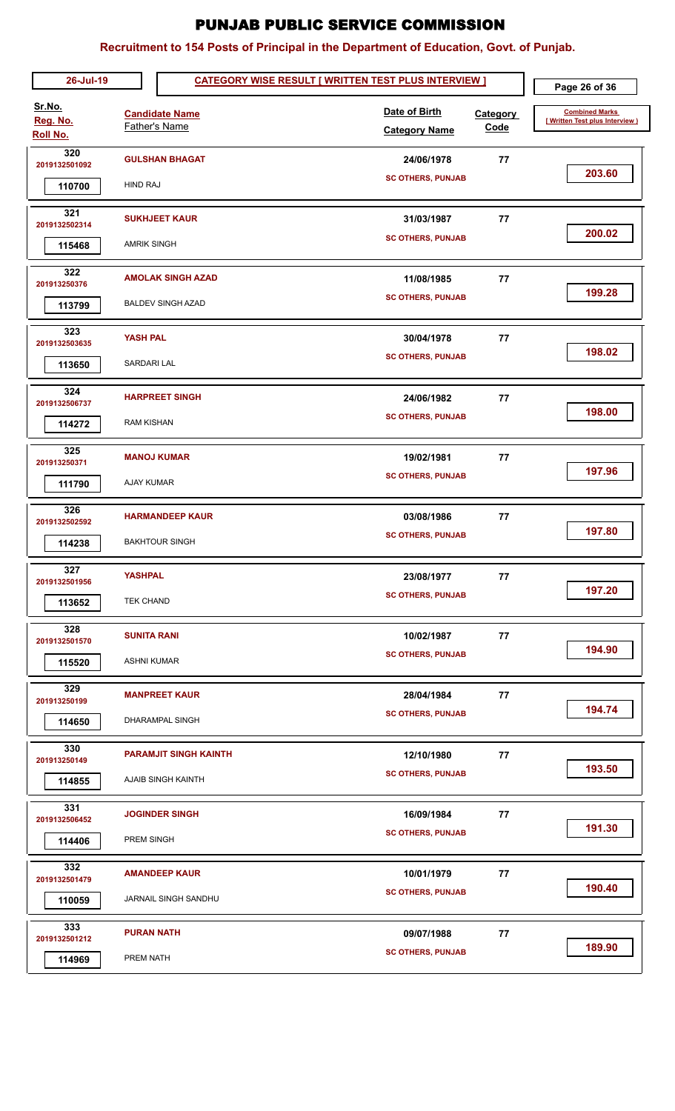| 26-Jul-19                      |                                          |                                                      | <b>CATEGORY WISE RESULT [ WRITTEN TEST PLUS INTERVIEW ]</b> |                                        |                         | Page 26 of 36                                           |
|--------------------------------|------------------------------------------|------------------------------------------------------|-------------------------------------------------------------|----------------------------------------|-------------------------|---------------------------------------------------------|
| Sr.No.<br>Reg. No.<br>Roll No. | <b>Father's Name</b>                     | <b>Candidate Name</b>                                |                                                             | Date of Birth<br><b>Category Name</b>  | <b>Category</b><br>Code | <b>Combined Marks</b><br>[Written Test plus Interview ] |
| 320<br>2019132501092<br>110700 | HIND RAJ                                 | <b>GULSHAN BHAGAT</b>                                |                                                             | 24/06/1978<br><b>SC OTHERS, PUNJAB</b> | 77                      | 203.60                                                  |
| 321<br>2019132502314<br>115468 | <b>AMRIK SINGH</b>                       | <b>SUKHJEET KAUR</b>                                 |                                                             | 31/03/1987<br><b>SC OTHERS, PUNJAB</b> | 77                      | 200.02                                                  |
| 322<br>201913250376<br>113799  |                                          | <b>AMOLAK SINGH AZAD</b><br><b>BALDEV SINGH AZAD</b> |                                                             | 11/08/1985<br><b>SC OTHERS, PUNJAB</b> | 77                      | 199.28                                                  |
| 323<br>2019132503635<br>113650 | <b>YASH PAL</b><br>SARDARI LAL           |                                                      |                                                             | 30/04/1978<br><b>SC OTHERS, PUNJAB</b> | 77                      | 198.02                                                  |
| 324<br>2019132506737<br>114272 | <b>RAM KISHAN</b>                        | <b>HARPREET SINGH</b>                                |                                                             | 24/06/1982<br><b>SC OTHERS, PUNJAB</b> | 77                      | 198.00                                                  |
| 325<br>201913250371<br>111790  | <b>MANOJ KUMAR</b><br>AJAY KUMAR         |                                                      |                                                             | 19/02/1981<br><b>SC OTHERS, PUNJAB</b> | 77                      | 197.96                                                  |
| 326<br>2019132502592<br>114238 |                                          | <b>HARMANDEEP KAUR</b><br><b>BAKHTOUR SINGH</b>      |                                                             | 03/08/1986<br><b>SC OTHERS, PUNJAB</b> | 77                      | 197.80                                                  |
| 327<br>2019132501956<br>113652 | <b>YASHPAL</b><br><b>TEK CHAND</b>       |                                                      |                                                             | 23/08/1977<br><b>SC OTHERS, PUNJAB</b> | 77                      | 197.20                                                  |
| 328<br>2019132501570<br>115520 | <b>SUNITA RANI</b><br><b>ASHNI KUMAR</b> |                                                      |                                                             | 10/02/1987<br><b>SC OTHERS, PUNJAB</b> | 77                      | 194.90                                                  |
| 329<br>201913250199<br>114650  |                                          | <b>MANPREET KAUR</b><br>DHARAMPAL SINGH              |                                                             | 28/04/1984<br><b>SC OTHERS, PUNJAB</b> | 77                      | 194.74                                                  |
| 330<br>201913250149<br>114855  |                                          | <b>PARAMJIT SINGH KAINTH</b><br>AJAIB SINGH KAINTH   |                                                             | 12/10/1980<br><b>SC OTHERS, PUNJAB</b> | 77                      | 193.50                                                  |
| 331<br>2019132506452<br>114406 | PREM SINGH                               | <b>JOGINDER SINGH</b>                                |                                                             | 16/09/1984<br><b>SC OTHERS, PUNJAB</b> | 77                      | 191.30                                                  |
| 332<br>2019132501479<br>110059 |                                          | <b>AMANDEEP KAUR</b><br>JARNAIL SINGH SANDHU         |                                                             | 10/01/1979<br><b>SC OTHERS, PUNJAB</b> | 77                      | 190.40                                                  |
| 333<br>2019132501212<br>114969 | <b>PURAN NATH</b><br>PREM NATH           |                                                      |                                                             | 09/07/1988<br><b>SC OTHERS, PUNJAB</b> | 77                      | 189.90                                                  |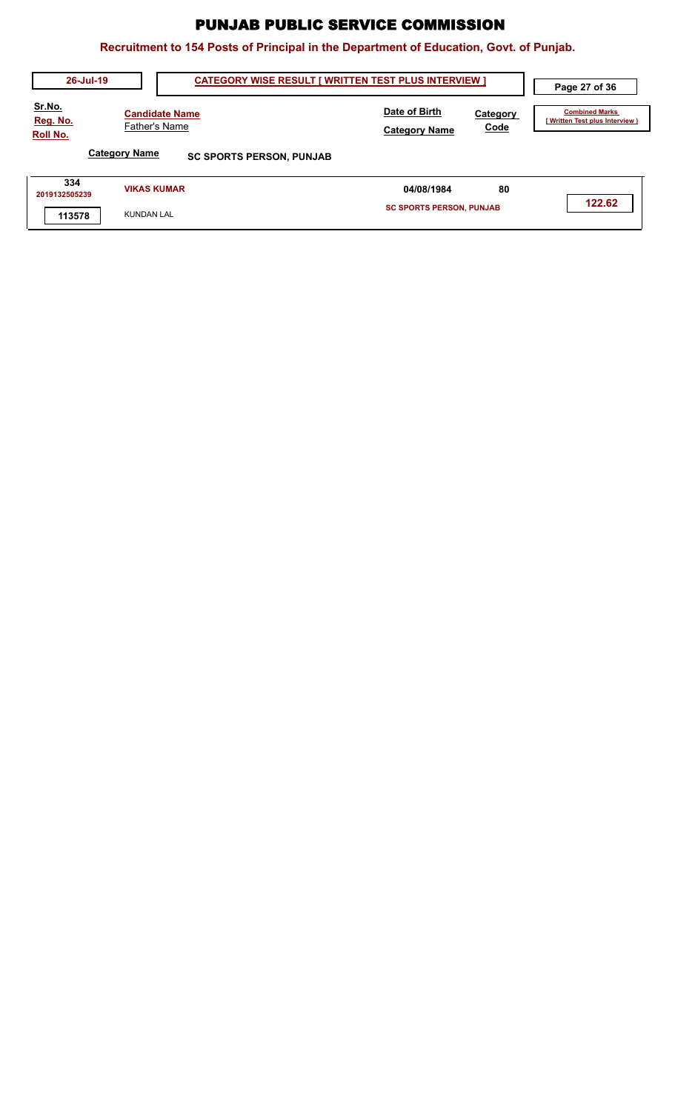| 26-Jul-19                                    | <b>CATEGORY WISE RESULT [ WRITTEN TEST PLUS INTERVIEW ]</b> | Page 27 of 36                         |                         |                                                         |
|----------------------------------------------|-------------------------------------------------------------|---------------------------------------|-------------------------|---------------------------------------------------------|
| <u>Sr.No.</u><br>Reg. No.<br><b>Roll No.</b> | <b>Candidate Name</b><br>Father's Name                      | Date of Birth<br><b>Category Name</b> | <b>Category</b><br>Code | <b>Combined Marks</b><br>[Written Test plus Interview ) |
|                                              | <b>Category Name</b><br><b>SC SPORTS PERSON, PUNJAB</b>     |                                       |                         |                                                         |
| 334<br>2019132505239                         | <b>VIKAS KUMAR</b>                                          | 04/08/1984                            | 80                      |                                                         |
| 113578                                       | <b>KUNDAN LAL</b>                                           | <b>SC SPORTS PERSON, PUNJAB</b>       |                         | 122.62                                                  |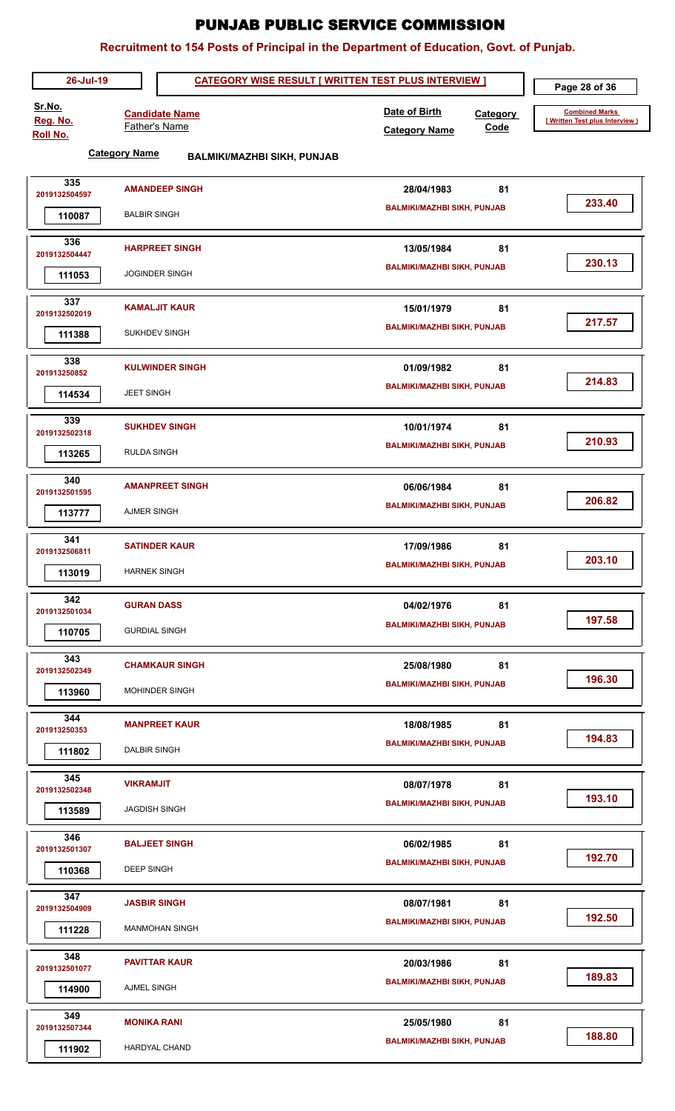| 26-Jul-19                      | Page 28 of 36                                              |                                                           |                                                          |
|--------------------------------|------------------------------------------------------------|-----------------------------------------------------------|----------------------------------------------------------|
| Sr.No.<br>Reg. No.<br>Roll No. | <b>Candidate Name</b><br>Father's Name                     | Date of Birth<br>Category<br>Code<br><b>Category Name</b> | <b>Combined Marks</b><br>[ Written Test plus Interview ) |
|                                | <b>Category Name</b><br><b>BALMIKI/MAZHBI SIKH, PUNJAB</b> |                                                           |                                                          |
| 335<br>2019132504597           | <b>AMANDEEP SINGH</b>                                      | 81<br>28/04/1983                                          |                                                          |
| 110087                         | <b>BALBIR SINGH</b>                                        | <b>BALMIKI/MAZHBI SIKH, PUNJAB</b>                        | 233.40                                                   |
| 336<br>2019132504447           | <b>HARPREET SINGH</b>                                      | 81<br>13/05/1984                                          |                                                          |
| 111053                         | <b>JOGINDER SINGH</b>                                      | <b>BALMIKI/MAZHBI SIKH, PUNJAB</b>                        | 230.13                                                   |
| 337<br>2019132502019           | <b>KAMALJIT KAUR</b>                                       | 81<br>15/01/1979                                          |                                                          |
| 111388                         | <b>SUKHDEV SINGH</b>                                       | <b>BALMIKI/MAZHBI SIKH, PUNJAB</b>                        | 217.57                                                   |
| 338<br>201913250852            | <b>KULWINDER SINGH</b>                                     | 81<br>01/09/1982                                          |                                                          |
| 114534                         | <b>JEET SINGH</b>                                          | <b>BALMIKI/MAZHBI SIKH, PUNJAB</b>                        | 214.83                                                   |
| 339<br>2019132502318           | <b>SUKHDEV SINGH</b>                                       | 81<br>10/01/1974                                          | 210.93                                                   |
| 113265                         | <b>RULDA SINGH</b>                                         | <b>BALMIKI/MAZHBI SIKH, PUNJAB</b>                        |                                                          |
| 340<br>2019132501595           | <b>AMANPREET SINGH</b>                                     | 81<br>06/06/1984                                          | 206.82                                                   |
| 113777                         | <b>AJMER SINGH</b>                                         | <b>BALMIKI/MAZHBI SIKH, PUNJAB</b>                        |                                                          |
| 341<br>2019132506811           | <b>SATINDER KAUR</b>                                       | 81<br>17/09/1986                                          | 203.10                                                   |
| 113019                         | <b>HARNEK SINGH</b>                                        | <b>BALMIKI/MAZHBI SIKH, PUNJAB</b>                        |                                                          |
| 342<br>2019132501034           | <b>GURAN DASS</b>                                          | 81<br>04/02/1976                                          | 197.58                                                   |
| 110705                         | <b>GURDIAL SINGH</b>                                       | <b>BALMIKI/MAZHBI SIKH, PUNJAB</b>                        |                                                          |
| 343<br>2019132502349           | <b>CHAMKAUR SINGH</b>                                      | 81<br>25/08/1980                                          | 196.30                                                   |
| 113960                         | <b>MOHINDER SINGH</b>                                      | <b>BALMIKI/MAZHBI SIKH, PUNJAB</b>                        |                                                          |
| 344<br>201913250353            | <b>MANPREET KAUR</b>                                       | 18/08/1985<br>81                                          | 194.83                                                   |
| 111802                         | <b>DALBIR SINGH</b>                                        | <b>BALMIKI/MAZHBI SIKH, PUNJAB</b>                        |                                                          |
| 345<br>2019132502348           | <b>VIKRAMJIT</b>                                           | 81<br>08/07/1978                                          | 193.10                                                   |
| 113589                         | <b>JAGDISH SINGH</b>                                       | <b>BALMIKI/MAZHBI SIKH, PUNJAB</b>                        |                                                          |
| 346<br>2019132501307           | <b>BALJEET SINGH</b>                                       | 06/02/1985<br>81                                          | 192.70                                                   |
| 110368                         | <b>DEEP SINGH</b>                                          | <b>BALMIKI/MAZHBI SIKH, PUNJAB</b>                        |                                                          |
| 347<br>2019132504909           | <b>JASBIR SINGH</b>                                        | 81<br>08/07/1981                                          | 192.50                                                   |
| 111228                         | <b>MANMOHAN SINGH</b>                                      | <b>BALMIKI/MAZHBI SIKH, PUNJAB</b>                        |                                                          |
| 348<br>2019132501077           | <b>PAVITTAR KAUR</b>                                       | 20/03/1986<br>81                                          | 189.83                                                   |
| 114900                         | AJMEL SINGH                                                | <b>BALMIKI/MAZHBI SIKH, PUNJAB</b>                        |                                                          |
| 349<br>2019132507344           | <b>MONIKA RANI</b>                                         | 81<br>25/05/1980                                          | 188.80                                                   |
| 111902                         | <b>HARDYAL CHAND</b>                                       | <b>BALMIKI/MAZHBI SIKH, PUNJAB</b>                        |                                                          |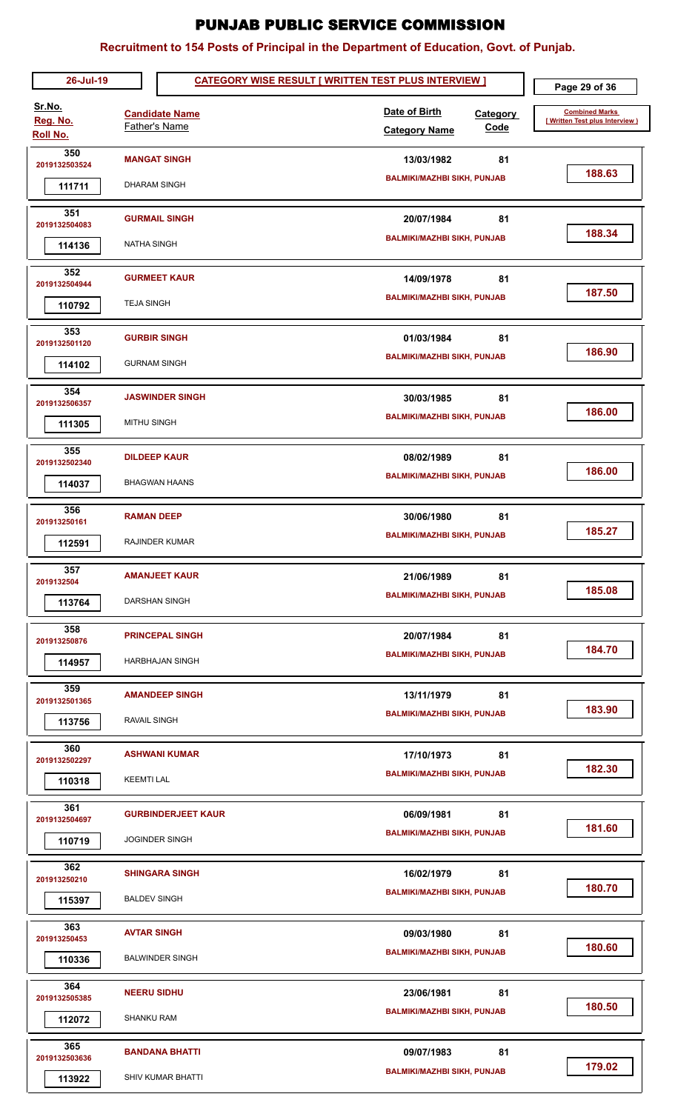| 26-Jul-19                      |                                  |                                                    | <b>CATEGORY WISE RESULT [ WRITTEN TEST PLUS INTERVIEW ]</b> |                                | Page 29 of 36                                           |
|--------------------------------|----------------------------------|----------------------------------------------------|-------------------------------------------------------------|--------------------------------|---------------------------------------------------------|
| Sr.No.<br>Reg. No.<br>Roll No. |                                  | <b>Candidate Name</b><br><b>Father's Name</b>      | Date of Birth<br><b>Category Name</b>                       | <b>Category</b><br><b>Code</b> | <b>Combined Marks</b><br>[Written Test plus Interview ] |
| 350<br>2019132503524<br>111711 | <b>DHARAM SINGH</b>              | <b>MANGAT SINGH</b>                                | 13/03/1982<br><b>BALMIKI/MAZHBI SIKH, PUNJAB</b>            | 81                             | 188.63                                                  |
| 351<br>2019132504083<br>114136 | <b>NATHA SINGH</b>               | <b>GURMAIL SINGH</b>                               | 20/07/1984<br><b>BALMIKI/MAZHBI SIKH, PUNJAB</b>            | 81                             | 188.34                                                  |
| 352<br>2019132504944<br>110792 | <b>TEJA SINGH</b>                | <b>GURMEET KAUR</b>                                | 14/09/1978<br><b>BALMIKI/MAZHBI SIKH, PUNJAB</b>            | 81                             | 187.50                                                  |
| 353<br>2019132501120<br>114102 | <b>GURNAM SINGH</b>              | <b>GURBIR SINGH</b>                                | 01/03/1984<br><b>BALMIKI/MAZHBI SIKH, PUNJAB</b>            | 81                             | 186.90                                                  |
| 354<br>2019132506357<br>111305 | <b>MITHU SINGH</b>               | <b>JASWINDER SINGH</b>                             | 30/03/1985<br><b>BALMIKI/MAZHBI SIKH, PUNJAB</b>            | 81                             | 186.00                                                  |
| 355<br>2019132502340<br>114037 |                                  | <b>DILDEEP KAUR</b><br><b>BHAGWAN HAANS</b>        | 08/02/1989<br><b>BALMIKI/MAZHBI SIKH, PUNJAB</b>            | 81                             | 186.00                                                  |
| 356<br>201913250161<br>112591  | <b>RAMAN DEEP</b>                | <b>RAJINDER KUMAR</b>                              | 30/06/1980<br><b>BALMIKI/MAZHBI SIKH, PUNJAB</b>            | 81                             | 185.27                                                  |
| 357<br>2019132504<br>113764    |                                  | <b>AMANJEET KAUR</b><br>DARSHAN SINGH              | 21/06/1989<br><b>BALMIKI/MAZHBI SIKH, PUNJAB</b>            | 81                             | 185.08                                                  |
| 358<br>201913250876<br>114957  |                                  | <b>PRINCEPAL SINGH</b><br><b>HARBHAJAN SINGH</b>   | 20/07/1984<br><b>BALMIKI/MAZHBI SIKH, PUNJAB</b>            | 81                             | 184.70                                                  |
| 359<br>2019132501365<br>113756 | <b>RAVAIL SINGH</b>              | <b>AMANDEEP SINGH</b>                              | 13/11/1979<br><b>BALMIKI/MAZHBI SIKH, PUNJAB</b>            | 81                             | 183.90                                                  |
| 360<br>2019132502297<br>110318 | <b>KEEMTI LAL</b>                | <b>ASHWANI KUMAR</b>                               | 17/10/1973<br><b>BALMIKI/MAZHBI SIKH, PUNJAB</b>            | 81                             | 182.30                                                  |
| 361<br>2019132504697<br>110719 |                                  | <b>GURBINDERJEET KAUR</b><br><b>JOGINDER SINGH</b> | 06/09/1981<br><b>BALMIKI/MAZHBI SIKH, PUNJAB</b>            | 81                             | 181.60                                                  |
| 362<br>201913250210<br>115397  | <b>BALDEV SINGH</b>              | <b>SHINGARA SINGH</b>                              | 16/02/1979<br><b>BALMIKI/MAZHBI SIKH, PUNJAB</b>            | 81                             | 180.70                                                  |
| 363<br>201913250453<br>110336  | <b>AVTAR SINGH</b>               | <b>BALWINDER SINGH</b>                             | 09/03/1980<br><b>BALMIKI/MAZHBI SIKH, PUNJAB</b>            | 81                             | 180.60                                                  |
| 364<br>2019132505385<br>112072 | <b>NEERU SIDHU</b><br>SHANKU RAM |                                                    | 23/06/1981<br><b>BALMIKI/MAZHBI SIKH, PUNJAB</b>            | 81                             | 180.50                                                  |
| 365<br>2019132503636<br>113922 |                                  | <b>BANDANA BHATTI</b><br>SHIV KUMAR BHATTI         | 09/07/1983<br><b>BALMIKI/MAZHBI SIKH, PUNJAB</b>            | 81                             | 179.02                                                  |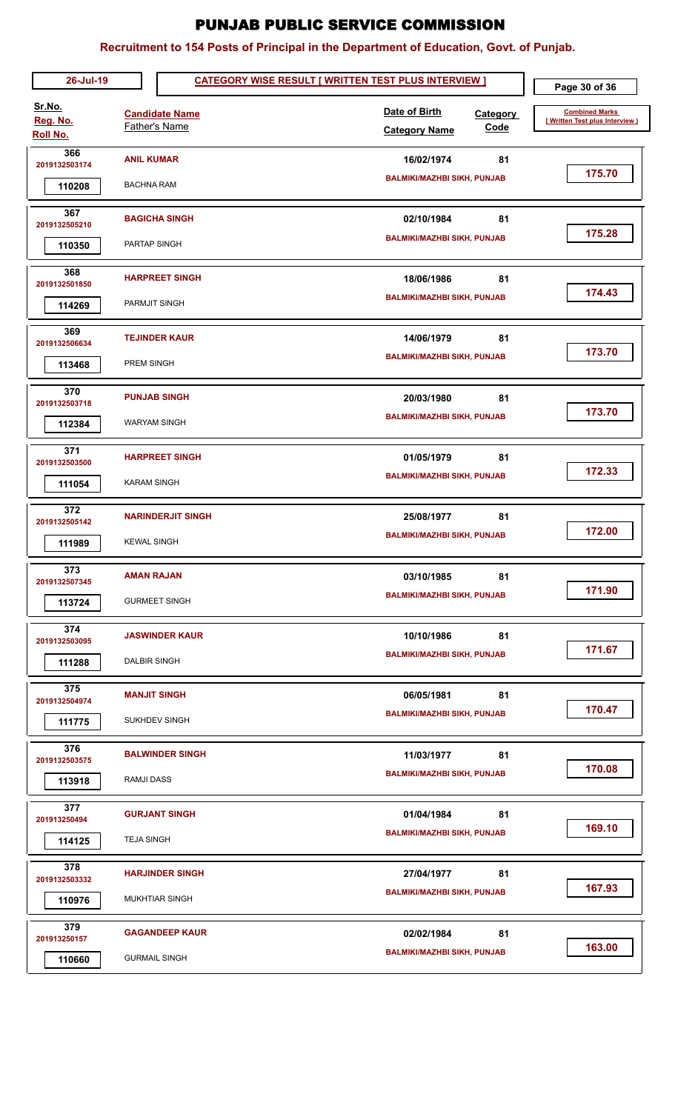| 26-Jul-19                             |                                                | <b>CATEGORY WISE RESULT [ WRITTEN TEST PLUS INTERVIEW ]</b>      | Page 30 of 36                                           |
|---------------------------------------|------------------------------------------------|------------------------------------------------------------------|---------------------------------------------------------|
| Sr.No.<br>Reg. No.<br><b>Roll No.</b> | <b>Candidate Name</b><br><b>Father's Name</b>  | Date of Birth<br><b>Category</b><br>Code<br><b>Category Name</b> | <b>Combined Marks</b><br>[Written Test plus Interview ] |
| 366<br>2019132503174<br>110208        | <b>ANIL KUMAR</b><br><b>BACHNA RAM</b>         | 16/02/1974<br>81<br><b>BALMIKI/MAZHBI SIKH, PUNJAB</b>           | 175.70                                                  |
| 367<br>2019132505210<br>110350        | <b>BAGICHA SINGH</b><br>PARTAP SINGH           | 02/10/1984<br>81<br><b>BALMIKI/MAZHBI SIKH, PUNJAB</b>           | 175.28                                                  |
| 368<br>2019132501850<br>114269        | <b>HARPREET SINGH</b><br>PARMJIT SINGH         | 18/06/1986<br>81<br><b>BALMIKI/MAZHBI SIKH, PUNJAB</b>           | 174.43                                                  |
| 369<br>2019132506634<br>113468        | <b>TEJINDER KAUR</b><br>PREM SINGH             | 14/06/1979<br>81<br><b>BALMIKI/MAZHBI SIKH, PUNJAB</b>           | 173.70                                                  |
| 370<br>2019132503718<br>112384        | <b>PUNJAB SINGH</b><br><b>WARYAM SINGH</b>     | 81<br>20/03/1980<br><b>BALMIKI/MAZHBI SIKH, PUNJAB</b>           | 173.70                                                  |
| 371<br>2019132503500<br>111054        | <b>HARPREET SINGH</b><br><b>KARAM SINGH</b>    | 81<br>01/05/1979<br><b>BALMIKI/MAZHBI SIKH, PUNJAB</b>           | 172.33                                                  |
| 372<br>2019132505142<br>111989        | <b>NARINDERJIT SINGH</b><br><b>KEWAL SINGH</b> | 81<br>25/08/1977<br><b>BALMIKI/MAZHBI SIKH, PUNJAB</b>           | 172.00                                                  |
| 373<br>2019132507345<br>113724        | <b>AMAN RAJAN</b><br><b>GURMEET SINGH</b>      | 81<br>03/10/1985<br><b>BALMIKI/MAZHBI SIKH, PUNJAB</b>           | 171.90                                                  |
| 374<br>2019132503095<br>111288        | <b>JASWINDER KAUR</b><br><b>DALBIR SINGH</b>   | 10/10/1986<br>81<br><b>BALMIKI/MAZHBI SIKH, PUNJAB</b>           | 171.67                                                  |
| 375<br>2019132504974<br>111775        | <b>MANJIT SINGH</b><br><b>SUKHDEV SINGH</b>    | 06/05/1981<br>81<br><b>BALMIKI/MAZHBI SIKH, PUNJAB</b>           | 170.47                                                  |
| 376<br>2019132503575<br>113918        | <b>BALWINDER SINGH</b><br><b>RAMJI DASS</b>    | 81<br>11/03/1977<br><b>BALMIKI/MAZHBI SIKH, PUNJAB</b>           | 170.08                                                  |
| 377<br>201913250494<br>114125         | <b>GURJANT SINGH</b><br><b>TEJA SINGH</b>      | 81<br>01/04/1984<br><b>BALMIKI/MAZHBI SIKH, PUNJAB</b>           | 169.10                                                  |
| 378<br>2019132503332<br>110976        | <b>HARJINDER SINGH</b><br>MUKHTIAR SINGH       | 81<br>27/04/1977<br><b>BALMIKI/MAZHBI SIKH, PUNJAB</b>           | 167.93                                                  |
| 379<br>201913250157<br>110660         | <b>GAGANDEEP KAUR</b><br><b>GURMAIL SINGH</b>  | 81<br>02/02/1984<br><b>BALMIKI/MAZHBI SIKH, PUNJAB</b>           | 163.00                                                  |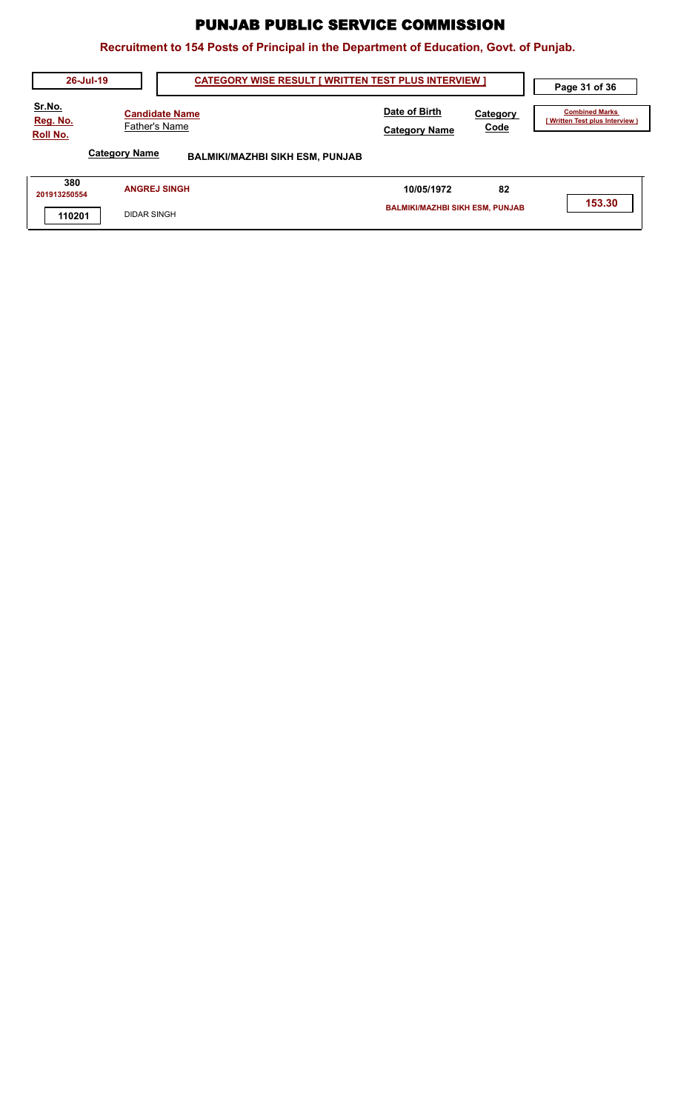| 26-Jul-19                             | <b>CATEGORY WISE RESULT [ WRITTEN TEST PLUS INTERVIEW ]</b>    |                                        |                  |                                                        |
|---------------------------------------|----------------------------------------------------------------|----------------------------------------|------------------|--------------------------------------------------------|
| Sr.No.<br>Reg. No.<br><b>Roll No.</b> | <b>Candidate Name</b><br>Father's Name                         |                                        | Category<br>Code | <b>Combined Marks</b><br>(Written Test plus Interview) |
|                                       | <b>Category Name</b><br><b>BALMIKI/MAZHBI SIKH ESM, PUNJAB</b> |                                        |                  |                                                        |
| 380<br>201913250554                   | <b>ANGREJ SINGH</b>                                            | 10/05/1972                             | 82               |                                                        |
| 110201                                | <b>DIDAR SINGH</b>                                             | <b>BALMIKI/MAZHBI SIKH ESM, PUNJAB</b> |                  | 153.30                                                 |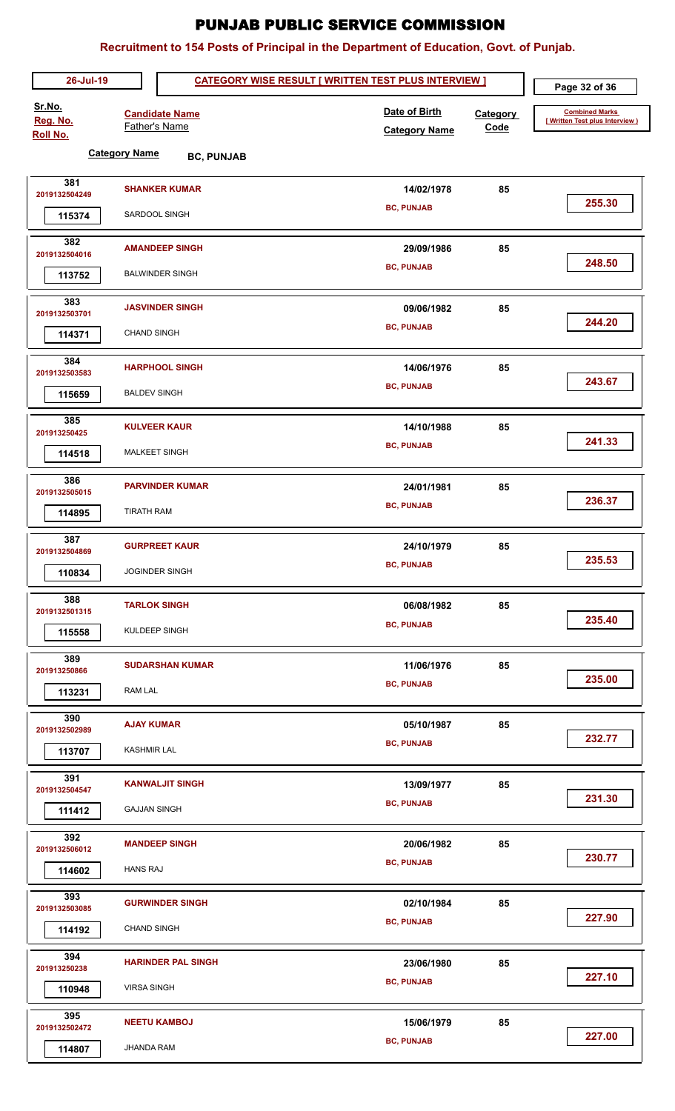| 26-Jul-19                             | Page 32 of 36                             |                                       |                  |                                                          |
|---------------------------------------|-------------------------------------------|---------------------------------------|------------------|----------------------------------------------------------|
| Sr.No.<br>Reg. No.<br><b>Roll No.</b> | <b>Candidate Name</b><br>Father's Name    | Date of Birth<br><b>Category Name</b> | Category<br>Code | <b>Combined Marks</b><br>[ Written Test plus Interview ) |
|                                       | <b>Category Name</b><br><b>BC, PUNJAB</b> |                                       |                  |                                                          |
| 381                                   | <b>SHANKER KUMAR</b>                      | 14/02/1978                            | 85               |                                                          |
| 2019132504249<br>115374               | SARDOOL SINGH                             | <b>BC, PUNJAB</b>                     |                  | 255.30                                                   |
| 382                                   |                                           |                                       |                  |                                                          |
| 2019132504016                         | <b>AMANDEEP SINGH</b>                     | 29/09/1986                            | 85               | 248.50                                                   |
| 113752                                | <b>BALWINDER SINGH</b>                    | <b>BC, PUNJAB</b>                     |                  |                                                          |
| 383<br>2019132503701                  | <b>JASVINDER SINGH</b>                    | 09/06/1982                            | 85               |                                                          |
| 114371                                | <b>CHAND SINGH</b>                        | <b>BC, PUNJAB</b>                     |                  | 244.20                                                   |
| 384                                   | <b>HARPHOOL SINGH</b>                     | 14/06/1976                            | 85               |                                                          |
| 2019132503583<br>115659               | <b>BALDEV SINGH</b>                       | <b>BC, PUNJAB</b>                     |                  | 243.67                                                   |
| 385                                   |                                           |                                       |                  |                                                          |
| 201913250425                          | <b>KULVEER KAUR</b>                       | 14/10/1988<br><b>BC, PUNJAB</b>       | 85               | 241.33                                                   |
| 114518                                | MALKEET SINGH                             |                                       |                  |                                                          |
| 386<br>2019132505015                  | <b>PARVINDER KUMAR</b>                    | 24/01/1981                            | 85               |                                                          |
| 114895                                | <b>TIRATH RAM</b>                         | <b>BC, PUNJAB</b>                     |                  | 236.37                                                   |
| 387                                   | <b>GURPREET KAUR</b>                      | 24/10/1979                            | 85               |                                                          |
| 2019132504869<br>110834               | <b>JOGINDER SINGH</b>                     | <b>BC, PUNJAB</b>                     |                  | 235.53                                                   |
| 388                                   |                                           |                                       |                  |                                                          |
| 2019132501315                         | <b>TARLOK SINGH</b>                       | 06/08/1982<br><b>BC, PUNJAB</b>       | 85               | 235.40                                                   |
| 115558                                | KULDEEP SINGH                             |                                       |                  |                                                          |
| 389<br>201913250866                   | <b>SUDARSHAN KUMAR</b>                    | 11/06/1976                            | 85               |                                                          |
| 113231                                | RAM LAL                                   | <b>BC, PUNJAB</b>                     |                  | 235.00                                                   |
| 390<br>2019132502989                  | <b>AJAY KUMAR</b>                         | 05/10/1987                            | 85               |                                                          |
| 113707                                | <b>KASHMIR LAL</b>                        | <b>BC, PUNJAB</b>                     |                  | 232.77                                                   |
| 391                                   |                                           |                                       |                  |                                                          |
| 2019132504547                         | <b>KANWALJIT SINGH</b>                    | 13/09/1977<br><b>BC, PUNJAB</b>       | 85               | 231.30                                                   |
| 111412                                | <b>GAJJAN SINGH</b>                       |                                       |                  |                                                          |
| 392<br>2019132506012                  | <b>MANDEEP SINGH</b>                      | 20/06/1982                            | 85               | 230.77                                                   |
| 114602                                | <b>HANS RAJ</b>                           | <b>BC, PUNJAB</b>                     |                  |                                                          |
| 393<br>2019132503085                  | <b>GURWINDER SINGH</b>                    | 02/10/1984                            | 85               |                                                          |
| 114192                                | <b>CHAND SINGH</b>                        | <b>BC, PUNJAB</b>                     |                  | 227.90                                                   |
| 394<br>201913250238                   | <b>HARINDER PAL SINGH</b>                 | 23/06/1980                            | 85               |                                                          |
| 110948                                | <b>VIRSA SINGH</b>                        | <b>BC, PUNJAB</b>                     |                  | 227.10                                                   |
| 395                                   |                                           |                                       |                  |                                                          |
| 2019132502472                         | <b>NEETU KAMBOJ</b>                       | 15/06/1979<br><b>BC, PUNJAB</b>       | 85               | 227.00                                                   |
| 114807                                | <b>JHANDA RAM</b>                         |                                       |                  |                                                          |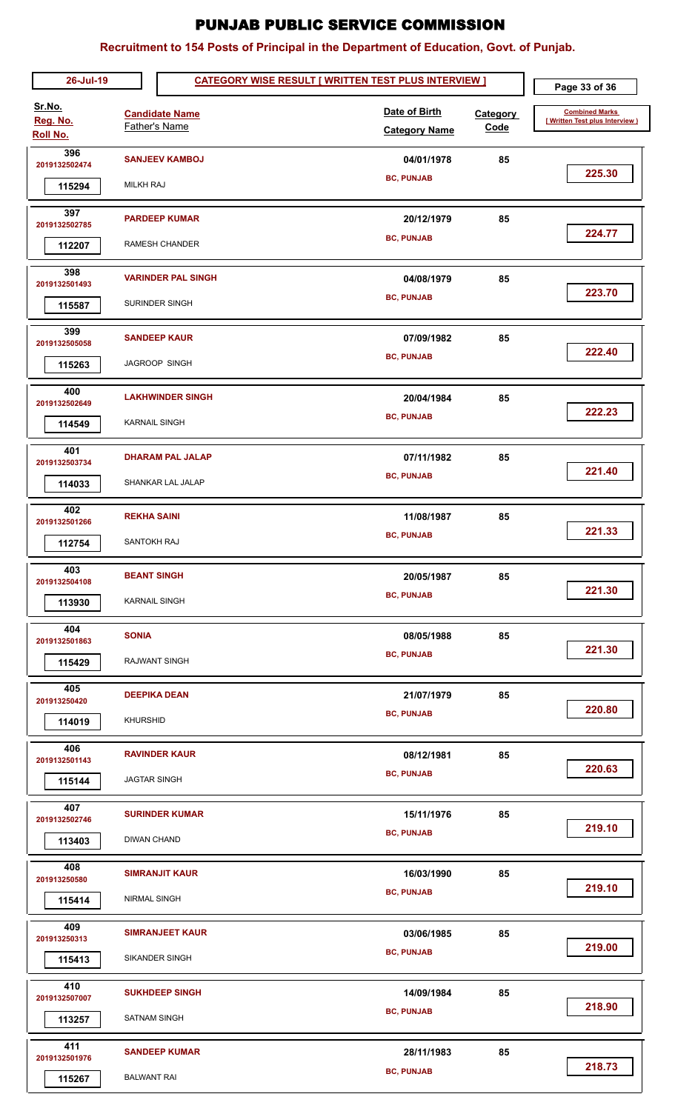| 26-Jul-19                      |                                            | <b>CATEGORY WISE RESULT [ WRITTEN TEST PLUS INTERVIEW ]</b> |                                       |                         | Page 33 of 36                                            |
|--------------------------------|--------------------------------------------|-------------------------------------------------------------|---------------------------------------|-------------------------|----------------------------------------------------------|
| Sr.No.<br>Reg. No.<br>Roll No. |                                            | <b>Candidate Name</b><br>Father's Name                      | Date of Birth<br><b>Category Name</b> | <b>Category</b><br>Code | <b>Combined Marks</b><br>[ Written Test plus Interview ] |
| 396<br>2019132502474<br>115294 | <b>MILKH RAJ</b>                           | <b>SANJEEV KAMBOJ</b>                                       | 04/01/1978<br><b>BC, PUNJAB</b>       | 85                      | 225.30                                                   |
| 397<br>2019132502785<br>112207 |                                            | <b>PARDEEP KUMAR</b><br><b>RAMESH CHANDER</b>               | 20/12/1979<br><b>BC, PUNJAB</b>       | 85                      | 224.77                                                   |
| 398<br>2019132501493<br>115587 |                                            | <b>VARINDER PAL SINGH</b><br>SURINDER SINGH                 | 04/08/1979<br><b>BC, PUNJAB</b>       | 85                      | 223.70                                                   |
| 399<br>2019132505058<br>115263 |                                            | <b>SANDEEP KAUR</b><br>JAGROOP SINGH                        | 07/09/1982<br><b>BC, PUNJAB</b>       | 85                      | 222.40                                                   |
| 400<br>2019132502649<br>114549 | <b>KARNAIL SINGH</b>                       | <b>LAKHWINDER SINGH</b>                                     | 20/04/1984<br><b>BC, PUNJAB</b>       | 85                      | 222.23                                                   |
| 401<br>2019132503734<br>114033 |                                            | <b>DHARAM PAL JALAP</b><br>SHANKAR LAL JALAP                | 07/11/1982<br><b>BC, PUNJAB</b>       | 85                      | 221.40                                                   |
| 402<br>2019132501266<br>112754 | <b>REKHA SAINI</b><br>SANTOKH RAJ          |                                                             | 11/08/1987<br><b>BC, PUNJAB</b>       | 85                      | 221.33                                                   |
| 403<br>2019132504108<br>113930 | <b>BEANT SINGH</b><br><b>KARNAIL SINGH</b> |                                                             | 20/05/1987<br><b>BC, PUNJAB</b>       | 85                      | 221.30                                                   |
| 404<br>2019132501863<br>115429 | <b>SONIA</b>                               | <b>RAJWANT SINGH</b>                                        | 08/05/1988<br><b>BC, PUNJAB</b>       | 85                      | 221.30                                                   |
| 405<br>201913250420<br>114019  | <b>KHURSHID</b>                            | <b>DEEPIKA DEAN</b>                                         | 21/07/1979<br><b>BC, PUNJAB</b>       | 85                      | 220.80                                                   |
| 406<br>2019132501143<br>115144 | <b>JAGTAR SINGH</b>                        | <b>RAVINDER KAUR</b>                                        | 08/12/1981<br><b>BC, PUNJAB</b>       | 85                      | 220.63                                                   |
| 407<br>2019132502746<br>113403 | <b>DIWAN CHAND</b>                         | <b>SURINDER KUMAR</b>                                       | 15/11/1976<br><b>BC, PUNJAB</b>       | 85                      | 219.10                                                   |
| 408<br>201913250580<br>115414  | NIRMAL SINGH                               | <b>SIMRANJIT KAUR</b>                                       | 16/03/1990<br><b>BC, PUNJAB</b>       | 85                      | 219.10                                                   |
| 409<br>201913250313<br>115413  |                                            | <b>SIMRANJEET KAUR</b><br>SIKANDER SINGH                    | 03/06/1985<br><b>BC, PUNJAB</b>       | 85                      | 219.00                                                   |
| 410<br>2019132507007<br>113257 | <b>SATNAM SINGH</b>                        | <b>SUKHDEEP SINGH</b>                                       | 14/09/1984<br><b>BC, PUNJAB</b>       | 85                      | 218.90                                                   |
| 411<br>2019132501976<br>115267 | <b>BALWANT RAI</b>                         | <b>SANDEEP KUMAR</b>                                        | 28/11/1983<br><b>BC, PUNJAB</b>       | 85                      | 218.73                                                   |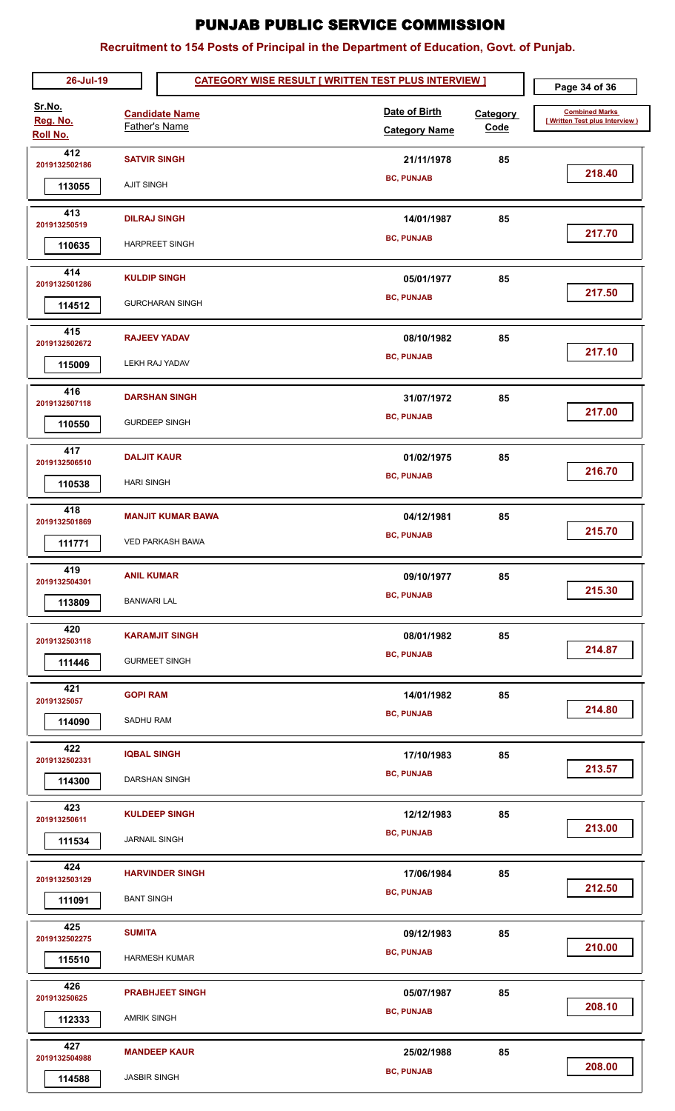| 26-Jul-19                             |                                          |                                                     | <b>CATEGORY WISE RESULT [ WRITTEN TEST PLUS INTERVIEW ]</b> |                                       |                         | Page 34 of 36                                           |
|---------------------------------------|------------------------------------------|-----------------------------------------------------|-------------------------------------------------------------|---------------------------------------|-------------------------|---------------------------------------------------------|
| Sr.No.<br>Reg. No.<br><b>Roll No.</b> |                                          | <b>Candidate Name</b><br><b>Father's Name</b>       |                                                             | Date of Birth<br><b>Category Name</b> | <b>Category</b><br>Code | <b>Combined Marks</b><br>[Written Test plus Interview ] |
| 412<br>2019132502186<br>113055        | <b>SATVIR SINGH</b><br><b>AJIT SINGH</b> |                                                     |                                                             | 21/11/1978<br><b>BC, PUNJAB</b>       | 85                      | 218.40                                                  |
| 413<br>201913250519<br>110635         | <b>DILRAJ SINGH</b>                      | <b>HARPREET SINGH</b>                               |                                                             | 14/01/1987<br><b>BC, PUNJAB</b>       | 85                      | 217.70                                                  |
| 414<br>2019132501286<br>114512        | <b>KULDIP SINGH</b>                      | <b>GURCHARAN SINGH</b>                              |                                                             | 05/01/1977<br><b>BC, PUNJAB</b>       | 85                      | 217.50                                                  |
| 415<br>2019132502672<br>115009        |                                          | <b>RAJEEV YADAV</b><br>LEKH RAJ YADAV               |                                                             | 08/10/1982<br><b>BC, PUNJAB</b>       | 85                      | 217.10                                                  |
| 416<br>2019132507118<br>110550        |                                          | <b>DARSHAN SINGH</b><br><b>GURDEEP SINGH</b>        |                                                             | 31/07/1972<br><b>BC, PUNJAB</b>       | 85                      | 217.00                                                  |
| 417<br>2019132506510<br>110538        | <b>DALJIT KAUR</b><br><b>HARI SINGH</b>  |                                                     |                                                             | 01/02/1975<br><b>BC, PUNJAB</b>       | 85                      | 216.70                                                  |
| 418<br>2019132501869<br>111771        |                                          | <b>MANJIT KUMAR BAWA</b><br><b>VED PARKASH BAWA</b> |                                                             | 04/12/1981<br><b>BC, PUNJAB</b>       | 85                      | 215.70                                                  |
| 419<br>2019132504301<br>113809        | <b>ANIL KUMAR</b><br><b>BANWARI LAL</b>  |                                                     |                                                             | 09/10/1977<br><b>BC, PUNJAB</b>       | 85                      | 215.30                                                  |
| 420<br>2019132503118<br>111446        |                                          | <b>KARAMJIT SINGH</b><br><b>GURMEET SINGH</b>       |                                                             | 08/01/1982<br><b>BC, PUNJAB</b>       | 85                      | 214.87                                                  |
| 421<br>20191325057<br>114090          | <b>GOPI RAM</b><br><b>SADHU RAM</b>      |                                                     |                                                             | 14/01/1982<br><b>BC, PUNJAB</b>       | 85                      | 214.80                                                  |
| 422<br>2019132502331<br>114300        | <b>IQBAL SINGH</b>                       | DARSHAN SINGH                                       |                                                             | 17/10/1983<br><b>BC, PUNJAB</b>       | 85                      | 213.57                                                  |
| 423<br>201913250611<br>111534         | <b>JARNAIL SINGH</b>                     | <b>KULDEEP SINGH</b>                                |                                                             | 12/12/1983<br><b>BC, PUNJAB</b>       | 85                      | 213.00                                                  |
| 424<br>2019132503129<br>111091        | <b>BANT SINGH</b>                        | <b>HARVINDER SINGH</b>                              |                                                             | 17/06/1984<br><b>BC, PUNJAB</b>       | 85                      | 212.50                                                  |
| 425<br>2019132502275<br>115510        | <b>SUMITA</b>                            | <b>HARMESH KUMAR</b>                                |                                                             | 09/12/1983<br><b>BC, PUNJAB</b>       | 85                      | 210.00                                                  |
| 426<br>201913250625<br>112333         | <b>AMRIK SINGH</b>                       | <b>PRABHJEET SINGH</b>                              |                                                             | 05/07/1987<br><b>BC, PUNJAB</b>       | 85                      | 208.10                                                  |
| 427<br>2019132504988<br>114588        | <b>JASBIR SINGH</b>                      | <b>MANDEEP KAUR</b>                                 |                                                             | 25/02/1988<br><b>BC, PUNJAB</b>       | 85                      | 208.00                                                  |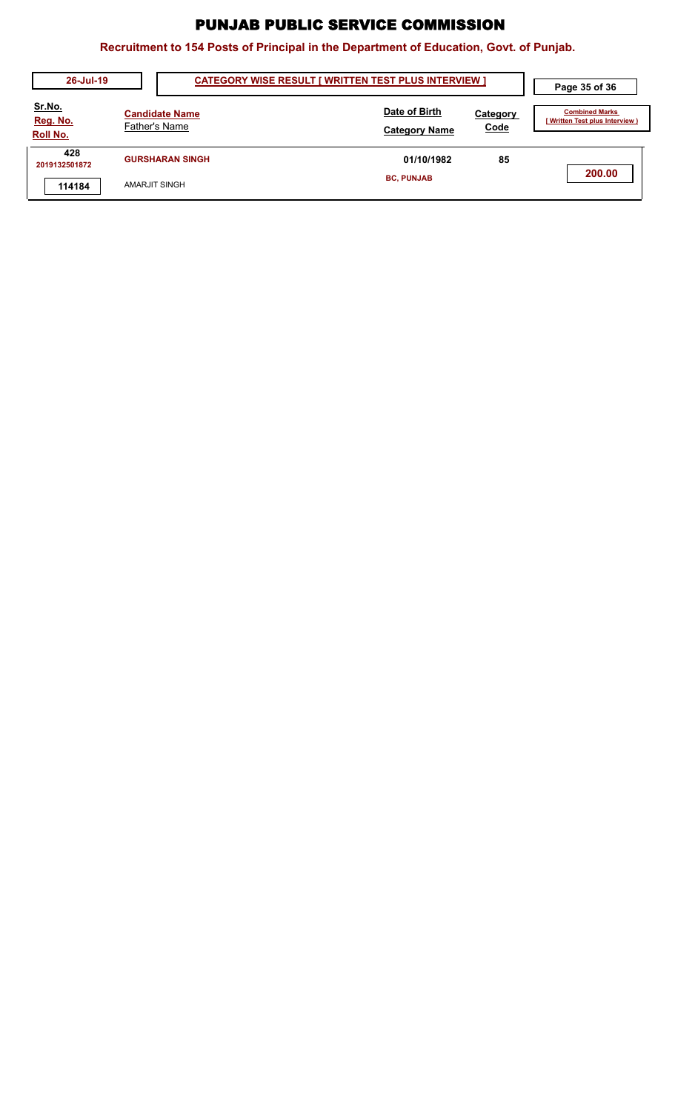| 26-Jul-19                             |                                               | <b>CATEGORY WISE RESULT [ WRITTEN TEST PLUS INTERVIEW ]</b> |                         |                                                       |
|---------------------------------------|-----------------------------------------------|-------------------------------------------------------------|-------------------------|-------------------------------------------------------|
| <u>Sr.No.</u><br>Reg. No.<br>Roll No. | <b>Candidate Name</b><br><b>Father's Name</b> | Date of Birth<br><b>Category Name</b>                       | <b>Category</b><br>Code | <b>Combined Marks</b><br>Written Test plus Interview) |
| 428<br>2019132501872                  | <b>GURSHARAN SINGH</b>                        | 01/10/1982                                                  | 85                      |                                                       |
| 114184                                | AMARJIT SINGH                                 | <b>BC, PUNJAB</b>                                           |                         | 200.00                                                |